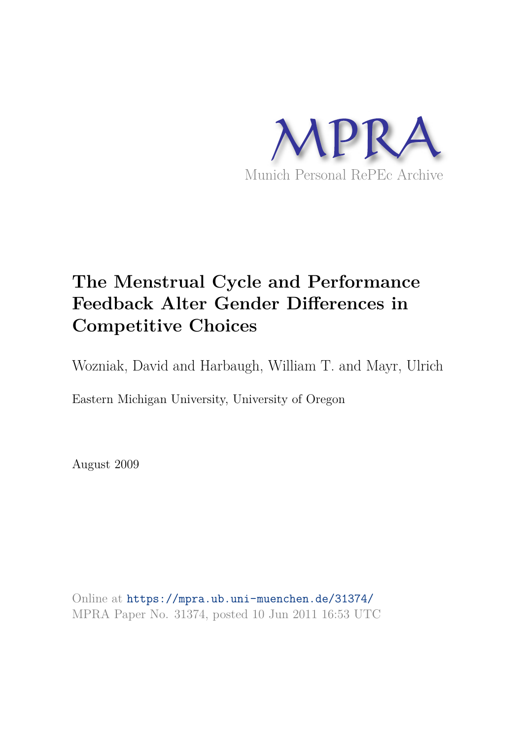

# **The Menstrual Cycle and Performance Feedback Alter Gender Differences in Competitive Choices**

Wozniak, David and Harbaugh, William T. and Mayr, Ulrich

Eastern Michigan University, University of Oregon

August 2009

Online at https://mpra.ub.uni-muenchen.de/31374/ MPRA Paper No. 31374, posted 10 Jun 2011 16:53 UTC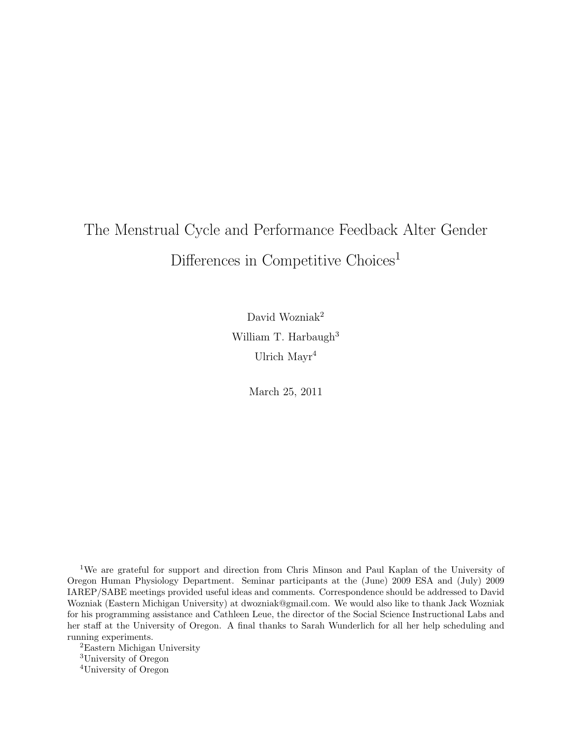# The Menstrual Cycle and Performance Feedback Alter Gender Differences in Competitive Choices<sup>1</sup>

David Wozniak<sup>2</sup> William T. Harbaugh<sup>3</sup> Ulrich Mayr<sup>4</sup>

March 25, 2011

<sup>1</sup>We are grateful for support and direction from Chris Minson and Paul Kaplan of the University of Oregon Human Physiology Department. Seminar participants at the (June) 2009 ESA and (July) 2009 IAREP/SABE meetings provided useful ideas and comments. Correspondence should be addressed to David Wozniak (Eastern Michigan University) at dwozniak@gmail.com. We would also like to thank Jack Wozniak for his programming assistance and Cathleen Leue, the director of the Social Science Instructional Labs and her staff at the University of Oregon. A final thanks to Sarah Wunderlich for all her help scheduling and running experiments.

<sup>2</sup>Eastern Michigan University <sup>3</sup>University of Oregon <sup>4</sup>University of Oregon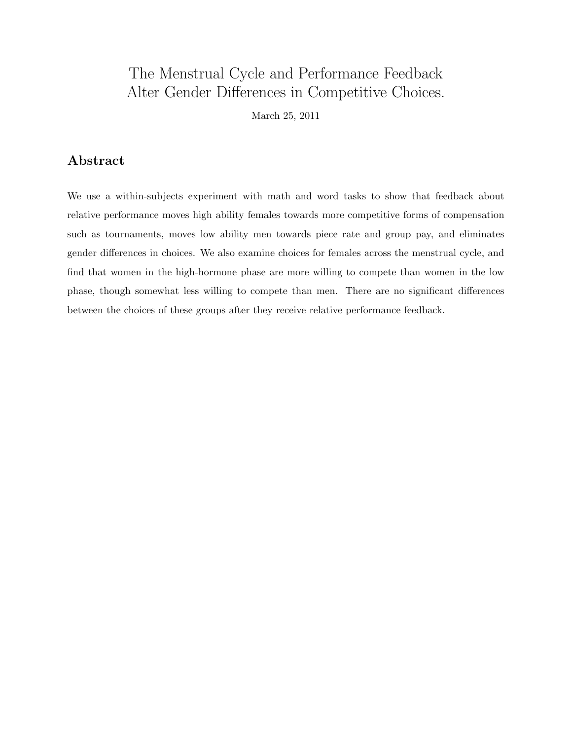## The Menstrual Cycle and Performance Feedback Alter Gender Differences in Competitive Choices.

March 25, 2011

## Abstract

We use a within-subjects experiment with math and word tasks to show that feedback about relative performance moves high ability females towards more competitive forms of compensation such as tournaments, moves low ability men towards piece rate and group pay, and eliminates gender differences in choices. We also examine choices for females across the menstrual cycle, and find that women in the high-hormone phase are more willing to compete than women in the low phase, though somewhat less willing to compete than men. There are no significant differences between the choices of these groups after they receive relative performance feedback.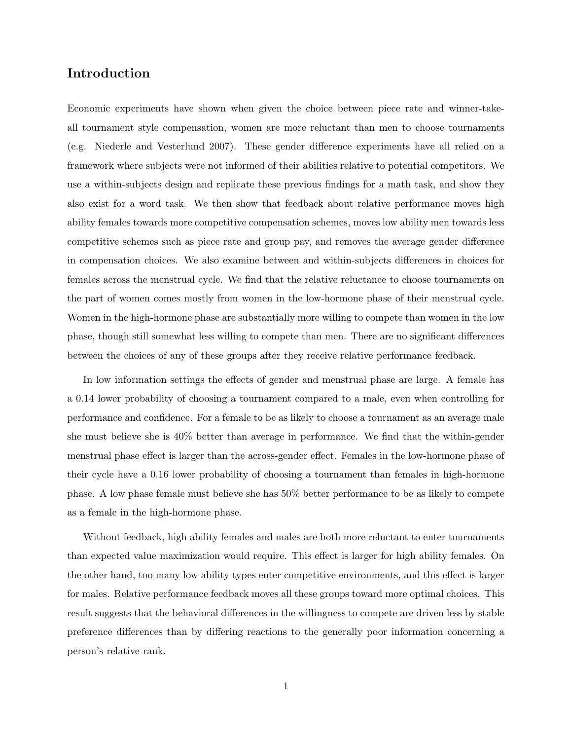## Introduction

Economic experiments have shown when given the choice between piece rate and winner-takeall tournament style compensation, women are more reluctant than men to choose tournaments (e.g. Niederle and Vesterlund 2007). These gender difference experiments have all relied on a framework where subjects were not informed of their abilities relative to potential competitors. We use a within-subjects design and replicate these previous findings for a math task, and show they also exist for a word task. We then show that feedback about relative performance moves high ability females towards more competitive compensation schemes, moves low ability men towards less competitive schemes such as piece rate and group pay, and removes the average gender difference in compensation choices. We also examine between and within-subjects differences in choices for females across the menstrual cycle. We find that the relative reluctance to choose tournaments on the part of women comes mostly from women in the low-hormone phase of their menstrual cycle. Women in the high-hormone phase are substantially more willing to compete than women in the low phase, though still somewhat less willing to compete than men. There are no significant differences between the choices of any of these groups after they receive relative performance feedback.

In low information settings the effects of gender and menstrual phase are large. A female has a 0.14 lower probability of choosing a tournament compared to a male, even when controlling for performance and confidence. For a female to be as likely to choose a tournament as an average male she must believe she is 40% better than average in performance. We find that the within-gender menstrual phase effect is larger than the across-gender effect. Females in the low-hormone phase of their cycle have a 0.16 lower probability of choosing a tournament than females in high-hormone phase. A low phase female must believe she has 50% better performance to be as likely to compete as a female in the high-hormone phase.

Without feedback, high ability females and males are both more reluctant to enter tournaments than expected value maximization would require. This effect is larger for high ability females. On the other hand, too many low ability types enter competitive environments, and this effect is larger for males. Relative performance feedback moves all these groups toward more optimal choices. This result suggests that the behavioral differences in the willingness to compete are driven less by stable preference differences than by differing reactions to the generally poor information concerning a person's relative rank.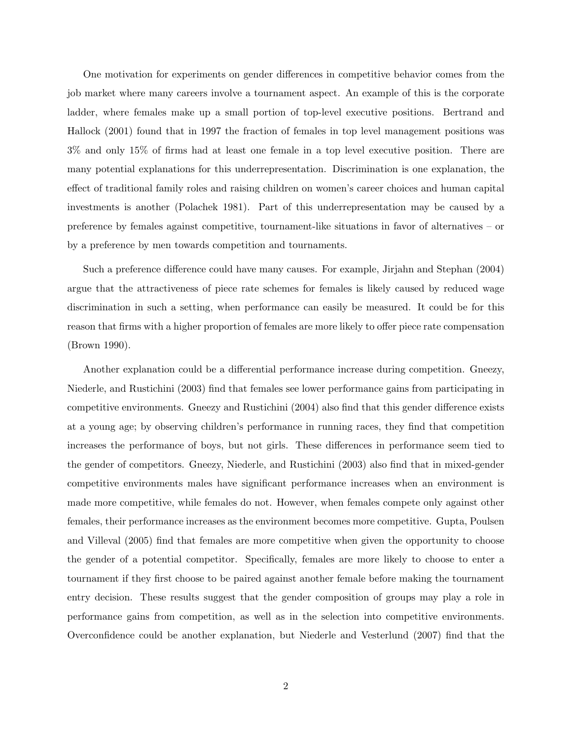One motivation for experiments on gender differences in competitive behavior comes from the job market where many careers involve a tournament aspect. An example of this is the corporate ladder, where females make up a small portion of top-level executive positions. Bertrand and Hallock (2001) found that in 1997 the fraction of females in top level management positions was 3% and only 15% of firms had at least one female in a top level executive position. There are many potential explanations for this underrepresentation. Discrimination is one explanation, the effect of traditional family roles and raising children on women's career choices and human capital investments is another (Polachek 1981). Part of this underrepresentation may be caused by a preference by females against competitive, tournament-like situations in favor of alternatives – or by a preference by men towards competition and tournaments.

Such a preference difference could have many causes. For example, Jirjahn and Stephan (2004) argue that the attractiveness of piece rate schemes for females is likely caused by reduced wage discrimination in such a setting, when performance can easily be measured. It could be for this reason that firms with a higher proportion of females are more likely to offer piece rate compensation (Brown 1990).

Another explanation could be a differential performance increase during competition. Gneezy, Niederle, and Rustichini (2003) find that females see lower performance gains from participating in competitive environments. Gneezy and Rustichini (2004) also find that this gender difference exists at a young age; by observing children's performance in running races, they find that competition increases the performance of boys, but not girls. These differences in performance seem tied to the gender of competitors. Gneezy, Niederle, and Rustichini (2003) also find that in mixed-gender competitive environments males have significant performance increases when an environment is made more competitive, while females do not. However, when females compete only against other females, their performance increases as the environment becomes more competitive. Gupta, Poulsen and Villeval (2005) find that females are more competitive when given the opportunity to choose the gender of a potential competitor. Specifically, females are more likely to choose to enter a tournament if they first choose to be paired against another female before making the tournament entry decision. These results suggest that the gender composition of groups may play a role in performance gains from competition, as well as in the selection into competitive environments. Overconfidence could be another explanation, but Niederle and Vesterlund (2007) find that the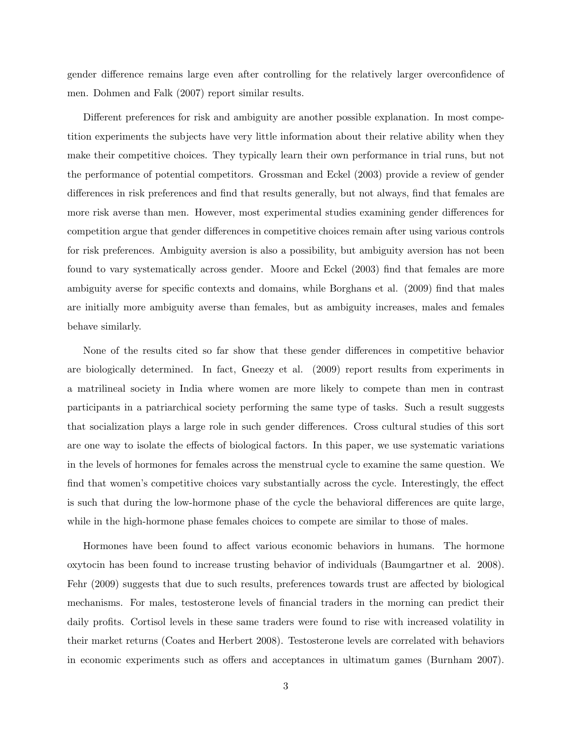gender difference remains large even after controlling for the relatively larger overconfidence of men. Dohmen and Falk (2007) report similar results.

Different preferences for risk and ambiguity are another possible explanation. In most competition experiments the subjects have very little information about their relative ability when they make their competitive choices. They typically learn their own performance in trial runs, but not the performance of potential competitors. Grossman and Eckel (2003) provide a review of gender differences in risk preferences and find that results generally, but not always, find that females are more risk averse than men. However, most experimental studies examining gender differences for competition argue that gender differences in competitive choices remain after using various controls for risk preferences. Ambiguity aversion is also a possibility, but ambiguity aversion has not been found to vary systematically across gender. Moore and Eckel (2003) find that females are more ambiguity averse for specific contexts and domains, while Borghans et al. (2009) find that males are initially more ambiguity averse than females, but as ambiguity increases, males and females behave similarly.

None of the results cited so far show that these gender differences in competitive behavior are biologically determined. In fact, Gneezy et al. (2009) report results from experiments in a matrilineal society in India where women are more likely to compete than men in contrast participants in a patriarchical society performing the same type of tasks. Such a result suggests that socialization plays a large role in such gender differences. Cross cultural studies of this sort are one way to isolate the effects of biological factors. In this paper, we use systematic variations in the levels of hormones for females across the menstrual cycle to examine the same question. We find that women's competitive choices vary substantially across the cycle. Interestingly, the effect is such that during the low-hormone phase of the cycle the behavioral differences are quite large, while in the high-hormone phase females choices to compete are similar to those of males.

Hormones have been found to affect various economic behaviors in humans. The hormone oxytocin has been found to increase trusting behavior of individuals (Baumgartner et al. 2008). Fehr (2009) suggests that due to such results, preferences towards trust are affected by biological mechanisms. For males, testosterone levels of financial traders in the morning can predict their daily profits. Cortisol levels in these same traders were found to rise with increased volatility in their market returns (Coates and Herbert 2008). Testosterone levels are correlated with behaviors in economic experiments such as offers and acceptances in ultimatum games (Burnham 2007).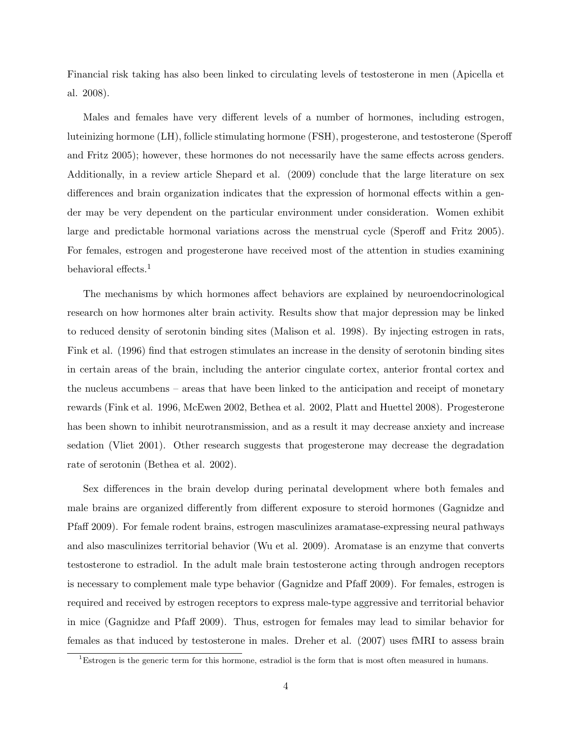Financial risk taking has also been linked to circulating levels of testosterone in men (Apicella et al. 2008).

Males and females have very different levels of a number of hormones, including estrogen, luteinizing hormone (LH), follicle stimulating hormone (FSH), progesterone, and testosterone (Speroff and Fritz 2005); however, these hormones do not necessarily have the same effects across genders. Additionally, in a review article Shepard et al. (2009) conclude that the large literature on sex differences and brain organization indicates that the expression of hormonal effects within a gender may be very dependent on the particular environment under consideration. Women exhibit large and predictable hormonal variations across the menstrual cycle (Speroff and Fritz 2005). For females, estrogen and progesterone have received most of the attention in studies examining behavioral effects.<sup>1</sup>

The mechanisms by which hormones affect behaviors are explained by neuroendocrinological research on how hormones alter brain activity. Results show that major depression may be linked to reduced density of serotonin binding sites (Malison et al. 1998). By injecting estrogen in rats, Fink et al. (1996) find that estrogen stimulates an increase in the density of serotonin binding sites in certain areas of the brain, including the anterior cingulate cortex, anterior frontal cortex and the nucleus accumbens – areas that have been linked to the anticipation and receipt of monetary rewards (Fink et al. 1996, McEwen 2002, Bethea et al. 2002, Platt and Huettel 2008). Progesterone has been shown to inhibit neurotransmission, and as a result it may decrease anxiety and increase sedation (Vliet 2001). Other research suggests that progesterone may decrease the degradation rate of serotonin (Bethea et al. 2002).

Sex differences in the brain develop during perinatal development where both females and male brains are organized differently from different exposure to steroid hormones (Gagnidze and Pfaff 2009). For female rodent brains, estrogen masculinizes aramatase-expressing neural pathways and also masculinizes territorial behavior (Wu et al. 2009). Aromatase is an enzyme that converts testosterone to estradiol. In the adult male brain testosterone acting through androgen receptors is necessary to complement male type behavior (Gagnidze and Pfaff 2009). For females, estrogen is required and received by estrogen receptors to express male-type aggressive and territorial behavior in mice (Gagnidze and Pfaff 2009). Thus, estrogen for females may lead to similar behavior for females as that induced by testosterone in males. Dreher et al. (2007) uses fMRI to assess brain

<sup>&</sup>lt;sup>1</sup>Estrogen is the generic term for this hormone, estradiol is the form that is most often measured in humans.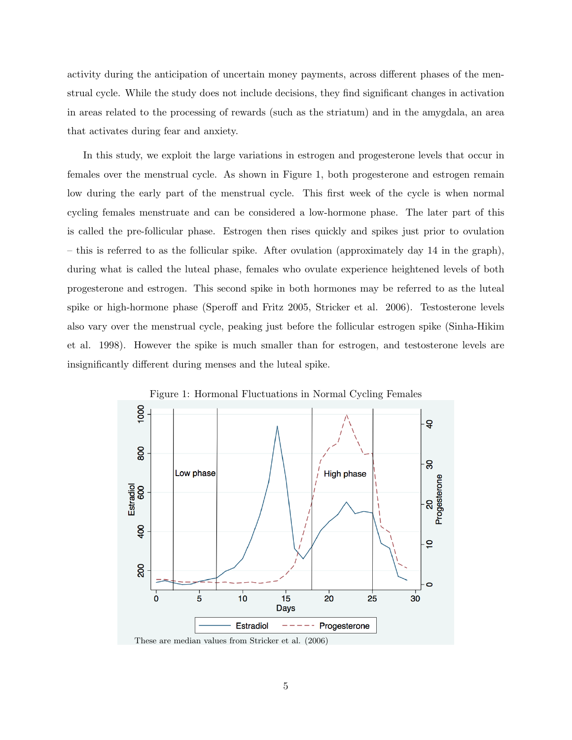activity during the anticipation of uncertain money payments, across different phases of the menstrual cycle. While the study does not include decisions, they find significant changes in activation in areas related to the processing of rewards (such as the striatum) and in the amygdala, an area that activates during fear and anxiety.

In this study, we exploit the large variations in estrogen and progesterone levels that occur in females over the menstrual cycle. As shown in Figure 1, both progesterone and estrogen remain low during the early part of the menstrual cycle. This first week of the cycle is when normal cycling females menstruate and can be considered a low-hormone phase. The later part of this is called the pre-follicular phase. Estrogen then rises quickly and spikes just prior to ovulation – this is referred to as the follicular spike. After ovulation (approximately day 14 in the graph), during what is called the luteal phase, females who ovulate experience heightened levels of both progesterone and estrogen. This second spike in both hormones may be referred to as the luteal spike or high-hormone phase (Speroff and Fritz 2005, Stricker et al. 2006). Testosterone levels also vary over the menstrual cycle, peaking just before the follicular estrogen spike (Sinha-Hikim et al. 1998). However the spike is much smaller than for estrogen, and testosterone levels are insignificantly different during menses and the luteal spike.



Figure 1: Hormonal Fluctuations in Normal Cycling Females

These are median values from Stricker et al. (2006)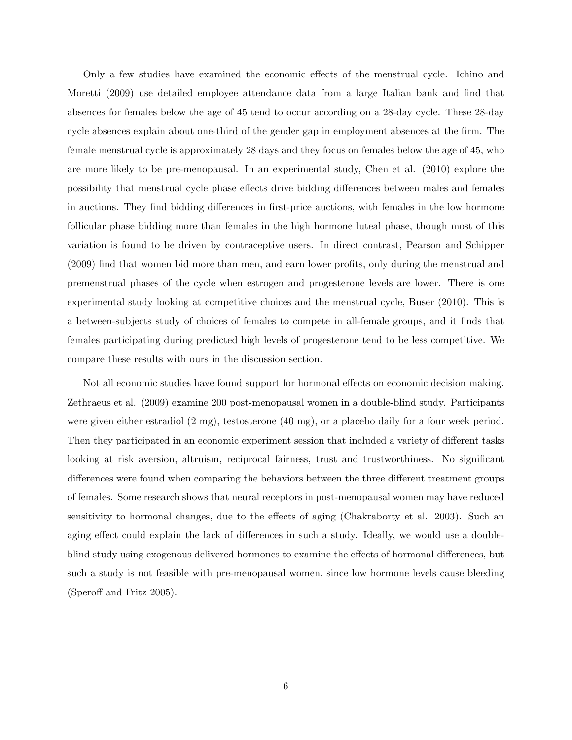Only a few studies have examined the economic effects of the menstrual cycle. Ichino and Moretti (2009) use detailed employee attendance data from a large Italian bank and find that absences for females below the age of 45 tend to occur according on a 28-day cycle. These 28-day cycle absences explain about one-third of the gender gap in employment absences at the firm. The female menstrual cycle is approximately 28 days and they focus on females below the age of 45, who are more likely to be pre-menopausal. In an experimental study, Chen et al. (2010) explore the possibility that menstrual cycle phase effects drive bidding differences between males and females in auctions. They find bidding differences in first-price auctions, with females in the low hormone follicular phase bidding more than females in the high hormone luteal phase, though most of this variation is found to be driven by contraceptive users. In direct contrast, Pearson and Schipper (2009) find that women bid more than men, and earn lower profits, only during the menstrual and premenstrual phases of the cycle when estrogen and progesterone levels are lower. There is one experimental study looking at competitive choices and the menstrual cycle, Buser (2010). This is a between-subjects study of choices of females to compete in all-female groups, and it finds that females participating during predicted high levels of progesterone tend to be less competitive. We compare these results with ours in the discussion section.

Not all economic studies have found support for hormonal effects on economic decision making. Zethraeus et al. (2009) examine 200 post-menopausal women in a double-blind study. Participants were given either estradiol (2 mg), testosterone (40 mg), or a placebo daily for a four week period. Then they participated in an economic experiment session that included a variety of different tasks looking at risk aversion, altruism, reciprocal fairness, trust and trustworthiness. No significant differences were found when comparing the behaviors between the three different treatment groups of females. Some research shows that neural receptors in post-menopausal women may have reduced sensitivity to hormonal changes, due to the effects of aging (Chakraborty et al. 2003). Such an aging effect could explain the lack of differences in such a study. Ideally, we would use a doubleblind study using exogenous delivered hormones to examine the effects of hormonal differences, but such a study is not feasible with pre-menopausal women, since low hormone levels cause bleeding (Speroff and Fritz 2005).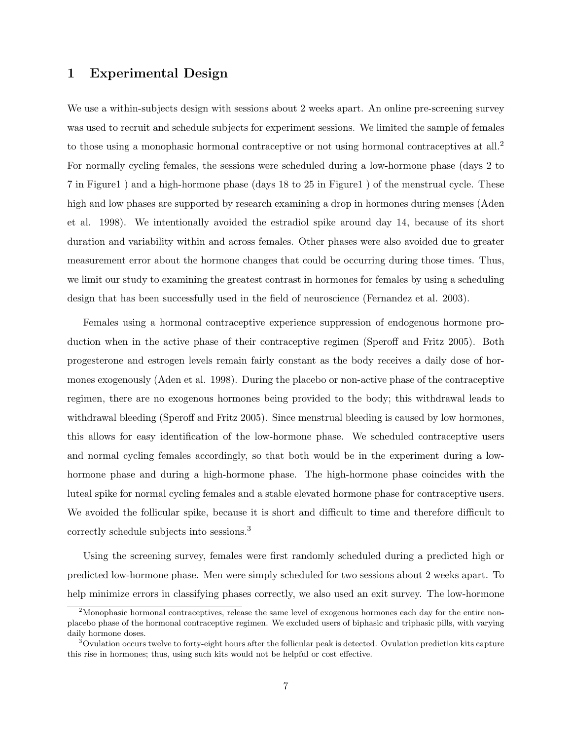## 1 Experimental Design

We use a within-subjects design with sessions about 2 weeks apart. An online pre-screening survey was used to recruit and schedule subjects for experiment sessions. We limited the sample of females to those using a monophasic hormonal contraceptive or not using hormonal contraceptives at all.<sup>2</sup> For normally cycling females, the sessions were scheduled during a low-hormone phase (days 2 to 7 in Figure1 ) and a high-hormone phase (days 18 to 25 in Figure1 ) of the menstrual cycle. These high and low phases are supported by research examining a drop in hormones during menses (Aden et al. 1998). We intentionally avoided the estradiol spike around day 14, because of its short duration and variability within and across females. Other phases were also avoided due to greater measurement error about the hormone changes that could be occurring during those times. Thus, we limit our study to examining the greatest contrast in hormones for females by using a scheduling design that has been successfully used in the field of neuroscience (Fernandez et al. 2003).

Females using a hormonal contraceptive experience suppression of endogenous hormone production when in the active phase of their contraceptive regimen (Speroff and Fritz 2005). Both progesterone and estrogen levels remain fairly constant as the body receives a daily dose of hormones exogenously (Aden et al. 1998). During the placebo or non-active phase of the contraceptive regimen, there are no exogenous hormones being provided to the body; this withdrawal leads to withdrawal bleeding (Speroff and Fritz 2005). Since menstrual bleeding is caused by low hormones, this allows for easy identification of the low-hormone phase. We scheduled contraceptive users and normal cycling females accordingly, so that both would be in the experiment during a lowhormone phase and during a high-hormone phase. The high-hormone phase coincides with the luteal spike for normal cycling females and a stable elevated hormone phase for contraceptive users. We avoided the follicular spike, because it is short and difficult to time and therefore difficult to correctly schedule subjects into sessions.<sup>3</sup>

Using the screening survey, females were first randomly scheduled during a predicted high or predicted low-hormone phase. Men were simply scheduled for two sessions about 2 weeks apart. To help minimize errors in classifying phases correctly, we also used an exit survey. The low-hormone

<sup>&</sup>lt;sup>2</sup>Monophasic hormonal contraceptives, release the same level of exogenous hormones each day for the entire nonplacebo phase of the hormonal contraceptive regimen. We excluded users of biphasic and triphasic pills, with varying daily hormone doses.

<sup>3</sup>Ovulation occurs twelve to forty-eight hours after the follicular peak is detected. Ovulation prediction kits capture this rise in hormones; thus, using such kits would not be helpful or cost effective.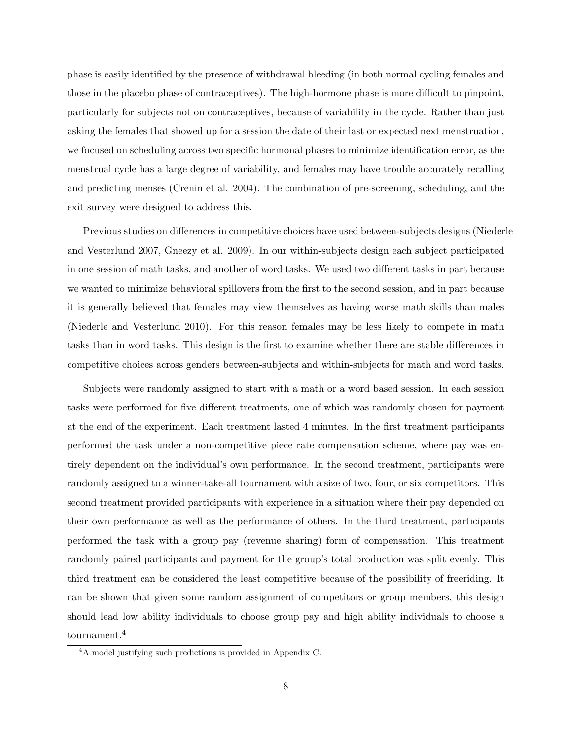phase is easily identified by the presence of withdrawal bleeding (in both normal cycling females and those in the placebo phase of contraceptives). The high-hormone phase is more difficult to pinpoint, particularly for subjects not on contraceptives, because of variability in the cycle. Rather than just asking the females that showed up for a session the date of their last or expected next menstruation, we focused on scheduling across two specific hormonal phases to minimize identification error, as the menstrual cycle has a large degree of variability, and females may have trouble accurately recalling and predicting menses (Crenin et al. 2004). The combination of pre-screening, scheduling, and the exit survey were designed to address this.

Previous studies on differences in competitive choices have used between-subjects designs (Niederle and Vesterlund 2007, Gneezy et al. 2009). In our within-subjects design each subject participated in one session of math tasks, and another of word tasks. We used two different tasks in part because we wanted to minimize behavioral spillovers from the first to the second session, and in part because it is generally believed that females may view themselves as having worse math skills than males (Niederle and Vesterlund 2010). For this reason females may be less likely to compete in math tasks than in word tasks. This design is the first to examine whether there are stable differences in competitive choices across genders between-subjects and within-subjects for math and word tasks.

Subjects were randomly assigned to start with a math or a word based session. In each session tasks were performed for five different treatments, one of which was randomly chosen for payment at the end of the experiment. Each treatment lasted 4 minutes. In the first treatment participants performed the task under a non-competitive piece rate compensation scheme, where pay was entirely dependent on the individual's own performance. In the second treatment, participants were randomly assigned to a winner-take-all tournament with a size of two, four, or six competitors. This second treatment provided participants with experience in a situation where their pay depended on their own performance as well as the performance of others. In the third treatment, participants performed the task with a group pay (revenue sharing) form of compensation. This treatment randomly paired participants and payment for the group's total production was split evenly. This third treatment can be considered the least competitive because of the possibility of freeriding. It can be shown that given some random assignment of competitors or group members, this design should lead low ability individuals to choose group pay and high ability individuals to choose a tournament.<sup>4</sup>

<sup>4</sup>A model justifying such predictions is provided in Appendix C.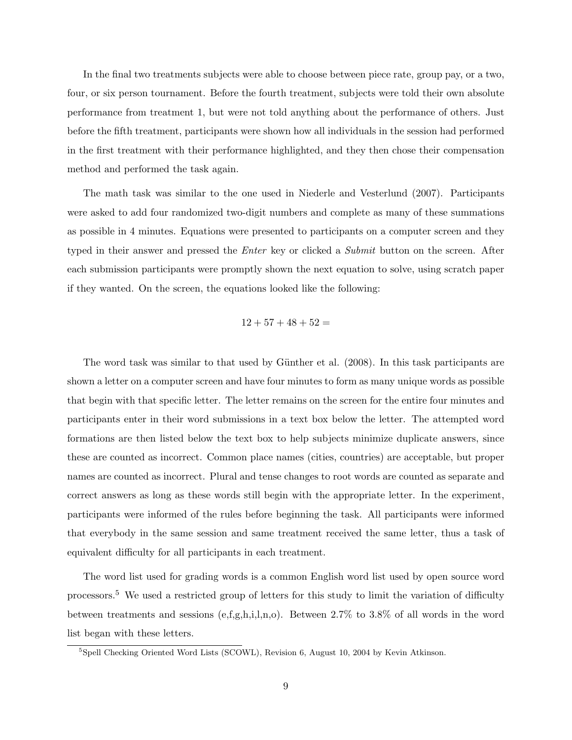In the final two treatments subjects were able to choose between piece rate, group pay, or a two, four, or six person tournament. Before the fourth treatment, subjects were told their own absolute performance from treatment 1, but were not told anything about the performance of others. Just before the fifth treatment, participants were shown how all individuals in the session had performed in the first treatment with their performance highlighted, and they then chose their compensation method and performed the task again.

The math task was similar to the one used in Niederle and Vesterlund (2007). Participants were asked to add four randomized two-digit numbers and complete as many of these summations as possible in 4 minutes. Equations were presented to participants on a computer screen and they typed in their answer and pressed the *Enter* key or clicked a *Submit* button on the screen. After each submission participants were promptly shown the next equation to solve, using scratch paper if they wanted. On the screen, the equations looked like the following:

$$
12 + 57 + 48 + 52 =
$$

The word task was similar to that used by Günther et al. (2008). In this task participants are shown a letter on a computer screen and have four minutes to form as many unique words as possible that begin with that specific letter. The letter remains on the screen for the entire four minutes and participants enter in their word submissions in a text box below the letter. The attempted word formations are then listed below the text box to help subjects minimize duplicate answers, since these are counted as incorrect. Common place names (cities, countries) are acceptable, but proper names are counted as incorrect. Plural and tense changes to root words are counted as separate and correct answers as long as these words still begin with the appropriate letter. In the experiment, participants were informed of the rules before beginning the task. All participants were informed that everybody in the same session and same treatment received the same letter, thus a task of equivalent difficulty for all participants in each treatment.

The word list used for grading words is a common English word list used by open source word processors.<sup>5</sup> We used a restricted group of letters for this study to limit the variation of difficulty between treatments and sessions  $(e, f, g, h, i, l, n, o)$ . Between 2.7% to 3.8% of all words in the word list began with these letters.

<sup>5</sup>Spell Checking Oriented Word Lists (SCOWL), Revision 6, August 10, 2004 by Kevin Atkinson.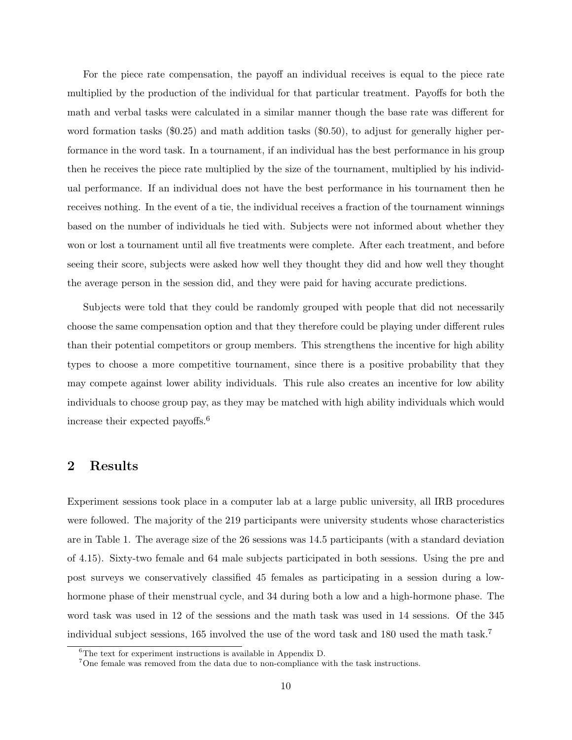For the piece rate compensation, the payoff an individual receives is equal to the piece rate multiplied by the production of the individual for that particular treatment. Payoffs for both the math and verbal tasks were calculated in a similar manner though the base rate was different for word formation tasks (\$0.25) and math addition tasks (\$0.50), to adjust for generally higher performance in the word task. In a tournament, if an individual has the best performance in his group then he receives the piece rate multiplied by the size of the tournament, multiplied by his individual performance. If an individual does not have the best performance in his tournament then he receives nothing. In the event of a tie, the individual receives a fraction of the tournament winnings based on the number of individuals he tied with. Subjects were not informed about whether they won or lost a tournament until all five treatments were complete. After each treatment, and before seeing their score, subjects were asked how well they thought they did and how well they thought the average person in the session did, and they were paid for having accurate predictions.

Subjects were told that they could be randomly grouped with people that did not necessarily choose the same compensation option and that they therefore could be playing under different rules than their potential competitors or group members. This strengthens the incentive for high ability types to choose a more competitive tournament, since there is a positive probability that they may compete against lower ability individuals. This rule also creates an incentive for low ability individuals to choose group pay, as they may be matched with high ability individuals which would increase their expected payoffs.<sup>6</sup>

## 2 Results

Experiment sessions took place in a computer lab at a large public university, all IRB procedures were followed. The majority of the 219 participants were university students whose characteristics are in Table 1. The average size of the 26 sessions was 14.5 participants (with a standard deviation of 4.15). Sixty-two female and 64 male subjects participated in both sessions. Using the pre and post surveys we conservatively classified 45 females as participating in a session during a lowhormone phase of their menstrual cycle, and 34 during both a low and a high-hormone phase. The word task was used in 12 of the sessions and the math task was used in 14 sessions. Of the 345 individual subject sessions, 165 involved the use of the word task and 180 used the math task.<sup>7</sup>

<sup>6</sup>The text for experiment instructions is available in Appendix D.

<sup>7</sup>One female was removed from the data due to non-compliance with the task instructions.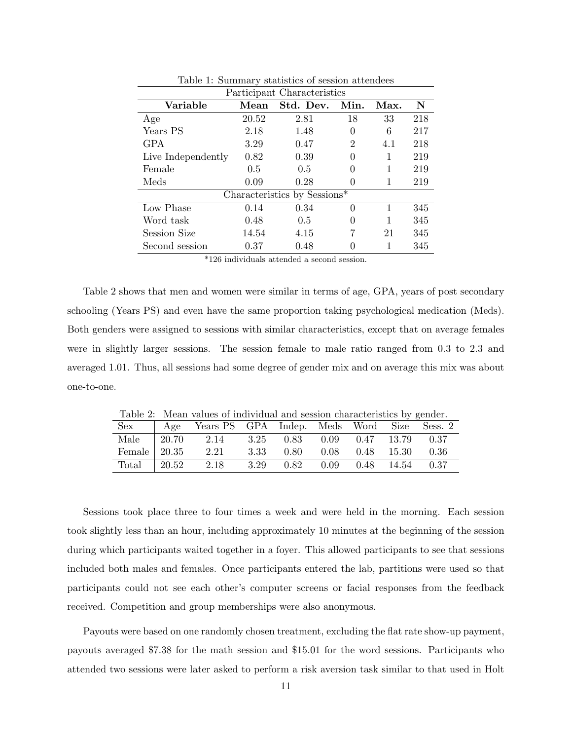| Participant Characteristics |       |                              |                  |      |     |  |  |  |
|-----------------------------|-------|------------------------------|------------------|------|-----|--|--|--|
| Variable                    | Mean  | Std. Dev.                    | Min.             | Max. | N   |  |  |  |
| Age                         | 20.52 | 2.81                         | 18               | 33   | 218 |  |  |  |
| Years PS                    | 2.18  | 1.48                         | 0                | 6    | 217 |  |  |  |
| <b>GPA</b>                  | 3.29  | 0.47                         | $\overline{2}$   | 4.1  | 218 |  |  |  |
| Live Independently          | 0.82  | 0.39                         | 0                | 1    | 219 |  |  |  |
| Female                      | 0.5   | 0.5                          | 0                | 1    | 219 |  |  |  |
| Meds                        | 0.09  | 0.28                         | 0                | 1    | 219 |  |  |  |
|                             |       | Characteristics by Sessions* |                  |      |     |  |  |  |
| Low Phase                   | 0.14  | 0.34                         | 0                | 1    | 345 |  |  |  |
| Word task                   | 0.48  | 0.5                          | 0                | 1    | 345 |  |  |  |
| Session Size                | 14.54 | 4.15                         | 7                | 21   | 345 |  |  |  |
| Second session              | 0.37  | 0.48                         | $\left( \right)$ | 1    | 345 |  |  |  |

Table 1: Summary statistics of session attendees

\*126 individuals attended a second session.

Table 2 shows that men and women were similar in terms of age, GPA, years of post secondary schooling (Years PS) and even have the same proportion taking psychological medication (Meds). Both genders were assigned to sessions with similar characteristics, except that on average females were in slightly larger sessions. The session female to male ratio ranged from 0.3 to 2.3 and averaged 1.01. Thus, all sessions had some degree of gender mix and on average this mix was about one-to-one.

Table 2: Mean values of individual and session characteristics by gender.

| Sex                  | Age         | Years PS GPA Indep. Meds Word Size |      |                                            |                       | Sess. 2 |
|----------------------|-------------|------------------------------------|------|--------------------------------------------|-----------------------|---------|
| Male                 | $\pm 20.70$ | 2.14                               |      | $3.25$ $0.83$ $0.09$ $0.47$ $13.79$ $0.37$ |                       |         |
| Female $\vert$ 20.35 |             | 2.21                               |      | 3.33 0.80                                  | $0.08$ $0.48$ $15.30$ | 0.36    |
| Total                | 120.52      | 2.18                               | 3.29 | 0.82                                       | $0.09$ $0.48$ $14.54$ | 0.37    |

Sessions took place three to four times a week and were held in the morning. Each session took slightly less than an hour, including approximately 10 minutes at the beginning of the session during which participants waited together in a foyer. This allowed participants to see that sessions included both males and females. Once participants entered the lab, partitions were used so that participants could not see each other's computer screens or facial responses from the feedback received. Competition and group memberships were also anonymous.

Payouts were based on one randomly chosen treatment, excluding the flat rate show-up payment, payouts averaged \$7.38 for the math session and \$15.01 for the word sessions. Participants who attended two sessions were later asked to perform a risk aversion task similar to that used in Holt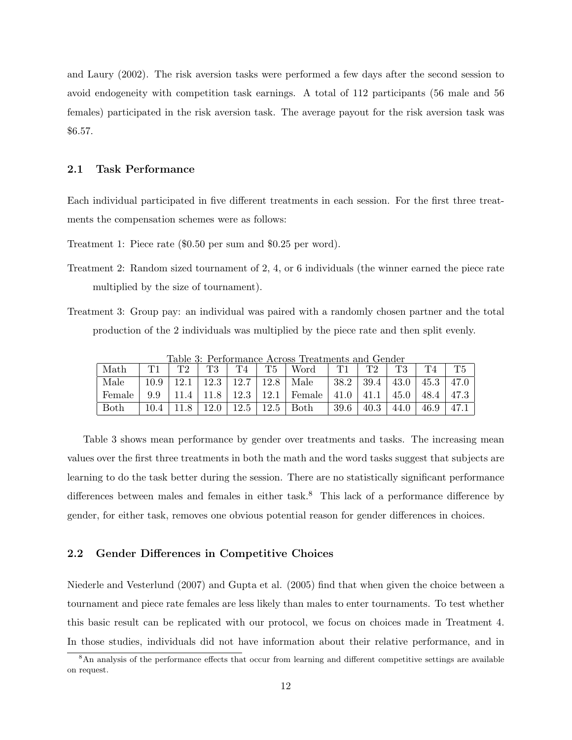and Laury (2002). The risk aversion tasks were performed a few days after the second session to avoid endogeneity with competition task earnings. A total of 112 participants (56 male and 56 females) participated in the risk aversion task. The average payout for the risk aversion task was \$6.57.

## 2.1 Task Performance

Each individual participated in five different treatments in each session. For the first three treatments the compensation schemes were as follows:

Treatment 1: Piece rate (\$0.50 per sum and \$0.25 per word).

- Treatment 2: Random sized tournament of 2, 4, or 6 individuals (the winner earned the piece rate multiplied by the size of tournament).
- Treatment 3: Group pay: an individual was paired with a randomly chosen partner and the total production of the 2 individuals was multiplied by the piece rate and then split evenly.

| Math        |      | T?   |      | T4                | T5                | Word            |         |        | TЗ   | T4   | $^{\rm T5}$ |
|-------------|------|------|------|-------------------|-------------------|-----------------|---------|--------|------|------|-------------|
| Male        | 10.9 | 12.1 | 12.3 | 12.7 <sub>1</sub> | 12.8 <sub>1</sub> | Male            | $+38.2$ | 39.4   | 43.0 | 45.3 | 47.0        |
| Female      | 9.9  | 11.4 | 11.8 | 12.3 l            |                   | $12.1$   Female | 41.0    | , 41.1 | 45.0 | 48.4 | 47.3        |
| <b>Both</b> |      |      | 12.0 | 12.5              | 12.5              | Both            | 39.6    | 40.3   | 44.0 | 46.9 |             |

Table 3: Performance Across Treatments and Gender

Table 3 shows mean performance by gender over treatments and tasks. The increasing mean values over the first three treatments in both the math and the word tasks suggest that subjects are learning to do the task better during the session. There are no statistically significant performance differences between males and females in either task.<sup>8</sup> This lack of a performance difference by gender, for either task, removes one obvious potential reason for gender differences in choices.

#### 2.2 Gender Differences in Competitive Choices

Niederle and Vesterlund (2007) and Gupta et al. (2005) find that when given the choice between a tournament and piece rate females are less likely than males to enter tournaments. To test whether this basic result can be replicated with our protocol, we focus on choices made in Treatment 4. In those studies, individuals did not have information about their relative performance, and in

<sup>8</sup>An analysis of the performance effects that occur from learning and different competitive settings are available on request.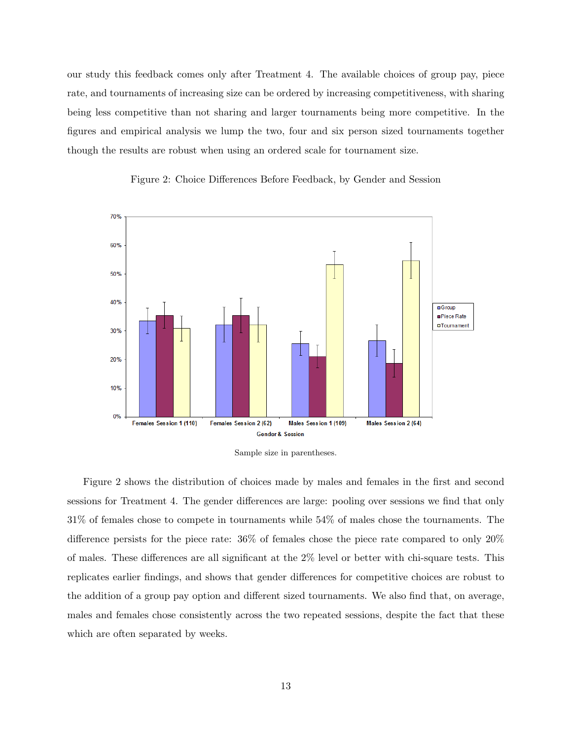our study this feedback comes only after Treatment 4. The available choices of group pay, piece rate, and tournaments of increasing size can be ordered by increasing competitiveness, with sharing being less competitive than not sharing and larger tournaments being more competitive. In the figures and empirical analysis we lump the two, four and six person sized tournaments together though the results are robust when using an ordered scale for tournament size.







Figure 2 shows the distribution of choices made by males and females in the first and second sessions for Treatment 4. The gender differences are large: pooling over sessions we find that only 31% of females chose to compete in tournaments while 54% of males chose the tournaments. The difference persists for the piece rate: 36% of females chose the piece rate compared to only 20% of males. These differences are all significant at the 2% level or better with chi-square tests. This replicates earlier findings, and shows that gender differences for competitive choices are robust to the addition of a group pay option and different sized tournaments. We also find that, on average, males and females chose consistently across the two repeated sessions, despite the fact that these which are often separated by weeks.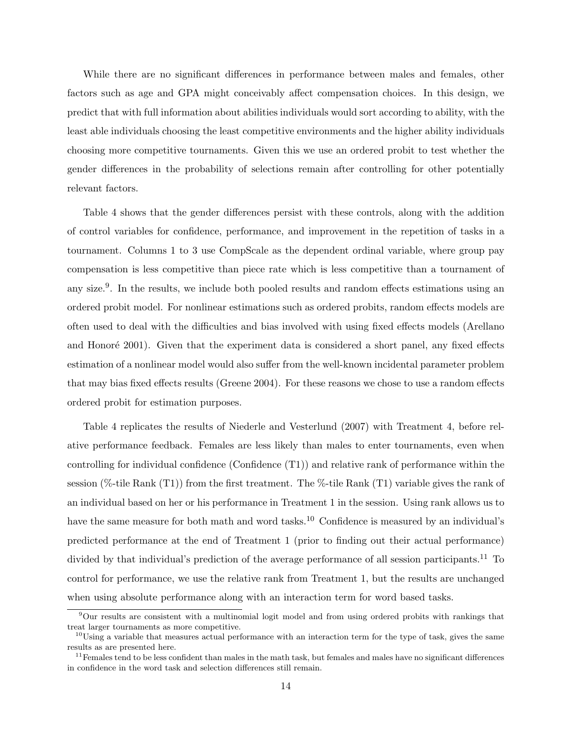While there are no significant differences in performance between males and females, other factors such as age and GPA might conceivably affect compensation choices. In this design, we predict that with full information about abilities individuals would sort according to ability, with the least able individuals choosing the least competitive environments and the higher ability individuals choosing more competitive tournaments. Given this we use an ordered probit to test whether the gender differences in the probability of selections remain after controlling for other potentially relevant factors.

Table 4 shows that the gender differences persist with these controls, along with the addition of control variables for confidence, performance, and improvement in the repetition of tasks in a tournament. Columns 1 to 3 use CompScale as the dependent ordinal variable, where group pay compensation is less competitive than piece rate which is less competitive than a tournament of any size.<sup>9</sup>. In the results, we include both pooled results and random effects estimations using an ordered probit model. For nonlinear estimations such as ordered probits, random effects models are often used to deal with the difficulties and bias involved with using fixed effects models (Arellano and Honoré 2001). Given that the experiment data is considered a short panel, any fixed effects estimation of a nonlinear model would also suffer from the well-known incidental parameter problem that may bias fixed effects results (Greene 2004). For these reasons we chose to use a random effects ordered probit for estimation purposes.

Table 4 replicates the results of Niederle and Vesterlund (2007) with Treatment 4, before relative performance feedback. Females are less likely than males to enter tournaments, even when controlling for individual confidence (Confidence (T1)) and relative rank of performance within the session (%-tile Rank  $(T1)$ ) from the first treatment. The %-tile Rank  $(T1)$  variable gives the rank of an individual based on her or his performance in Treatment 1 in the session. Using rank allows us to have the same measure for both math and word tasks.<sup>10</sup> Confidence is measured by an individual's predicted performance at the end of Treatment 1 (prior to finding out their actual performance) divided by that individual's prediction of the average performance of all session participants.<sup>11</sup> To control for performance, we use the relative rank from Treatment 1, but the results are unchanged when using absolute performance along with an interaction term for word based tasks.

<sup>9</sup>Our results are consistent with a multinomial logit model and from using ordered probits with rankings that treat larger tournaments as more competitive.

 $10$ Using a variable that measures actual performance with an interaction term for the type of task, gives the same results as are presented here.

 $11$  Females tend to be less confident than males in the math task, but females and males have no significant differences in confidence in the word task and selection differences still remain.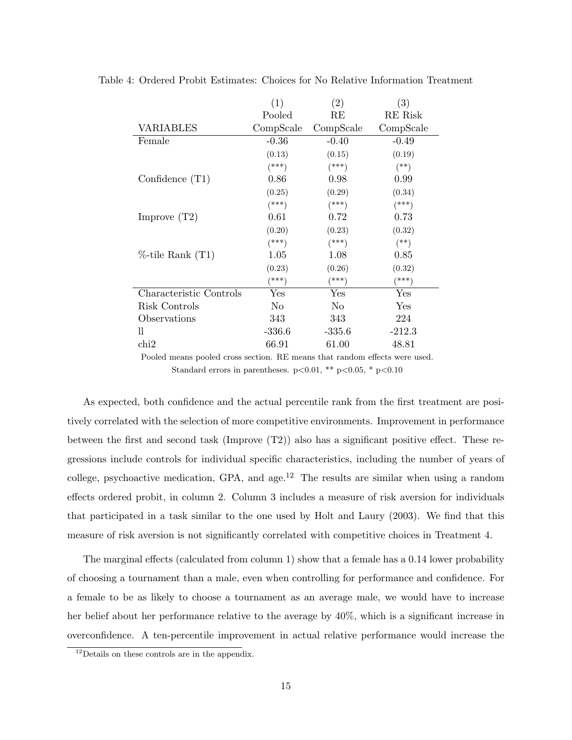|                         | (1)            | $\left( 2\right)$ | $\left( 3\right)$ |
|-------------------------|----------------|-------------------|-------------------|
|                         | Pooled         | RE                | RE Risk           |
| <b>VARIABLES</b>        | CompScale      | CompScale         | CompScale         |
| Female                  | $-0.36$        | $-0.40$           | $-0.49$           |
|                         | (0.13)         | (0.15)            | (0.19)            |
|                         | $(***)$        | $(***)$           | $^{(*)}$          |
| Confidence $(T1)$       | 0.86           | 0.98              | 0.99              |
|                         | (0.25)         | (0.29)            | (0.34)            |
|                         | $(***)$        | $(***)$           | $(***)$           |
| Improve $(T2)$          | 0.61           | 0.72              | 0.73              |
|                         | (0.20)         | (0.23)            | (0.32)            |
|                         | $(***)$        | $(***)$           | $(**)$            |
| $%$ -tile Rank $(T1)$   | 1.05           | 1.08              | 0.85              |
|                         | (0.23)         | (0.26)            | (0.32)            |
|                         | (***)          | $(***)$           | $(***)$           |
| Characteristic Controls | Yes            | Yes               | Yes               |
| Risk Controls           | N <sub>0</sub> | N <sub>0</sub>    | Yes               |
| Observations            | 343            | 343               | 224               |
| 11                      | $-336.6$       | $-335.6$          | $-212.3$          |
| chi2                    | 66.91          | 61.00             | 48.81             |

Table 4: Ordered Probit Estimates: Choices for No Relative Information Treatment

Pooled means pooled cross section. RE means that random effects were used. Standard errors in parentheses.  $p<0.01$ , \*\*  $p<0.05$ , \*  $p<0.10$ 

As expected, both confidence and the actual percentile rank from the first treatment are positively correlated with the selection of more competitive environments. Improvement in performance between the first and second task (Improve (T2)) also has a significant positive effect. These regressions include controls for individual specific characteristics, including the number of years of college, psychoactive medication, GPA, and age.<sup>12</sup> The results are similar when using a random effects ordered probit, in column 2. Column 3 includes a measure of risk aversion for individuals that participated in a task similar to the one used by Holt and Laury (2003). We find that this measure of risk aversion is not significantly correlated with competitive choices in Treatment 4.

The marginal effects (calculated from column 1) show that a female has a 0.14 lower probability of choosing a tournament than a male, even when controlling for performance and confidence. For a female to be as likely to choose a tournament as an average male, we would have to increase her belief about her performance relative to the average by 40%, which is a significant increase in overconfidence. A ten-percentile improvement in actual relative performance would increase the

<sup>&</sup>lt;sup>12</sup>Details on these controls are in the appendix.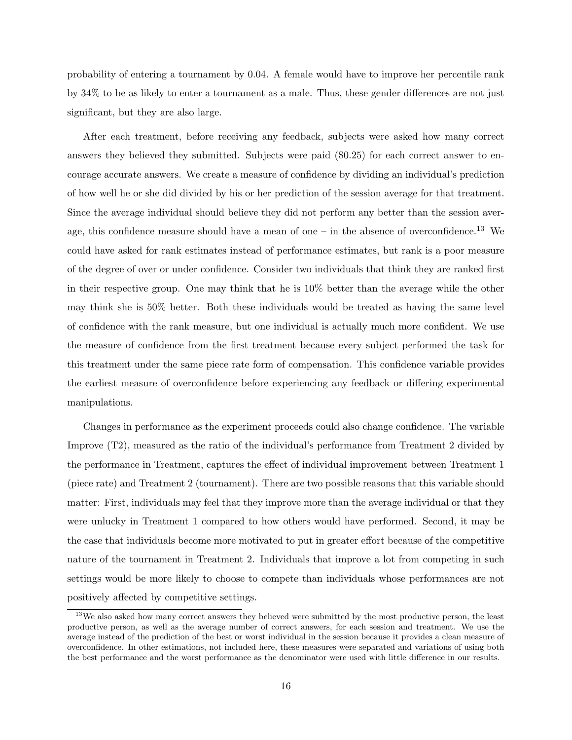probability of entering a tournament by 0.04. A female would have to improve her percentile rank by 34% to be as likely to enter a tournament as a male. Thus, these gender differences are not just significant, but they are also large.

After each treatment, before receiving any feedback, subjects were asked how many correct answers they believed they submitted. Subjects were paid (\$0.25) for each correct answer to encourage accurate answers. We create a measure of confidence by dividing an individual's prediction of how well he or she did divided by his or her prediction of the session average for that treatment. Since the average individual should believe they did not perform any better than the session average, this confidence measure should have a mean of one – in the absence of overconfidence.<sup>13</sup> We could have asked for rank estimates instead of performance estimates, but rank is a poor measure of the degree of over or under confidence. Consider two individuals that think they are ranked first in their respective group. One may think that he is 10% better than the average while the other may think she is 50% better. Both these individuals would be treated as having the same level of confidence with the rank measure, but one individual is actually much more confident. We use the measure of confidence from the first treatment because every subject performed the task for this treatment under the same piece rate form of compensation. This confidence variable provides the earliest measure of overconfidence before experiencing any feedback or differing experimental manipulations.

Changes in performance as the experiment proceeds could also change confidence. The variable Improve (T2), measured as the ratio of the individual's performance from Treatment 2 divided by the performance in Treatment, captures the effect of individual improvement between Treatment 1 (piece rate) and Treatment 2 (tournament). There are two possible reasons that this variable should matter: First, individuals may feel that they improve more than the average individual or that they were unlucky in Treatment 1 compared to how others would have performed. Second, it may be the case that individuals become more motivated to put in greater effort because of the competitive nature of the tournament in Treatment 2. Individuals that improve a lot from competing in such settings would be more likely to choose to compete than individuals whose performances are not positively affected by competitive settings.

<sup>&</sup>lt;sup>13</sup>We also asked how many correct answers they believed were submitted by the most productive person, the least productive person, as well as the average number of correct answers, for each session and treatment. We use the average instead of the prediction of the best or worst individual in the session because it provides a clean measure of overconfidence. In other estimations, not included here, these measures were separated and variations of using both the best performance and the worst performance as the denominator were used with little difference in our results.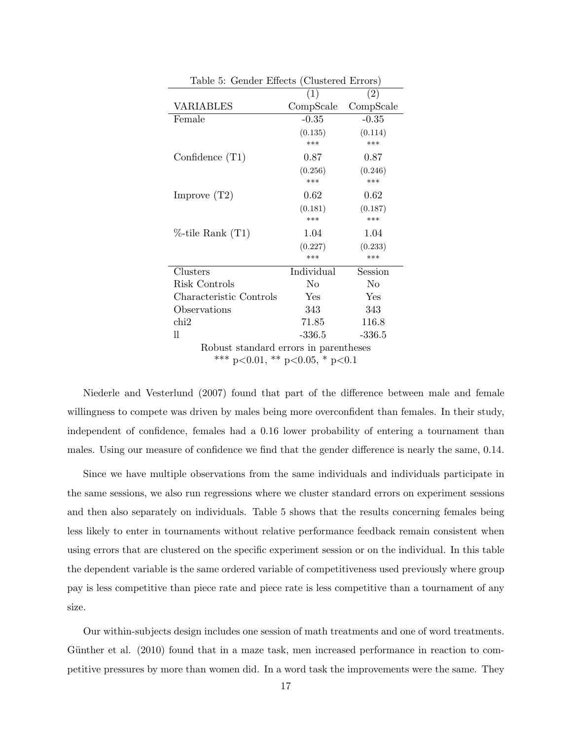| Table 5: Gender Ellects (Clustered Errors) |            |           |  |  |  |  |  |
|--------------------------------------------|------------|-----------|--|--|--|--|--|
|                                            | (1)        | (2)       |  |  |  |  |  |
| <b>VARIABLES</b>                           | CompScale  | CompScale |  |  |  |  |  |
| Female                                     | $-0.35$    | $-0.35$   |  |  |  |  |  |
|                                            | (0.135)    | (0.114)   |  |  |  |  |  |
|                                            | ***        | ***       |  |  |  |  |  |
| Confidence $(T1)$                          | 0.87       | 0.87      |  |  |  |  |  |
|                                            | (0.256)    | (0.246)   |  |  |  |  |  |
|                                            | $***$      | ***       |  |  |  |  |  |
| Improve $(T2)$                             | 0.62       | 0.62      |  |  |  |  |  |
|                                            | (0.181)    | (0.187)   |  |  |  |  |  |
|                                            | ***        | $***$     |  |  |  |  |  |
| $%$ -tile Rank $(T1)$                      | 1.04       | 1.04      |  |  |  |  |  |
|                                            | (0.227)    | (0.233)   |  |  |  |  |  |
|                                            | ***        | ***       |  |  |  |  |  |
| Clusters                                   | Individual | Session   |  |  |  |  |  |
| Risk Controls                              | No         | No        |  |  |  |  |  |
| Characteristic Controls                    | Yes        | Yes       |  |  |  |  |  |
| Observations                               | 343        | 343       |  |  |  |  |  |
| $\chi$                                     | 71.85      | 116.8     |  |  |  |  |  |
| 11                                         | $-336.5$   | $-336.5$  |  |  |  |  |  |
| Robust standard errors in parentheses      |            |           |  |  |  |  |  |

 $T<sub>1</sub>$   $\vdots$   $C<sub>1</sub>$  denotes  $\Gamma$  $T<sub>2</sub>$  denotes  $\Gamma$   $(T<sub>3</sub>$ 

\*\*\* p<0.01, \*\* p<0.05, \* p<0.1

Niederle and Vesterlund (2007) found that part of the difference between male and female willingness to compete was driven by males being more overconfident than females. In their study, independent of confidence, females had a 0.16 lower probability of entering a tournament than males. Using our measure of confidence we find that the gender difference is nearly the same, 0.14.

Since we have multiple observations from the same individuals and individuals participate in the same sessions, we also run regressions where we cluster standard errors on experiment sessions and then also separately on individuals. Table 5 shows that the results concerning females being less likely to enter in tournaments without relative performance feedback remain consistent when using errors that are clustered on the specific experiment session or on the individual. In this table the dependent variable is the same ordered variable of competitiveness used previously where group pay is less competitive than piece rate and piece rate is less competitive than a tournament of any size.

Our within-subjects design includes one session of math treatments and one of word treatments. Günther et al. (2010) found that in a maze task, men increased performance in reaction to competitive pressures by more than women did. In a word task the improvements were the same. They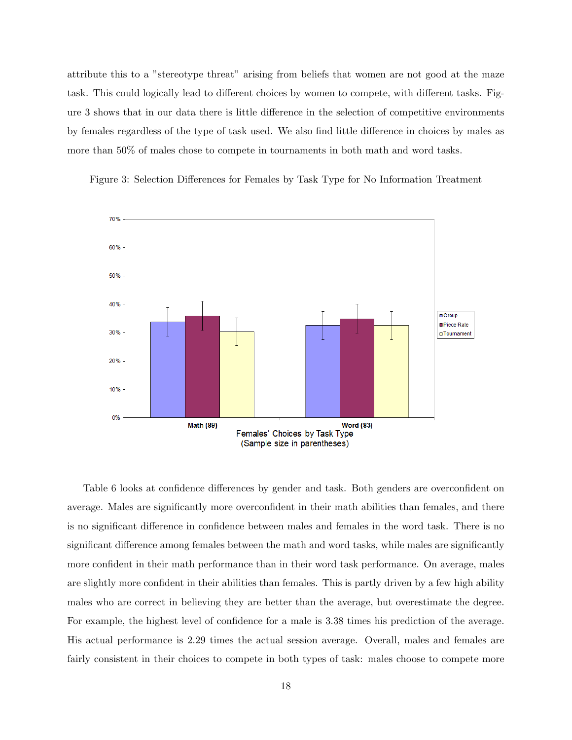attribute this to a "stereotype threat" arising from beliefs that women are not good at the maze task. This could logically lead to different choices by women to compete, with different tasks. Figure 3 shows that in our data there is little difference in the selection of competitive environments by females regardless of the type of task used. We also find little difference in choices by males as more than 50% of males chose to compete in tournaments in both math and word tasks.



Figure 3: Selection Differences for Females by Task Type for No Information Treatment

Table 6 looks at confidence differences by gender and task. Both genders are overconfident on average. Males are significantly more overconfident in their math abilities than females, and there is no significant difference in confidence between males and females in the word task. There is no significant difference among females between the math and word tasks, while males are significantly more confident in their math performance than in their word task performance. On average, males are slightly more confident in their abilities than females. This is partly driven by a few high ability males who are correct in believing they are better than the average, but overestimate the degree. For example, the highest level of confidence for a male is 3.38 times his prediction of the average. His actual performance is 2.29 times the actual session average. Overall, males and females are fairly consistent in their choices to compete in both types of task: males choose to compete more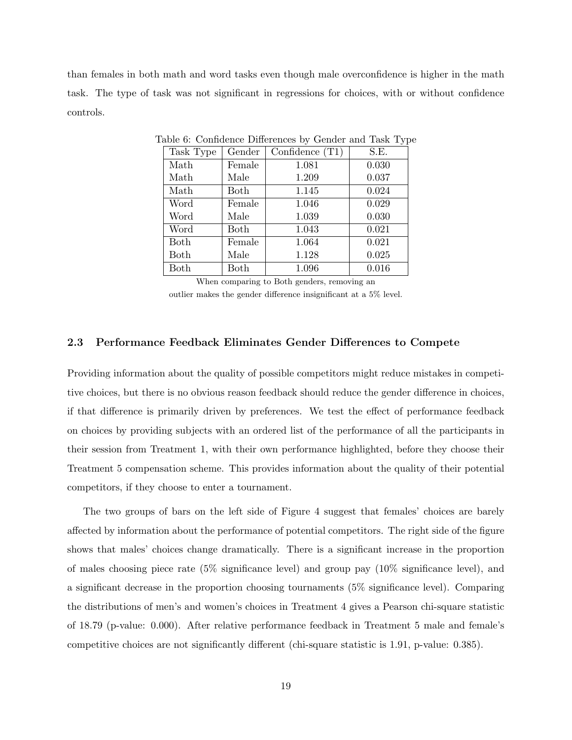than females in both math and word tasks even though male overconfidence is higher in the math task. The type of task was not significant in regressions for choices, with or without confidence controls.

| Task Type | Gender | Confidence $(T1)$ | S.E.  |
|-----------|--------|-------------------|-------|
| Math      | Female | 1.081             | 0.030 |
| Math      | Male   | 1.209             | 0.037 |
| Math      | Both   | 1.145             | 0.024 |
| Word      | Female | 1.046             | 0.029 |
| Word      | Male   | 1.039             | 0.030 |
| Word      | Both   | 1.043             | 0.021 |
| Both      | Female | 1.064             | 0.021 |
| Both      | Male   | 1.128             | 0.025 |
| Both      | Both   | 1.096             | 0.016 |

Table 6: Confidence Differences by Gender and Task Type

When comparing to Both genders, removing an

outlier makes the gender difference insignificant at a 5% level.

## 2.3 Performance Feedback Eliminates Gender Differences to Compete

Providing information about the quality of possible competitors might reduce mistakes in competitive choices, but there is no obvious reason feedback should reduce the gender difference in choices, if that difference is primarily driven by preferences. We test the effect of performance feedback on choices by providing subjects with an ordered list of the performance of all the participants in their session from Treatment 1, with their own performance highlighted, before they choose their Treatment 5 compensation scheme. This provides information about the quality of their potential competitors, if they choose to enter a tournament.

The two groups of bars on the left side of Figure 4 suggest that females' choices are barely affected by information about the performance of potential competitors. The right side of the figure shows that males' choices change dramatically. There is a significant increase in the proportion of males choosing piece rate (5% significance level) and group pay (10% significance level), and a significant decrease in the proportion choosing tournaments (5% significance level). Comparing the distributions of men's and women's choices in Treatment 4 gives a Pearson chi-square statistic of 18.79 (p-value: 0.000). After relative performance feedback in Treatment 5 male and female's competitive choices are not significantly different (chi-square statistic is 1.91, p-value: 0.385).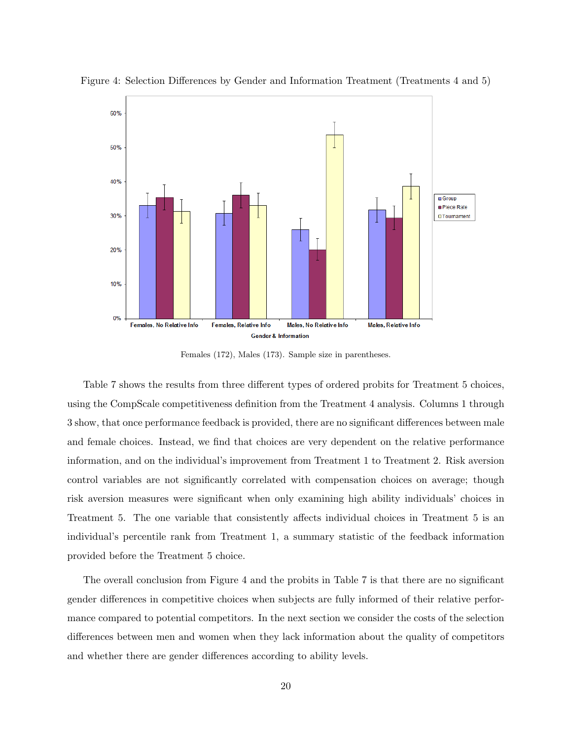

Figure 4: Selection Differences by Gender and Information Treatment (Treatments 4 and 5)

Females (172), Males (173). Sample size in parentheses.

Table 7 shows the results from three different types of ordered probits for Treatment 5 choices, using the CompScale competitiveness definition from the Treatment 4 analysis. Columns 1 through 3 show, that once performance feedback is provided, there are no significant differences between male and female choices. Instead, we find that choices are very dependent on the relative performance information, and on the individual's improvement from Treatment 1 to Treatment 2. Risk aversion control variables are not significantly correlated with compensation choices on average; though risk aversion measures were significant when only examining high ability individuals' choices in Treatment 5. The one variable that consistently affects individual choices in Treatment 5 is an individual's percentile rank from Treatment 1, a summary statistic of the feedback information provided before the Treatment 5 choice.

The overall conclusion from Figure 4 and the probits in Table 7 is that there are no significant gender differences in competitive choices when subjects are fully informed of their relative performance compared to potential competitors. In the next section we consider the costs of the selection differences between men and women when they lack information about the quality of competitors and whether there are gender differences according to ability levels.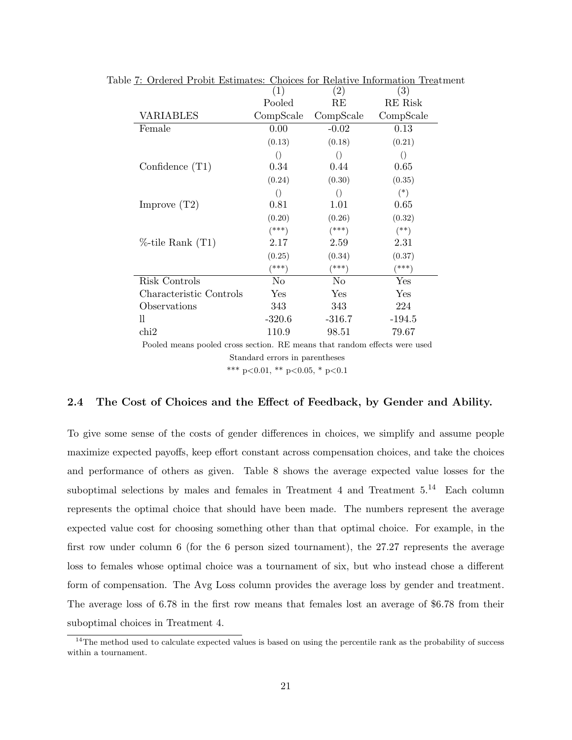|                         |                  | $\left( 2\right)$ | $\left( 3\right)$  |
|-------------------------|------------------|-------------------|--------------------|
|                         | (1)              |                   |                    |
|                         | Pooled           | RE                | RE Risk            |
| VARIABLES               | CompScale        | CompScale         | CompScale          |
| Female                  | 0.00             | $-0.02$           | 0.13               |
|                         | (0.13)           | (0.18)            | (0.21)             |
|                         | $\left( \right)$ | $\left( \right)$  | $\left( \ \right)$ |
| Confidence $(T1)$       | 0.34             | 0.44              | 0.65               |
|                         | (0.24)           | (0.30)            | (0.35)             |
|                         | $\left( \right)$ | $\left( \right)$  | $(*)$              |
| Improve $(T2)$          | 0.81             | 1.01              | 0.65               |
|                         | (0.20)           | (0.26)            | (0.32)             |
|                         | $(***)$          | $^{***}$          | $^{(**)}$          |
| $%$ -tile Rank $(T1)$   | 2.17             | 2.59              | 2.31               |
|                         | (0.25)           | (0.34)            | (0.37)             |
|                         | (***)            | (***)             | (***)              |
| Risk Controls           | N <sub>o</sub>   | N <sub>0</sub>    | Yes                |
| Characteristic Controls | Yes              | Yes               | Yes                |
| Observations            | 343              | 343               | 224                |
| 11                      | $-320.6$         | $-316.7$          | $-194.5$           |
| chi2                    | 110.9            | 98.51             | 79.67              |
|                         |                  |                   |                    |

Table 7: Ordered Probit Estimates: Choices for Relative Information Treatment

Pooled means pooled cross section. RE means that random effects were used Standard errors in parentheses \*\*\* p<0.01, \*\* p<0.05, \* p<0.1

#### 2.4 The Cost of Choices and the Effect of Feedback, by Gender and Ability.

To give some sense of the costs of gender differences in choices, we simplify and assume people maximize expected payoffs, keep effort constant across compensation choices, and take the choices and performance of others as given. Table 8 shows the average expected value losses for the suboptimal selections by males and females in Treatment 4 and Treatment  $5.^{14}$  Each column represents the optimal choice that should have been made. The numbers represent the average expected value cost for choosing something other than that optimal choice. For example, in the first row under column 6 (for the 6 person sized tournament), the 27.27 represents the average loss to females whose optimal choice was a tournament of six, but who instead chose a different form of compensation. The Avg Loss column provides the average loss by gender and treatment. The average loss of 6.78 in the first row means that females lost an average of \$6.78 from their suboptimal choices in Treatment 4.

<sup>&</sup>lt;sup>14</sup>The method used to calculate expected values is based on using the percentile rank as the probability of success within a tournament.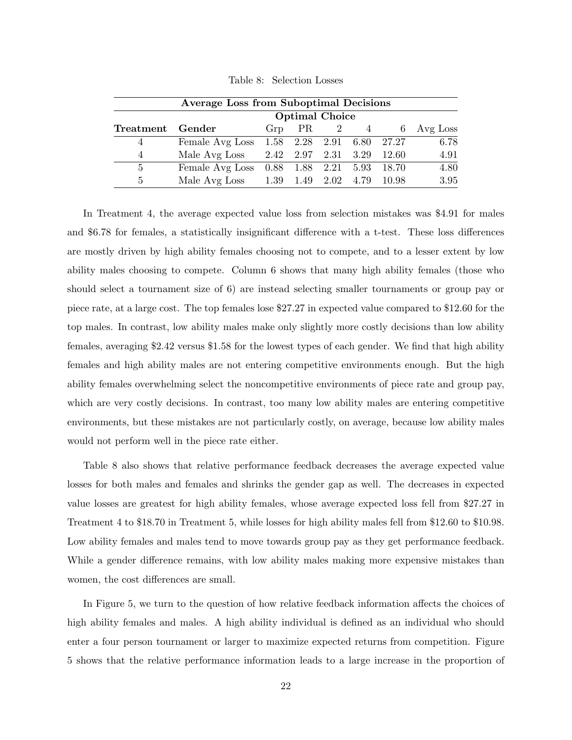| <b>Average Loss from Suboptimal Decisions</b> |                 |                       |                |  |  |                             |            |  |  |
|-----------------------------------------------|-----------------|-----------------------|----------------|--|--|-----------------------------|------------|--|--|
|                                               |                 | <b>Optimal Choice</b> |                |  |  |                             |            |  |  |
| Treatment Gender                              |                 |                       | $Grp$ PR $2$ 4 |  |  |                             | 6 Avg Loss |  |  |
|                                               | Female Avg Loss |                       |                |  |  | 1.58 2.28 2.91 6.80 27.27   | 6.78       |  |  |
| 4                                             | Male Avg Loss   |                       |                |  |  | 2.42 2.97 2.31 3.29 12.60   | 4.91       |  |  |
| 5                                             | Female Avg Loss |                       |                |  |  | $0.88$ 1.88 2.21 5.93 18.70 | 4.80       |  |  |
| $\overline{5}$                                | Male Avg Loss   |                       |                |  |  | 1.39 1.49 2.02 4.79 10.98   | 3.95       |  |  |

Table 8: Selection Losses

In Treatment 4, the average expected value loss from selection mistakes was \$4.91 for males and \$6.78 for females, a statistically insignificant difference with a t-test. These loss differences are mostly driven by high ability females choosing not to compete, and to a lesser extent by low ability males choosing to compete. Column 6 shows that many high ability females (those who should select a tournament size of 6) are instead selecting smaller tournaments or group pay or piece rate, at a large cost. The top females lose \$27.27 in expected value compared to \$12.60 for the top males. In contrast, low ability males make only slightly more costly decisions than low ability females, averaging \$2.42 versus \$1.58 for the lowest types of each gender. We find that high ability females and high ability males are not entering competitive environments enough. But the high ability females overwhelming select the noncompetitive environments of piece rate and group pay, which are very costly decisions. In contrast, too many low ability males are entering competitive environments, but these mistakes are not particularly costly, on average, because low ability males would not perform well in the piece rate either.

Table 8 also shows that relative performance feedback decreases the average expected value losses for both males and females and shrinks the gender gap as well. The decreases in expected value losses are greatest for high ability females, whose average expected loss fell from \$27.27 in Treatment 4 to \$18.70 in Treatment 5, while losses for high ability males fell from \$12.60 to \$10.98. Low ability females and males tend to move towards group pay as they get performance feedback. While a gender difference remains, with low ability males making more expensive mistakes than women, the cost differences are small.

In Figure 5, we turn to the question of how relative feedback information affects the choices of high ability females and males. A high ability individual is defined as an individual who should enter a four person tournament or larger to maximize expected returns from competition. Figure 5 shows that the relative performance information leads to a large increase in the proportion of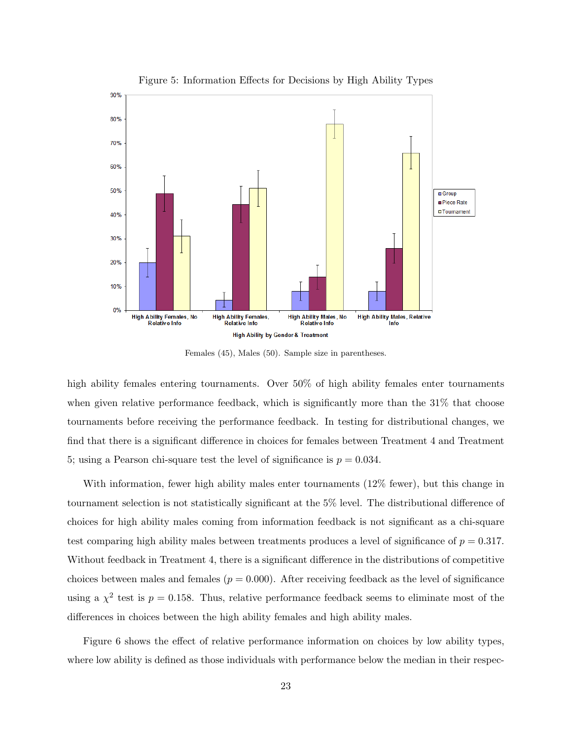

Figure 5: Information Effects for Decisions by High Ability Types

Females (45), Males (50). Sample size in parentheses.

high ability females entering tournaments. Over 50% of high ability females enter tournaments when given relative performance feedback, which is significantly more than the 31% that choose tournaments before receiving the performance feedback. In testing for distributional changes, we find that there is a significant difference in choices for females between Treatment 4 and Treatment 5; using a Pearson chi-square test the level of significance is  $p = 0.034$ .

With information, fewer high ability males enter tournaments (12% fewer), but this change in tournament selection is not statistically significant at the 5% level. The distributional difference of choices for high ability males coming from information feedback is not significant as a chi-square test comparing high ability males between treatments produces a level of significance of  $p = 0.317$ . Without feedback in Treatment 4, there is a significant difference in the distributions of competitive choices between males and females  $(p = 0.000)$ . After receiving feedback as the level of significance using a  $\chi^2$  test is  $p = 0.158$ . Thus, relative performance feedback seems to eliminate most of the differences in choices between the high ability females and high ability males.

Figure 6 shows the effect of relative performance information on choices by low ability types, where low ability is defined as those individuals with performance below the median in their respec-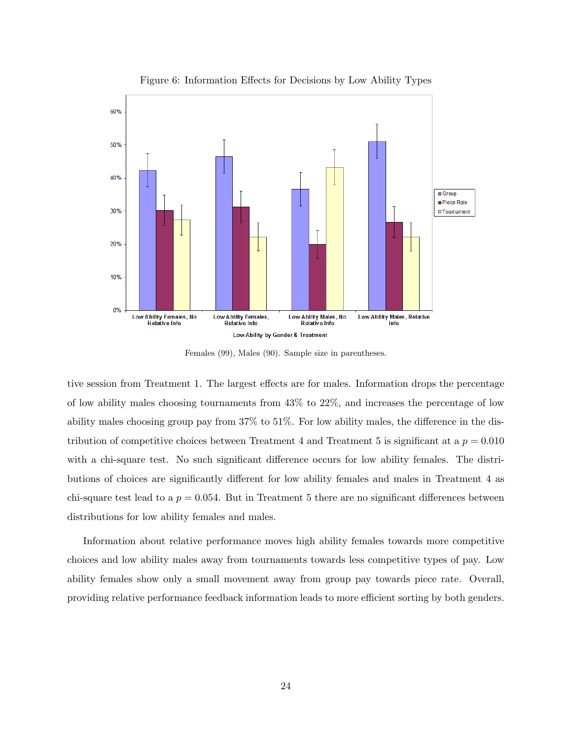

Figure 6: Information Effects for Decisions by Low Ability Types

Females (99), Males (90). Sample size in parentheses.

tive session from Treatment 1. The largest effects are for males. Information drops the percentage of low ability males choosing tournaments from 43% to 22%, and increases the percentage of low ability males choosing group pay from 37% to 51%. For low ability males, the difference in the distribution of competitive choices between Treatment 4 and Treatment 5 is significant at a  $p = 0.010$ with a chi-square test. No such significant difference occurs for low ability females. The distributions of choices are significantly different for low ability females and males in Treatment 4 as chi-square test lead to a  $p = 0.054$ . But in Treatment 5 there are no significant differences between distributions for low ability females and males.

Information about relative performance moves high ability females towards more competitive choices and low ability males away from tournaments towards less competitive types of pay. Low ability females show only a small movement away from group pay towards piece rate. Overall, providing relative performance feedback information leads to more efficient sorting by both genders.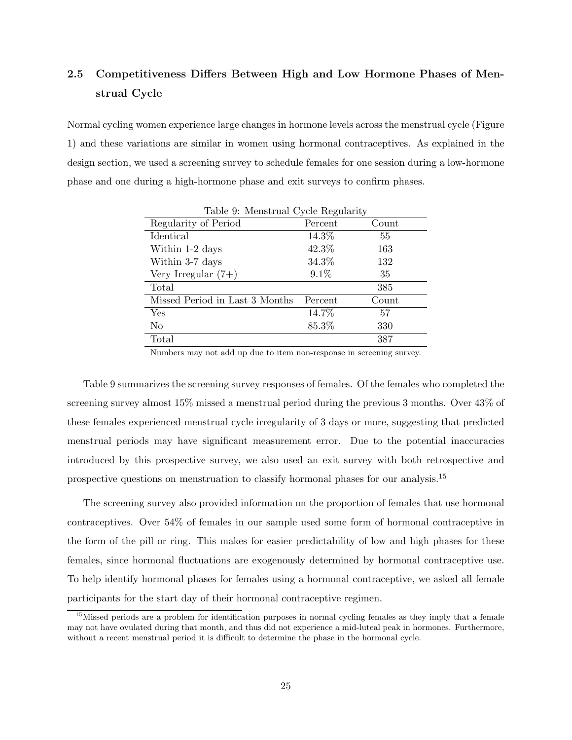## 2.5 Competitiveness Differs Between High and Low Hormone Phases of Menstrual Cycle

Normal cycling women experience large changes in hormone levels across the menstrual cycle (Figure 1) and these variations are similar in women using hormonal contraceptives. As explained in the design section, we used a screening survey to schedule females for one session during a low-hormone phase and one during a high-hormone phase and exit surveys to confirm phases.

| Table 9: Menstrual Cycle Regularity |         |       |  |  |  |  |  |
|-------------------------------------|---------|-------|--|--|--|--|--|
| Regularity of Period                | Percent | Count |  |  |  |  |  |
| Identical                           | 14.3%   | 55    |  |  |  |  |  |
| Within 1-2 days                     | 42.3%   | 163   |  |  |  |  |  |
| Within 3-7 days                     | 34.3%   | 132   |  |  |  |  |  |
| Very Irregular $(7+)$               | $9.1\%$ | 35    |  |  |  |  |  |
| Total                               |         | 385   |  |  |  |  |  |
| Missed Period in Last 3 Months      | Percent | Count |  |  |  |  |  |
| Yes                                 | 14.7%   | 57    |  |  |  |  |  |
| No                                  | 85.3%   | 330   |  |  |  |  |  |
| Total                               |         | 387   |  |  |  |  |  |

Numbers may not add up due to item non-response in screening survey.

Table 9 summarizes the screening survey responses of females. Of the females who completed the screening survey almost 15% missed a menstrual period during the previous 3 months. Over 43% of these females experienced menstrual cycle irregularity of 3 days or more, suggesting that predicted menstrual periods may have significant measurement error. Due to the potential inaccuracies introduced by this prospective survey, we also used an exit survey with both retrospective and prospective questions on menstruation to classify hormonal phases for our analysis.<sup>15</sup>

The screening survey also provided information on the proportion of females that use hormonal contraceptives. Over 54% of females in our sample used some form of hormonal contraceptive in the form of the pill or ring. This makes for easier predictability of low and high phases for these females, since hormonal fluctuations are exogenously determined by hormonal contraceptive use. To help identify hormonal phases for females using a hormonal contraceptive, we asked all female participants for the start day of their hormonal contraceptive regimen.

<sup>&</sup>lt;sup>15</sup>Missed periods are a problem for identification purposes in normal cycling females as they imply that a female may not have ovulated during that month, and thus did not experience a mid-luteal peak in hormones. Furthermore, without a recent menstrual period it is difficult to determine the phase in the hormonal cycle.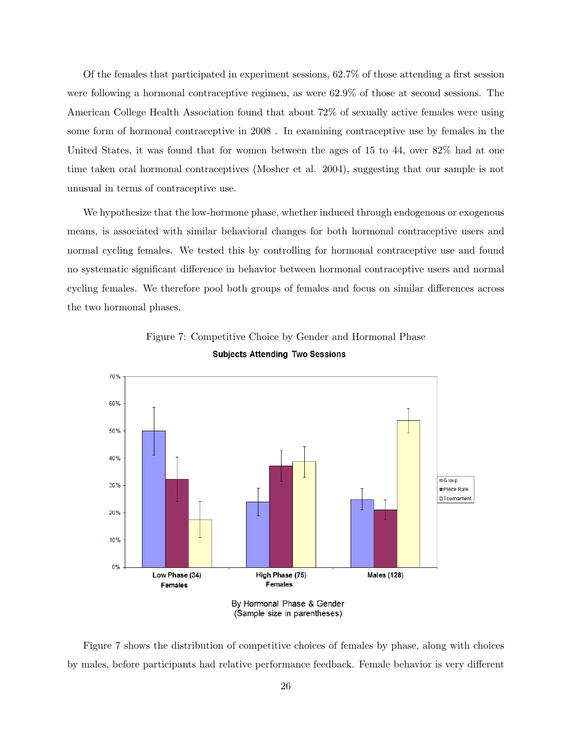Of the females that participated in experiment sessions, 62.7% of those attending a first session were following a hormonal contraceptive regimen, as were 62.9% of those at second sessions. The American College Health Association found that about 72% of sexually active females were using some form of hormonal contraceptive in 2008 . In examining contraceptive use by females in the United States, it was found that for women between the ages of 15 to 44, over 82% had at one time taken oral hormonal contraceptives (Mosher et al. 2004), suggesting that our sample is not unusual in terms of contraceptive use.

We hypothesize that the low-hormone phase, whether induced through endogenous or exogenous means, is associated with similar behavioral changes for both hormonal contraceptive users and normal cycling females. We tested this by controlling for hormonal contraceptive use and found no systematic significant difference in behavior between hormonal contraceptive users and normal cycling females. We therefore pool both groups of females and focus on similar differences across the two hormonal phases.



Figure 7: Competitive Choice by Gender and Hormonal Phase **Subjects Attending Two Sessions** 

Figure 7 shows the distribution of competitive choices of females by phase, along with choices by males, before participants had relative performance feedback. Female behavior is very different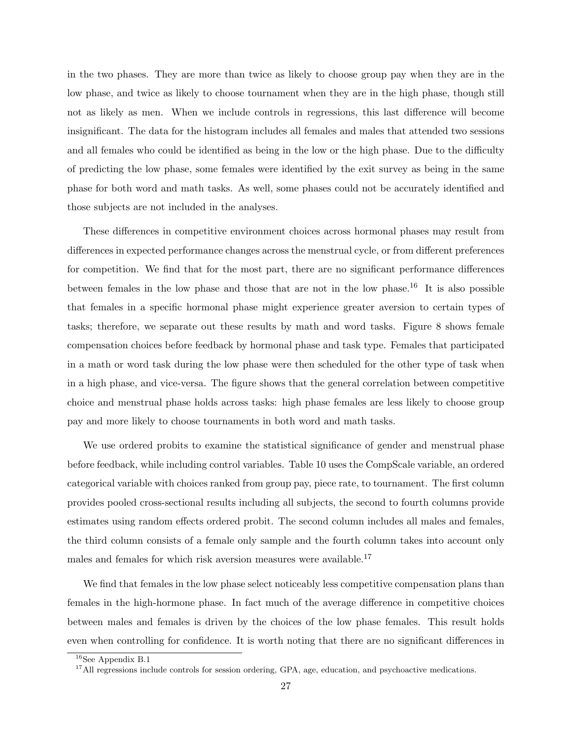in the two phases. They are more than twice as likely to choose group pay when they are in the low phase, and twice as likely to choose tournament when they are in the high phase, though still not as likely as men. When we include controls in regressions, this last difference will become insignificant. The data for the histogram includes all females and males that attended two sessions and all females who could be identified as being in the low or the high phase. Due to the difficulty of predicting the low phase, some females were identified by the exit survey as being in the same phase for both word and math tasks. As well, some phases could not be accurately identified and those subjects are not included in the analyses.

These differences in competitive environment choices across hormonal phases may result from differences in expected performance changes across the menstrual cycle, or from different preferences for competition. We find that for the most part, there are no significant performance differences between females in the low phase and those that are not in the low phase.<sup>16</sup> It is also possible that females in a specific hormonal phase might experience greater aversion to certain types of tasks; therefore, we separate out these results by math and word tasks. Figure 8 shows female compensation choices before feedback by hormonal phase and task type. Females that participated in a math or word task during the low phase were then scheduled for the other type of task when in a high phase, and vice-versa. The figure shows that the general correlation between competitive choice and menstrual phase holds across tasks: high phase females are less likely to choose group pay and more likely to choose tournaments in both word and math tasks.

We use ordered probits to examine the statistical significance of gender and menstrual phase before feedback, while including control variables. Table 10 uses the CompScale variable, an ordered categorical variable with choices ranked from group pay, piece rate, to tournament. The first column provides pooled cross-sectional results including all subjects, the second to fourth columns provide estimates using random effects ordered probit. The second column includes all males and females, the third column consists of a female only sample and the fourth column takes into account only males and females for which risk aversion measures were available.<sup>17</sup>

We find that females in the low phase select noticeably less competitive compensation plans than females in the high-hormone phase. In fact much of the average difference in competitive choices between males and females is driven by the choices of the low phase females. This result holds even when controlling for confidence. It is worth noting that there are no significant differences in

 $16$ See Appendix B.1

<sup>&</sup>lt;sup>17</sup>All regressions include controls for session ordering, GPA, age, education, and psychoactive medications.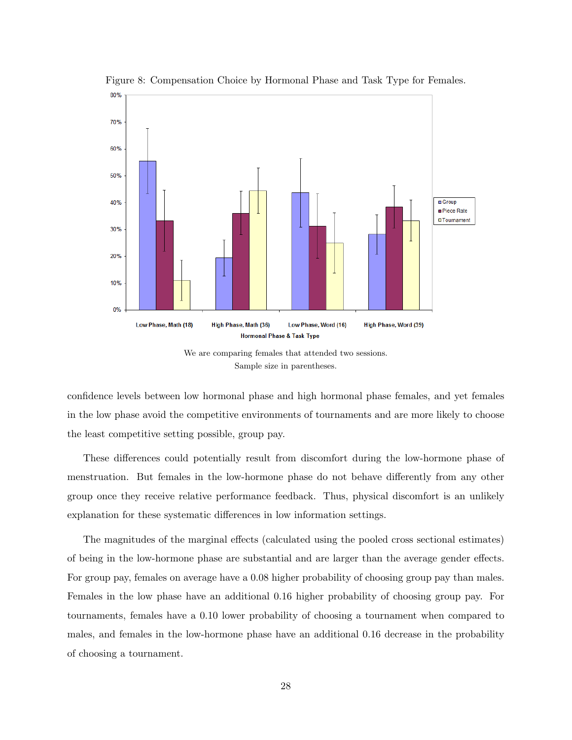

Figure 8: Compensation Choice by Hormonal Phase and Task Type for Females.

We are comparing females that attended two sessions. Sample size in parentheses.

confidence levels between low hormonal phase and high hormonal phase females, and yet females in the low phase avoid the competitive environments of tournaments and are more likely to choose the least competitive setting possible, group pay.

These differences could potentially result from discomfort during the low-hormone phase of menstruation. But females in the low-hormone phase do not behave differently from any other group once they receive relative performance feedback. Thus, physical discomfort is an unlikely explanation for these systematic differences in low information settings.

The magnitudes of the marginal effects (calculated using the pooled cross sectional estimates) of being in the low-hormone phase are substantial and are larger than the average gender effects. For group pay, females on average have a 0.08 higher probability of choosing group pay than males. Females in the low phase have an additional 0.16 higher probability of choosing group pay. For tournaments, females have a 0.10 lower probability of choosing a tournament when compared to males, and females in the low-hormone phase have an additional 0.16 decrease in the probability of choosing a tournament.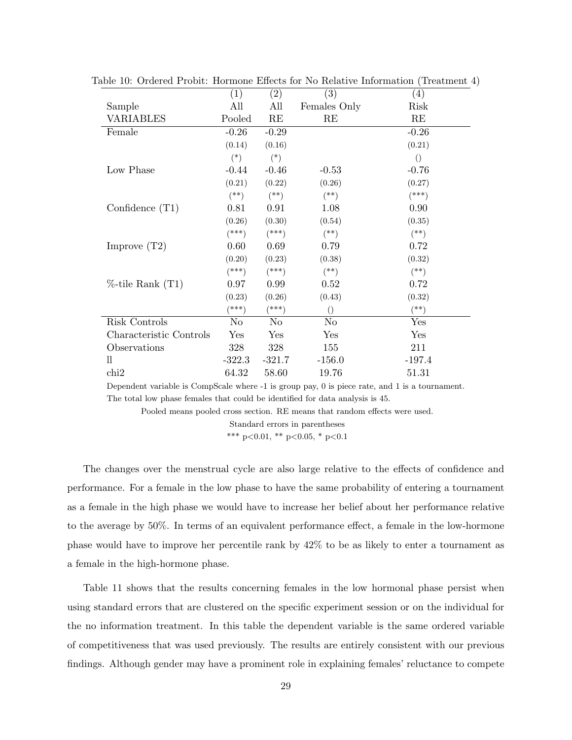|                         | (1)      | (2)            | $\left( 3\right)$ | (4)              |
|-------------------------|----------|----------------|-------------------|------------------|
| Sample                  | All      | All            | Females Only      | Risk             |
| <b>VARIABLES</b>        | Pooled   | RE             | RE                | RE               |
| Female                  | $-0.26$  | $-0.29$        |                   | $-0.26$          |
|                         | (0.14)   | (0.16)         |                   | (0.21)           |
|                         | $(*)$    | $(*)$          |                   | $\left( \right)$ |
| Low Phase               | $-0.44$  | $-0.46$        | $-0.53$           | $-0.76$          |
|                         | (0.21)   | (0.22)         | (0.26)            | (0.27)           |
|                         | $($ **)  | $(**)$         | $(**)$            | $(***)$          |
| Confidence $(T1)$       | 0.81     | 0.91           | 1.08              | 0.90             |
|                         | (0.26)   | (0.30)         | (0.54)            | (0.35)           |
|                         | $(***)$  | $(***)$        | $(*)$             | $(**)$           |
| Improve $(T2)$          | 0.60     | 0.69           | 0.79              | 0.72             |
|                         | (0.20)   | (0.23)         | (0.38)            | (0.32)           |
|                         | $(***)$  | $(***)$        | $(\ast \ast)$     | $($ **)          |
| $%$ -tile Rank $(T1)$   | 0.97     | 0.99           | 0.52              | 0.72             |
|                         | (0.23)   | (0.26)         | (0.43)            | (0.32)           |
|                         | (***)    | $^{***}$       | $\left( \right)$  | $^{(*)}$         |
| Risk Controls           | No       | N <sub>o</sub> | N <sub>o</sub>    | Yes              |
| Characteristic Controls | Yes      | Yes            | Yes               | Yes              |
| Observations            | 328      | 328            | 155               | 211              |
| $_{\rm ll}$             | $-322.3$ | $-321.7$       | $-156.0$          | $-197.4$         |
| chi2                    | 64.32    | 58.60          | 19.76             | 51.31            |
|                         |          |                |                   |                  |

Table 10: Ordered Probit: Hormone Effects for No Relative Information (Treatment 4)

Dependent variable is CompScale where -1 is group pay, 0 is piece rate, and 1 is a tournament. The total low phase females that could be identified for data analysis is 45.

Pooled means pooled cross section. RE means that random effects were used.

Standard errors in parentheses

\*\*\* p<0.01, \*\* p<0.05, \* p<0.1

The changes over the menstrual cycle are also large relative to the effects of confidence and performance. For a female in the low phase to have the same probability of entering a tournament as a female in the high phase we would have to increase her belief about her performance relative to the average by 50%. In terms of an equivalent performance effect, a female in the low-hormone phase would have to improve her percentile rank by 42% to be as likely to enter a tournament as a female in the high-hormone phase.

Table 11 shows that the results concerning females in the low hormonal phase persist when using standard errors that are clustered on the specific experiment session or on the individual for the no information treatment. In this table the dependent variable is the same ordered variable of competitiveness that was used previously. The results are entirely consistent with our previous findings. Although gender may have a prominent role in explaining females' reluctance to compete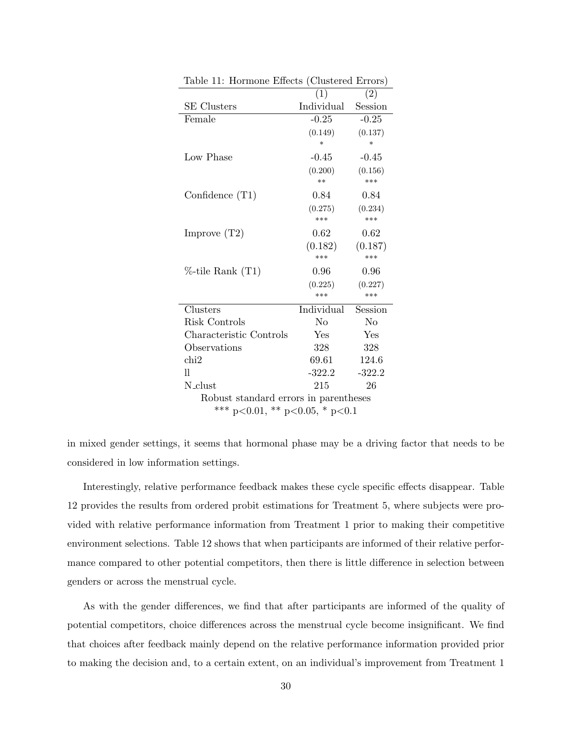| rapie 11.<br>THOLIHOITE EITECTS (CHRISTER EITERS) |                                       |          |  |  |  |  |  |  |
|---------------------------------------------------|---------------------------------------|----------|--|--|--|--|--|--|
|                                                   | (1)                                   | (2)      |  |  |  |  |  |  |
| <b>SE</b> Clusters                                | Individual                            | Session  |  |  |  |  |  |  |
| Female                                            | $-0.25$                               | $-0.25$  |  |  |  |  |  |  |
|                                                   | (0.149)                               | (0.137)  |  |  |  |  |  |  |
|                                                   | $\ast$                                | $\ast$   |  |  |  |  |  |  |
| Low Phase                                         | $-0.45$                               | $-0.45$  |  |  |  |  |  |  |
|                                                   | (0.200)                               | (0.156)  |  |  |  |  |  |  |
|                                                   | $**$                                  | ***      |  |  |  |  |  |  |
| Confidence $(T1)$                                 | $0.84\,$                              | 0.84     |  |  |  |  |  |  |
|                                                   | (0.275)                               | (0.234)  |  |  |  |  |  |  |
|                                                   | ***                                   | ***      |  |  |  |  |  |  |
| Improve $(T2)$                                    | 0.62                                  | 0.62     |  |  |  |  |  |  |
|                                                   | (0.182)                               | (0.187)  |  |  |  |  |  |  |
|                                                   | ***                                   | ***      |  |  |  |  |  |  |
| %-tile Rank (T1)                                  | 0.96                                  | 0.96     |  |  |  |  |  |  |
|                                                   | (0.225)                               | (0.227)  |  |  |  |  |  |  |
|                                                   | ***                                   | ***      |  |  |  |  |  |  |
| Clusters                                          | Individual                            | Session  |  |  |  |  |  |  |
| Risk Controls                                     | No                                    | No       |  |  |  |  |  |  |
| Characteristic Controls                           | Yes                                   | Yes      |  |  |  |  |  |  |
| Observations                                      | 328                                   | 328      |  |  |  |  |  |  |
| chi <sub>2</sub>                                  | 69.61                                 | 124.6    |  |  |  |  |  |  |
| 11                                                | $-322.2$                              | $-322.2$ |  |  |  |  |  |  |
| N_clust                                           | 215                                   | 26       |  |  |  |  |  |  |
|                                                   | Robust standard errors in parentheses |          |  |  |  |  |  |  |
| *** p<0.01, ** p<0.05, * p<0.1                    |                                       |          |  |  |  |  |  |  |

Table 11: Hormone Effects (Clustered Errors)

in mixed gender settings, it seems that hormonal phase may be a driving factor that needs to be considered in low information settings.

Interestingly, relative performance feedback makes these cycle specific effects disappear. Table 12 provides the results from ordered probit estimations for Treatment 5, where subjects were provided with relative performance information from Treatment 1 prior to making their competitive environment selections. Table 12 shows that when participants are informed of their relative performance compared to other potential competitors, then there is little difference in selection between genders or across the menstrual cycle.

As with the gender differences, we find that after participants are informed of the quality of potential competitors, choice differences across the menstrual cycle become insignificant. We find that choices after feedback mainly depend on the relative performance information provided prior to making the decision and, to a certain extent, on an individual's improvement from Treatment 1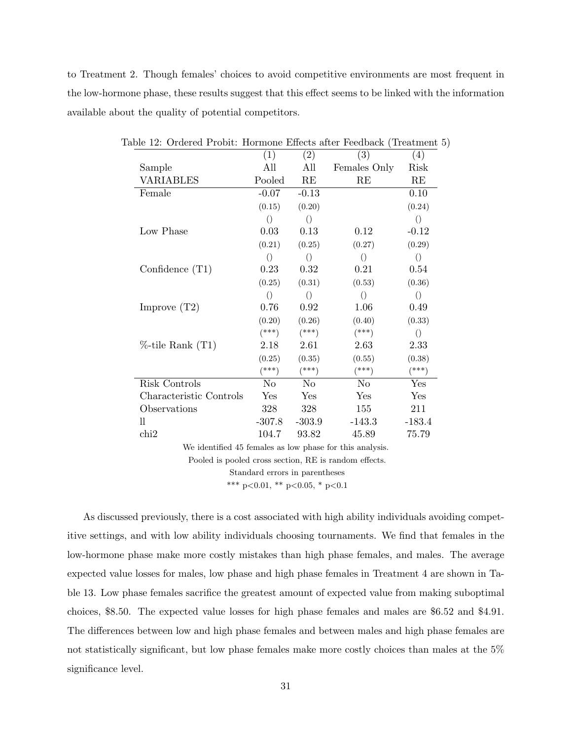to Treatment 2. Though females' choices to avoid competitive environments are most frequent in the low-hormone phase, these results suggest that this effect seems to be linked with the information available about the quality of potential competitors.

|                                                         | (1)              | (2)              | (3)              | (4)              |
|---------------------------------------------------------|------------------|------------------|------------------|------------------|
| Sample                                                  | All              | All              | Females Only     | Risk             |
| <b>VARIABLES</b>                                        | Pooled           | RE               | RE               | RE               |
| Female                                                  | $-0.07$          | $-0.13$          |                  | 0.10             |
|                                                         | (0.15)           | (0.20)           |                  | (0.24)           |
|                                                         | $\left(\right)$  | $\left( \right)$ |                  | $\left(\right)$  |
| Low Phase                                               | 0.03             | 0.13             | 0.12             | $-0.12$          |
|                                                         | (0.21)           | (0.25)           | (0.27)           | (0.29)           |
|                                                         | $\left(\right)$  | $\left(\right)$  | $\left( \right)$ | $\left( \right)$ |
| Confidence $(T1)$                                       | 0.23             | 0.32             | 0.21             | 0.54             |
|                                                         | (0.25)           | (0.31)           | (0.53)           | (0.36)           |
|                                                         | $\left( \right)$ | $\left( \right)$ | $\left(\right)$  | $\left( \right)$ |
| Improve $(T2)$                                          | 0.76             | 0.92             | 1.06             | 0.49             |
|                                                         | (0.20)           | (0.26)           | (0.40)           | (0.33)           |
|                                                         | $(***)$          | $(***)$          | $(***)$          | $\left(\right)$  |
| $%$ -tile Rank $(T1)$                                   | 2.18             | 2.61             | 2.63             | 2.33             |
|                                                         | (0.25)           | (0.35)           | (0.55)           | (0.38)           |
|                                                         | $(***)$          | $(***)$          | $(***)$          | $(***)$          |
| Risk Controls                                           | $\rm No$         | $\rm No$         | $\rm No$         | Yes              |
| Characteristic Controls                                 | Yes              | Yes              | Yes              | Yes              |
| Observations                                            | 328              | 328              | 155              | 211              |
| $_{\rm ll}$                                             | $-307.8$         | $-303.9$         | $-143.3$         | $-183.4$         |
| chi2                                                    | 104.7            | 93.82            | 45.89            | 75.79            |
| We identified 45 females as low phase for this applysis |                  |                  |                  |                  |

Table 12: Ordered Probit: Hormone Effects after Feedback (Treatment 5)

We identified 45 females as low phase for this analysis.

Pooled is pooled cross section, RE is random effects.

Standard errors in parentheses

\*\*\* p<0.01, \*\* p<0.05, \* p<0.1

As discussed previously, there is a cost associated with high ability individuals avoiding competitive settings, and with low ability individuals choosing tournaments. We find that females in the low-hormone phase make more costly mistakes than high phase females, and males. The average expected value losses for males, low phase and high phase females in Treatment 4 are shown in Table 13. Low phase females sacrifice the greatest amount of expected value from making suboptimal choices, \$8.50. The expected value losses for high phase females and males are \$6.52 and \$4.91. The differences between low and high phase females and between males and high phase females are not statistically significant, but low phase females make more costly choices than males at the 5% significance level.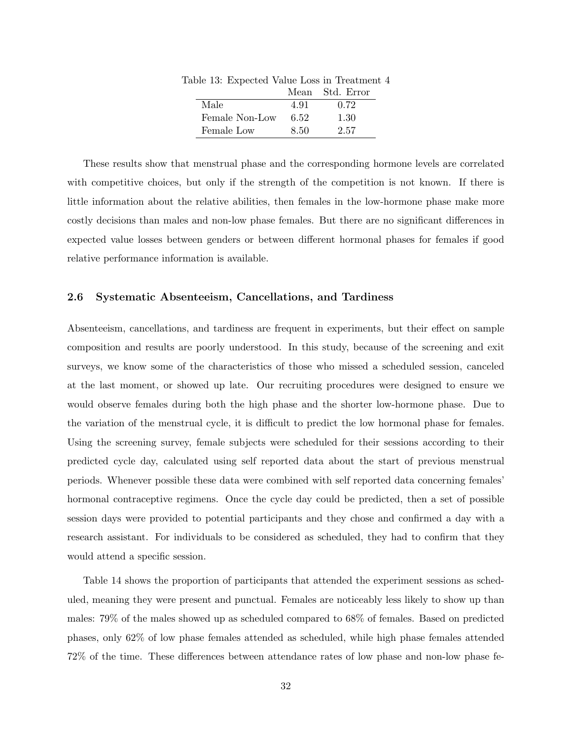| ole 10. Expected value 2000 in frequinci |      |                 |
|------------------------------------------|------|-----------------|
|                                          |      | Mean Std. Error |
| Male                                     | 4.91 | 0.72            |
| Female Non-Low                           | 6.52 | 1.30            |
| Female Low                               | 8.50 | 2.57            |

Table 13: Expected Value Loss in Treatment 4

These results show that menstrual phase and the corresponding hormone levels are correlated with competitive choices, but only if the strength of the competition is not known. If there is little information about the relative abilities, then females in the low-hormone phase make more costly decisions than males and non-low phase females. But there are no significant differences in expected value losses between genders or between different hormonal phases for females if good relative performance information is available.

## 2.6 Systematic Absenteeism, Cancellations, and Tardiness

Absenteeism, cancellations, and tardiness are frequent in experiments, but their effect on sample composition and results are poorly understood. In this study, because of the screening and exit surveys, we know some of the characteristics of those who missed a scheduled session, canceled at the last moment, or showed up late. Our recruiting procedures were designed to ensure we would observe females during both the high phase and the shorter low-hormone phase. Due to the variation of the menstrual cycle, it is difficult to predict the low hormonal phase for females. Using the screening survey, female subjects were scheduled for their sessions according to their predicted cycle day, calculated using self reported data about the start of previous menstrual periods. Whenever possible these data were combined with self reported data concerning females' hormonal contraceptive regimens. Once the cycle day could be predicted, then a set of possible session days were provided to potential participants and they chose and confirmed a day with a research assistant. For individuals to be considered as scheduled, they had to confirm that they would attend a specific session.

Table 14 shows the proportion of participants that attended the experiment sessions as scheduled, meaning they were present and punctual. Females are noticeably less likely to show up than males: 79% of the males showed up as scheduled compared to 68% of females. Based on predicted phases, only 62% of low phase females attended as scheduled, while high phase females attended 72% of the time. These differences between attendance rates of low phase and non-low phase fe-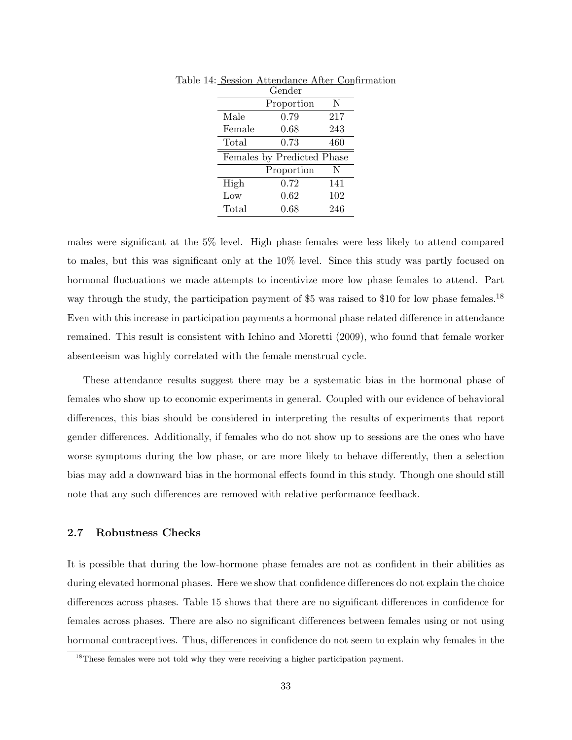|        | Gender                     |     |
|--------|----------------------------|-----|
|        | Proportion                 | N   |
| Male   | 0.79                       | 217 |
| Female | 0.68                       | 243 |
| Total  | 0.73                       | 460 |
|        | Females by Predicted Phase |     |
|        | Proportion                 | N   |
| High   | 0.72                       | 141 |
| Low    | $0.62\,$                   | 102 |
| Total  | 0.68                       | 246 |

Table 14: Session Attendance After Confirmation

males were significant at the 5% level. High phase females were less likely to attend compared to males, but this was significant only at the 10% level. Since this study was partly focused on hormonal fluctuations we made attempts to incentivize more low phase females to attend. Part way through the study, the participation payment of \$5 was raised to \$10 for low phase females.<sup>18</sup> Even with this increase in participation payments a hormonal phase related difference in attendance remained. This result is consistent with Ichino and Moretti (2009), who found that female worker absenteeism was highly correlated with the female menstrual cycle.

These attendance results suggest there may be a systematic bias in the hormonal phase of females who show up to economic experiments in general. Coupled with our evidence of behavioral differences, this bias should be considered in interpreting the results of experiments that report gender differences. Additionally, if females who do not show up to sessions are the ones who have worse symptoms during the low phase, or are more likely to behave differently, then a selection bias may add a downward bias in the hormonal effects found in this study. Though one should still note that any such differences are removed with relative performance feedback.

#### 2.7 Robustness Checks

It is possible that during the low-hormone phase females are not as confident in their abilities as during elevated hormonal phases. Here we show that confidence differences do not explain the choice differences across phases. Table 15 shows that there are no significant differences in confidence for females across phases. There are also no significant differences between females using or not using hormonal contraceptives. Thus, differences in confidence do not seem to explain why females in the

<sup>&</sup>lt;sup>18</sup>These females were not told why they were receiving a higher participation payment.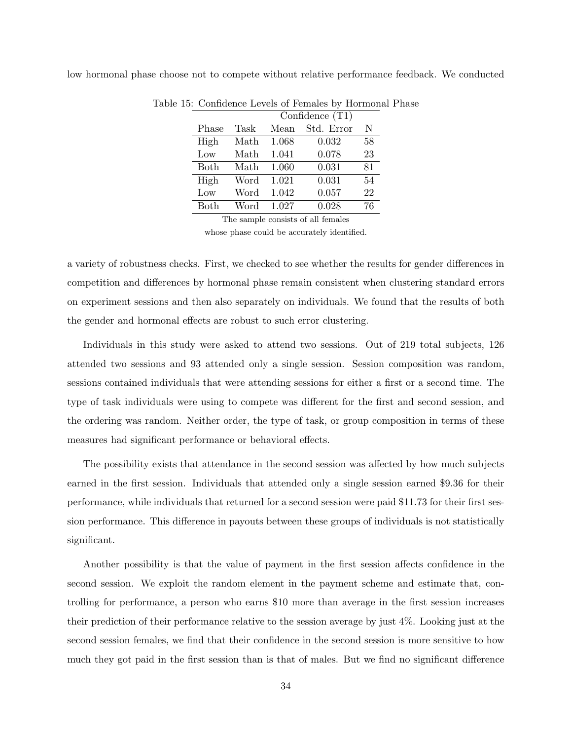|       |      |       | Table 15: Confidence Levels of Females by Hormonal Phase |     |  |
|-------|------|-------|----------------------------------------------------------|-----|--|
|       |      |       | Confidence $(T1)$                                        |     |  |
| Phase | Task |       | Mean Std. Error                                          | - N |  |
| High  | Math | 1.068 | 0.032                                                    | 58  |  |
| Low   | Math | 1.041 | 0.078                                                    | 23  |  |
| Both  | Math | 1.060 | 0.031                                                    | 81  |  |
| High  | Word | 1.021 | 0.031                                                    | 54  |  |
| Low   | Word | 1.042 | 0.057                                                    | 22  |  |
| Both  | Word | 1.027 | 0.028                                                    | 76  |  |
|       |      |       |                                                          |     |  |

low hormonal phase choose not to compete without relative performance feedback. We conducted

The sample consists of all females

whose phase could be accurately identified.

a variety of robustness checks. First, we checked to see whether the results for gender differences in competition and differences by hormonal phase remain consistent when clustering standard errors on experiment sessions and then also separately on individuals. We found that the results of both the gender and hormonal effects are robust to such error clustering.

Individuals in this study were asked to attend two sessions. Out of 219 total subjects, 126 attended two sessions and 93 attended only a single session. Session composition was random, sessions contained individuals that were attending sessions for either a first or a second time. The type of task individuals were using to compete was different for the first and second session, and the ordering was random. Neither order, the type of task, or group composition in terms of these measures had significant performance or behavioral effects.

The possibility exists that attendance in the second session was affected by how much subjects earned in the first session. Individuals that attended only a single session earned \$9.36 for their performance, while individuals that returned for a second session were paid \$11.73 for their first session performance. This difference in payouts between these groups of individuals is not statistically significant.

Another possibility is that the value of payment in the first session affects confidence in the second session. We exploit the random element in the payment scheme and estimate that, controlling for performance, a person who earns \$10 more than average in the first session increases their prediction of their performance relative to the session average by just 4%. Looking just at the second session females, we find that their confidence in the second session is more sensitive to how much they got paid in the first session than is that of males. But we find no significant difference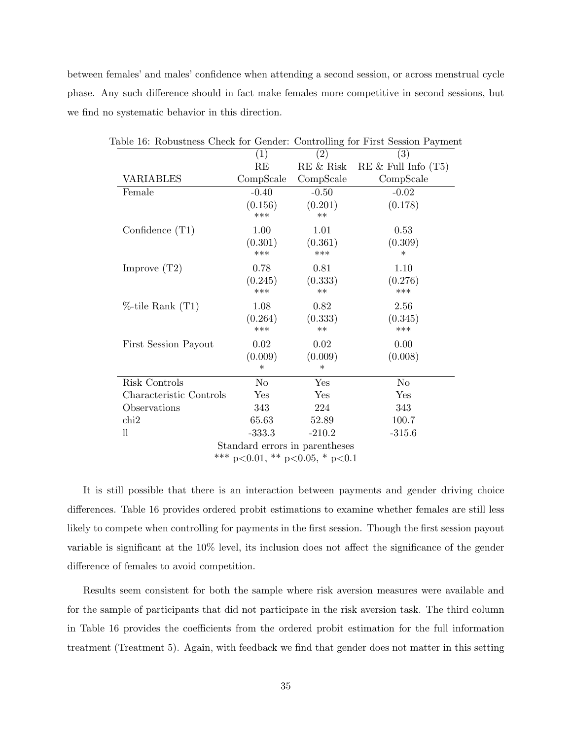between females' and males' confidence when attending a second session, or across menstrual cycle phase. Any such difference should in fact make females more competitive in second sessions, but we find no systematic behavior in this direction.

| Table 16: Robustness Check for Gender: Controlling for First Session Payment |                    |                                |                          |
|------------------------------------------------------------------------------|--------------------|--------------------------------|--------------------------|
|                                                                              | (1)                | (2)                            | (3)                      |
|                                                                              | RE                 | RE & Risk                      | $RE \&$ Full Info $(T5)$ |
| VARIABLES                                                                    | CompScale          | CompScale                      | CompScale                |
| Female                                                                       | $-0.40$            | $-0.50$                        | $-0.02$                  |
|                                                                              | (0.156)<br>***     | (0.201)<br>$***$               | (0.178)                  |
| Confidence $(T1)$                                                            | 1.00               | 1.01                           | 0.53                     |
|                                                                              | (0.301)<br>***     | (0.361)<br>***                 | (0.309)<br>$^\ast$       |
| Improve $(T2)$                                                               | 0.78               | 0.81                           | 1.10                     |
|                                                                              | (0.245)<br>***     | (0.333)<br>$**$                | (0.276)<br>***           |
| $%$ -tile Rank $(T1)$                                                        | 1.08               | 0.82                           | 2.56                     |
|                                                                              | (0.264)<br>***     | (0.333)<br>$**$                | (0.345)<br>***           |
| First Session Payout                                                         | 0.02               | 0.02                           | 0.00                     |
|                                                                              | (0.009)<br>$^\ast$ | (0.009)<br>$^\ast$             | (0.008)                  |
| Risk Controls                                                                | No                 | Yes                            | No                       |
| Characteristic Controls                                                      | Yes                | Yes                            | Yes                      |
| Observations                                                                 | 343                | 224                            | 343                      |
| $\chi$                                                                       | 65.63              | 52.89                          | 100.7                    |
| 11                                                                           | $-333.3$           | $-210.2$                       | $-315.6$                 |
|                                                                              |                    | Standard errors in parentheses |                          |
|                                                                              |                    | *** p<0.01, ** p<0.05, * p<0.1 |                          |

It is still possible that there is an interaction between payments and gender driving choice differences. Table 16 provides ordered probit estimations to examine whether females are still less likely to compete when controlling for payments in the first session. Though the first session payout variable is significant at the 10% level, its inclusion does not affect the significance of the gender difference of females to avoid competition.

Results seem consistent for both the sample where risk aversion measures were available and for the sample of participants that did not participate in the risk aversion task. The third column in Table 16 provides the coefficients from the ordered probit estimation for the full information treatment (Treatment 5). Again, with feedback we find that gender does not matter in this setting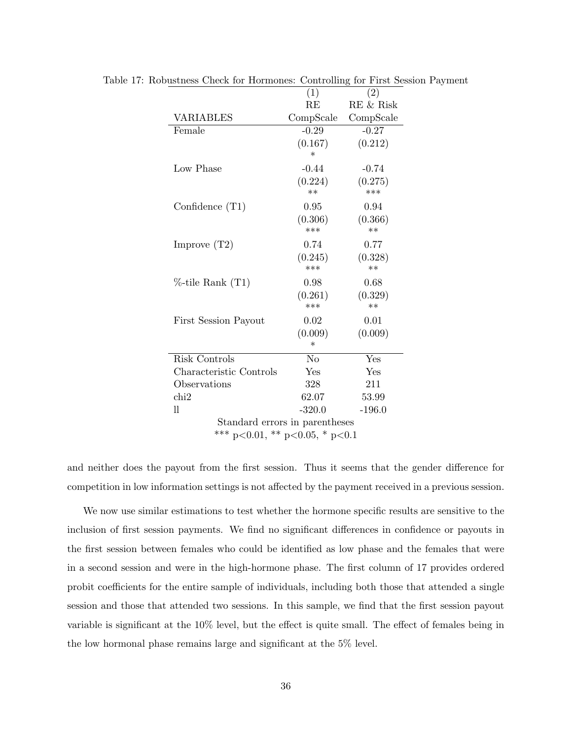|                                | (1)            | (2)         |
|--------------------------------|----------------|-------------|
|                                | RE             | $RE$ & Risk |
| <b>VARIABLES</b>               | CompScale      | CompScale   |
| Female                         | $-0.29$        | $-0.27$     |
|                                | (0.167)        | (0.212)     |
|                                | $\ast$         |             |
| Low Phase                      | $-0.44$        | $-0.74$     |
|                                | (0.224)        | (0.275)     |
|                                | $**$           | ***         |
| Confidence $(T1)$              | 0.95           | 0.94        |
|                                | (0.306)        | (0.366)     |
|                                | $***$          | $**$        |
| Improve $(T2)$                 | 0.74           | 0.77        |
|                                | (0.245)        | (0.328)     |
|                                | ***            | $**$        |
| $%$ -tile Rank $(T1)$          | 0.98           | 0.68        |
|                                | (0.261)        | (0.329)     |
|                                | ***            | $**$        |
| <b>First Session Payout</b>    | 0.02           | 0.01        |
|                                | (0.009)        | (0.009)     |
|                                | $\ast$         |             |
| Risk Controls                  | N <sub>o</sub> | Yes         |
| Characteristic Controls        | Yes            | Yes         |
| Observations                   | 328            | 211         |
| chi2                           | 62.07          | 53.99       |
| 11                             | $-320.0$       | $-196.0$    |
| Standard errors in parentheses |                |             |
| *** p<0.01, ** p<0.05, * p<0.1 |                |             |
|                                |                |             |

Table 17: Robustness Check for Hormones: Controlling for First Session Payment

and neither does the payout from the first session. Thus it seems that the gender difference for competition in low information settings is not affected by the payment received in a previous session.

We now use similar estimations to test whether the hormone specific results are sensitive to the inclusion of first session payments. We find no significant differences in confidence or payouts in the first session between females who could be identified as low phase and the females that were in a second session and were in the high-hormone phase. The first column of 17 provides ordered probit coefficients for the entire sample of individuals, including both those that attended a single session and those that attended two sessions. In this sample, we find that the first session payout variable is significant at the 10% level, but the effect is quite small. The effect of females being in the low hormonal phase remains large and significant at the 5% level.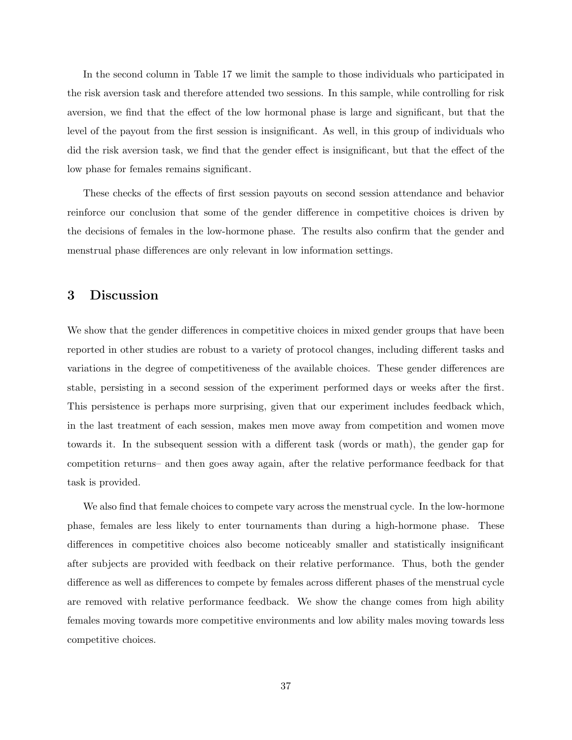In the second column in Table 17 we limit the sample to those individuals who participated in the risk aversion task and therefore attended two sessions. In this sample, while controlling for risk aversion, we find that the effect of the low hormonal phase is large and significant, but that the level of the payout from the first session is insignificant. As well, in this group of individuals who did the risk aversion task, we find that the gender effect is insignificant, but that the effect of the low phase for females remains significant.

These checks of the effects of first session payouts on second session attendance and behavior reinforce our conclusion that some of the gender difference in competitive choices is driven by the decisions of females in the low-hormone phase. The results also confirm that the gender and menstrual phase differences are only relevant in low information settings.

## 3 Discussion

We show that the gender differences in competitive choices in mixed gender groups that have been reported in other studies are robust to a variety of protocol changes, including different tasks and variations in the degree of competitiveness of the available choices. These gender differences are stable, persisting in a second session of the experiment performed days or weeks after the first. This persistence is perhaps more surprising, given that our experiment includes feedback which, in the last treatment of each session, makes men move away from competition and women move towards it. In the subsequent session with a different task (words or math), the gender gap for competition returns– and then goes away again, after the relative performance feedback for that task is provided.

We also find that female choices to compete vary across the menstrual cycle. In the low-hormone phase, females are less likely to enter tournaments than during a high-hormone phase. These differences in competitive choices also become noticeably smaller and statistically insignificant after subjects are provided with feedback on their relative performance. Thus, both the gender difference as well as differences to compete by females across different phases of the menstrual cycle are removed with relative performance feedback. We show the change comes from high ability females moving towards more competitive environments and low ability males moving towards less competitive choices.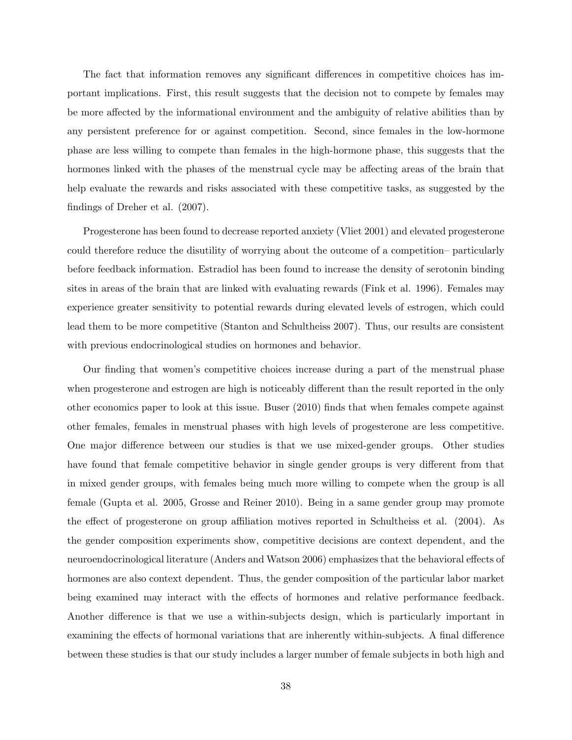The fact that information removes any significant differences in competitive choices has important implications. First, this result suggests that the decision not to compete by females may be more affected by the informational environment and the ambiguity of relative abilities than by any persistent preference for or against competition. Second, since females in the low-hormone phase are less willing to compete than females in the high-hormone phase, this suggests that the hormones linked with the phases of the menstrual cycle may be affecting areas of the brain that help evaluate the rewards and risks associated with these competitive tasks, as suggested by the findings of Dreher et al. (2007).

Progesterone has been found to decrease reported anxiety (Vliet 2001) and elevated progesterone could therefore reduce the disutility of worrying about the outcome of a competition– particularly before feedback information. Estradiol has been found to increase the density of serotonin binding sites in areas of the brain that are linked with evaluating rewards (Fink et al. 1996). Females may experience greater sensitivity to potential rewards during elevated levels of estrogen, which could lead them to be more competitive (Stanton and Schultheiss 2007). Thus, our results are consistent with previous endocrinological studies on hormones and behavior.

Our finding that women's competitive choices increase during a part of the menstrual phase when progesterone and estrogen are high is noticeably different than the result reported in the only other economics paper to look at this issue. Buser (2010) finds that when females compete against other females, females in menstrual phases with high levels of progesterone are less competitive. One major difference between our studies is that we use mixed-gender groups. Other studies have found that female competitive behavior in single gender groups is very different from that in mixed gender groups, with females being much more willing to compete when the group is all female (Gupta et al. 2005, Grosse and Reiner 2010). Being in a same gender group may promote the effect of progesterone on group affiliation motives reported in Schultheiss et al. (2004). As the gender composition experiments show, competitive decisions are context dependent, and the neuroendocrinological literature (Anders and Watson 2006) emphasizes that the behavioral effects of hormones are also context dependent. Thus, the gender composition of the particular labor market being examined may interact with the effects of hormones and relative performance feedback. Another difference is that we use a within-subjects design, which is particularly important in examining the effects of hormonal variations that are inherently within-subjects. A final difference between these studies is that our study includes a larger number of female subjects in both high and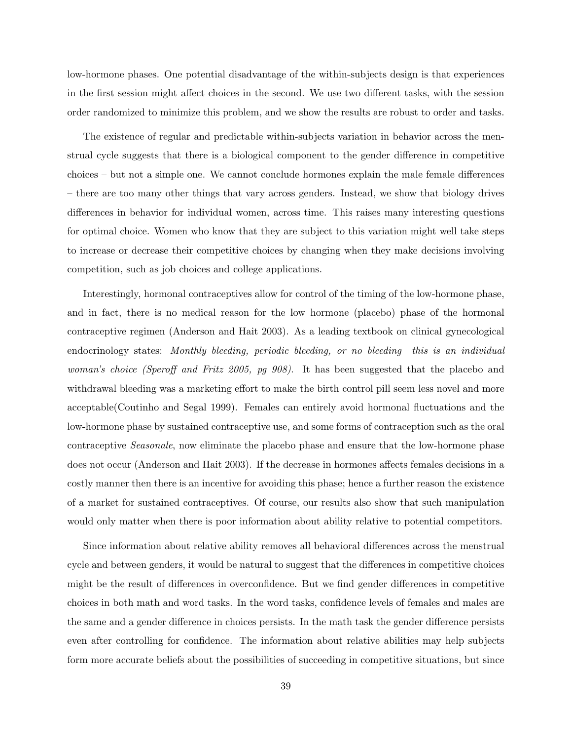low-hormone phases. One potential disadvantage of the within-subjects design is that experiences in the first session might affect choices in the second. We use two different tasks, with the session order randomized to minimize this problem, and we show the results are robust to order and tasks.

The existence of regular and predictable within-subjects variation in behavior across the menstrual cycle suggests that there is a biological component to the gender difference in competitive choices – but not a simple one. We cannot conclude hormones explain the male female differences – there are too many other things that vary across genders. Instead, we show that biology drives differences in behavior for individual women, across time. This raises many interesting questions for optimal choice. Women who know that they are subject to this variation might well take steps to increase or decrease their competitive choices by changing when they make decisions involving competition, such as job choices and college applications.

Interestingly, hormonal contraceptives allow for control of the timing of the low-hormone phase, and in fact, there is no medical reason for the low hormone (placebo) phase of the hormonal contraceptive regimen (Anderson and Hait 2003). As a leading textbook on clinical gynecological endocrinology states: Monthly bleeding, periodic bleeding, or no bleeding– this is an individual woman's choice (Speroff and Fritz 2005, pg 908). It has been suggested that the placebo and withdrawal bleeding was a marketing effort to make the birth control pill seem less novel and more acceptable(Coutinho and Segal 1999). Females can entirely avoid hormonal fluctuations and the low-hormone phase by sustained contraceptive use, and some forms of contraception such as the oral contraceptive Seasonale, now eliminate the placebo phase and ensure that the low-hormone phase does not occur (Anderson and Hait 2003). If the decrease in hormones affects females decisions in a costly manner then there is an incentive for avoiding this phase; hence a further reason the existence of a market for sustained contraceptives. Of course, our results also show that such manipulation would only matter when there is poor information about ability relative to potential competitors.

Since information about relative ability removes all behavioral differences across the menstrual cycle and between genders, it would be natural to suggest that the differences in competitive choices might be the result of differences in overconfidence. But we find gender differences in competitive choices in both math and word tasks. In the word tasks, confidence levels of females and males are the same and a gender difference in choices persists. In the math task the gender difference persists even after controlling for confidence. The information about relative abilities may help subjects form more accurate beliefs about the possibilities of succeeding in competitive situations, but since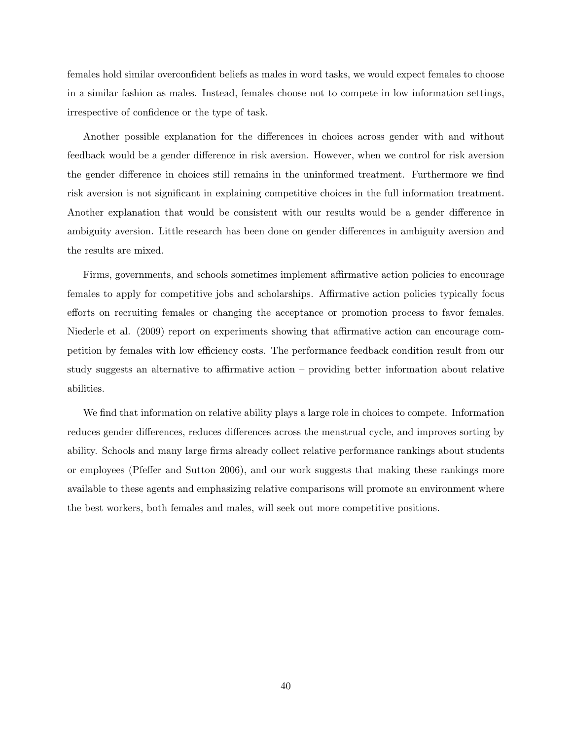females hold similar overconfident beliefs as males in word tasks, we would expect females to choose in a similar fashion as males. Instead, females choose not to compete in low information settings, irrespective of confidence or the type of task.

Another possible explanation for the differences in choices across gender with and without feedback would be a gender difference in risk aversion. However, when we control for risk aversion the gender difference in choices still remains in the uninformed treatment. Furthermore we find risk aversion is not significant in explaining competitive choices in the full information treatment. Another explanation that would be consistent with our results would be a gender difference in ambiguity aversion. Little research has been done on gender differences in ambiguity aversion and the results are mixed.

Firms, governments, and schools sometimes implement affirmative action policies to encourage females to apply for competitive jobs and scholarships. Affirmative action policies typically focus efforts on recruiting females or changing the acceptance or promotion process to favor females. Niederle et al. (2009) report on experiments showing that affirmative action can encourage competition by females with low efficiency costs. The performance feedback condition result from our study suggests an alternative to affirmative action – providing better information about relative abilities.

We find that information on relative ability plays a large role in choices to compete. Information reduces gender differences, reduces differences across the menstrual cycle, and improves sorting by ability. Schools and many large firms already collect relative performance rankings about students or employees (Pfeffer and Sutton 2006), and our work suggests that making these rankings more available to these agents and emphasizing relative comparisons will promote an environment where the best workers, both females and males, will seek out more competitive positions.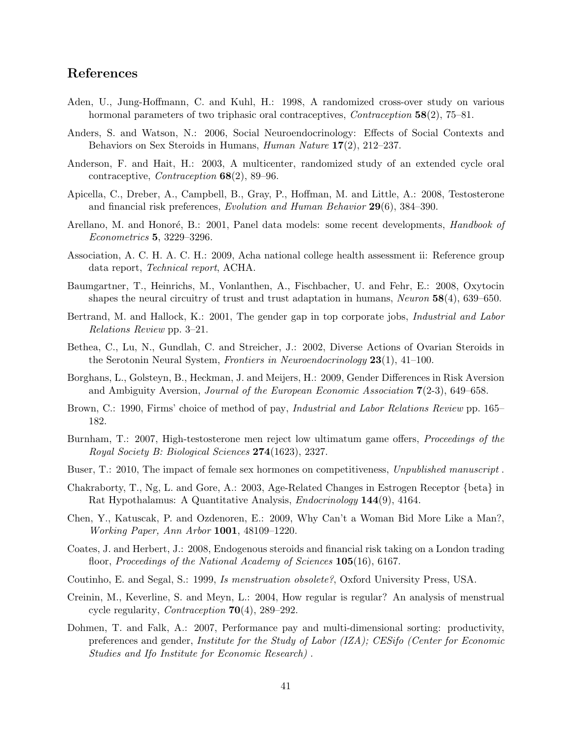## References

- Aden, U., Jung-Hoffmann, C. and Kuhl, H.: 1998, A randomized cross-over study on various hormonal parameters of two triphasic oral contraceptives, *Contraception* 58(2), 75–81.
- Anders, S. and Watson, N.: 2006, Social Neuroendocrinology: Effects of Social Contexts and Behaviors on Sex Steroids in Humans, Human Nature 17(2), 212–237.
- Anderson, F. and Hait, H.: 2003, A multicenter, randomized study of an extended cycle oral contraceptive, *Contraception*  $68(2)$ , 89–96.
- Apicella, C., Dreber, A., Campbell, B., Gray, P., Hoffman, M. and Little, A.: 2008, Testosterone and financial risk preferences, Evolution and Human Behavior 29(6), 384–390.
- Arellano, M. and Honoré, B.: 2001, Panel data models: some recent developments, *Handbook of* Econometrics 5, 3229–3296.
- Association, A. C. H. A. C. H.: 2009, Acha national college health assessment ii: Reference group data report, Technical report, ACHA.
- Baumgartner, T., Heinrichs, M., Vonlanthen, A., Fischbacher, U. and Fehr, E.: 2008, Oxytocin shapes the neural circuitry of trust and trust adaptation in humans, Neuron 58(4), 639–650.
- Bertrand, M. and Hallock, K.: 2001, The gender gap in top corporate jobs, *Industrial and Labor* Relations Review pp. 3–21.
- Bethea, C., Lu, N., Gundlah, C. and Streicher, J.: 2002, Diverse Actions of Ovarian Steroids in the Serotonin Neural System, Frontiers in Neuroendocrinology  $23(1)$ ,  $41-100$ .
- Borghans, L., Golsteyn, B., Heckman, J. and Meijers, H.: 2009, Gender Differences in Risk Aversion and Ambiguity Aversion, *Journal of the European Economic Association*  $7(2-3)$ , 649–658.
- Brown, C.: 1990, Firms' choice of method of pay, *Industrial and Labor Relations Review* pp. 165– 182.
- Burnham, T.: 2007, High-testosterone men reject low ultimatum game offers, Proceedings of the Royal Society B: Biological Sciences 274(1623), 2327.
- Buser, T.: 2010, The impact of female sex hormones on competitiveness, Unpublished manuscript.
- Chakraborty, T., Ng, L. and Gore, A.: 2003, Age-Related Changes in Estrogen Receptor {beta} in Rat Hypothalamus: A Quantitative Analysis, Endocrinology 144(9), 4164.
- Chen, Y., Katuscak, P. and Ozdenoren, E.: 2009, Why Can't a Woman Bid More Like a Man?, Working Paper, Ann Arbor 1001, 48109–1220.
- Coates, J. and Herbert, J.: 2008, Endogenous steroids and financial risk taking on a London trading floor, Proceedings of the National Academy of Sciences 105(16), 6167.
- Coutinho, E. and Segal, S.: 1999, Is menstruation obsolete?, Oxford University Press, USA.
- Creinin, M., Keverline, S. and Meyn, L.: 2004, How regular is regular? An analysis of menstrual cycle regularity, Contraception 70(4), 289–292.
- Dohmen, T. and Falk, A.: 2007, Performance pay and multi-dimensional sorting: productivity, preferences and gender, Institute for the Study of Labor (IZA); CESifo (Center for Economic Studies and Ifo Institute for Economic Research) .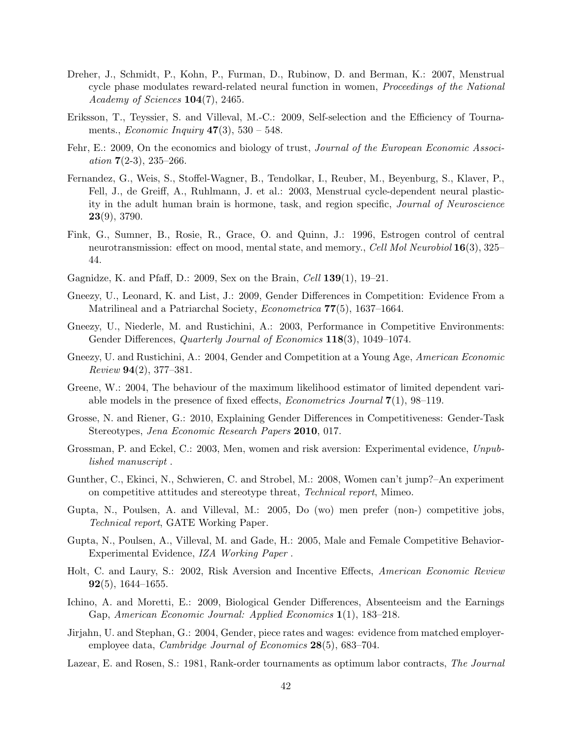- Dreher, J., Schmidt, P., Kohn, P., Furman, D., Rubinow, D. and Berman, K.: 2007, Menstrual cycle phase modulates reward-related neural function in women, *Proceedings of the National* Academy of Sciences  $104(7)$ , 2465.
- Eriksson, T., Teyssier, S. and Villeval, M.-C.: 2009, Self-selection and the Efficiency of Tournaments., *Economic Inquiry*  $47(3)$ ,  $530 - 548$ .
- Fehr, E.: 2009, On the economics and biology of trust, Journal of the European Economic Associ*ation*  $7(2-3)$ ,  $235-266$ .
- Fernandez, G., Weis, S., Stoffel-Wagner, B., Tendolkar, I., Reuber, M., Beyenburg, S., Klaver, P., Fell, J., de Greiff, A., Ruhlmann, J. et al.: 2003, Menstrual cycle-dependent neural plasticity in the adult human brain is hormone, task, and region specific, Journal of Neuroscience  $23(9)$ , 3790.
- Fink, G., Sumner, B., Rosie, R., Grace, O. and Quinn, J.: 1996, Estrogen control of central neurotransmission: effect on mood, mental state, and memory., Cell Mol Neurobiol 16(3), 325– 44.
- Gagnidze, K. and Pfaff, D.: 2009, Sex on the Brain, Cell 139(1), 19–21.
- Gneezy, U., Leonard, K. and List, J.: 2009, Gender Differences in Competition: Evidence From a Matrilineal and a Patriarchal Society, Econometrica 77(5), 1637–1664.
- Gneezy, U., Niederle, M. and Rustichini, A.: 2003, Performance in Competitive Environments: Gender Differences, *Quarterly Journal of Economics* **118**(3), 1049–1074.
- Gneezy, U. and Rustichini, A.: 2004, Gender and Competition at a Young Age, American Economic  $Review 94(2), 377-381.$
- Greene, W.: 2004, The behaviour of the maximum likelihood estimator of limited dependent variable models in the presence of fixed effects, Econometrics Journal 7(1), 98–119.
- Grosse, N. and Riener, G.: 2010, Explaining Gender Differences in Competitiveness: Gender-Task Stereotypes, Jena Economic Research Papers 2010, 017.
- Grossman, P. and Eckel, C.: 2003, Men, women and risk aversion: Experimental evidence, Unpublished manuscript .
- Gunther, C., Ekinci, N., Schwieren, C. and Strobel, M.: 2008, Women can't jump?–An experiment on competitive attitudes and stereotype threat, Technical report, Mimeo.
- Gupta, N., Poulsen, A. and Villeval, M.: 2005, Do (wo) men prefer (non-) competitive jobs, Technical report, GATE Working Paper.
- Gupta, N., Poulsen, A., Villeval, M. and Gade, H.: 2005, Male and Female Competitive Behavior-Experimental Evidence, IZA Working Paper .
- Holt, C. and Laury, S.: 2002, Risk Aversion and Incentive Effects, American Economic Review  $92(5)$ , 1644–1655.
- Ichino, A. and Moretti, E.: 2009, Biological Gender Differences, Absenteeism and the Earnings Gap, American Economic Journal: Applied Economics 1(1), 183–218.
- Jirjahn, U. and Stephan, G.: 2004, Gender, piece rates and wages: evidence from matched employeremployee data, *Cambridge Journal of Economics* **28**(5), 683–704.
- Lazear, E. and Rosen, S.: 1981, Rank-order tournaments as optimum labor contracts, The Journal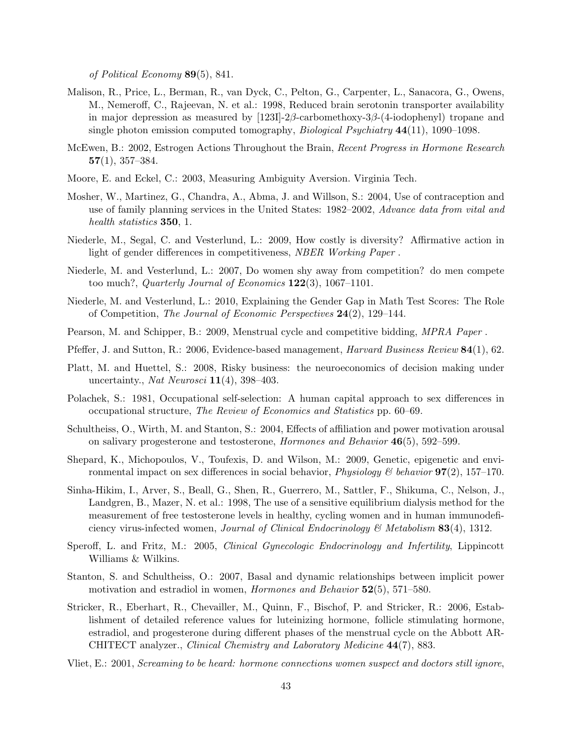of Political Economy 89(5), 841.

- Malison, R., Price, L., Berman, R., van Dyck, C., Pelton, G., Carpenter, L., Sanacora, G., Owens, M., Nemeroff, C., Rajeevan, N. et al.: 1998, Reduced brain serotonin transporter availability in major depression as measured by  $[1231]$ - $2\beta$ -carbomethoxy- $3\beta$ -(4-iodophenyl) tropane and single photon emission computed tomography, *Biological Psychiatry*  $44(11)$ , 1090–1098.
- McEwen, B.: 2002, Estrogen Actions Throughout the Brain, Recent Progress in Hormone Research  $57(1), 357-384.$
- Moore, E. and Eckel, C.: 2003, Measuring Ambiguity Aversion. Virginia Tech.
- Mosher, W., Martinez, G., Chandra, A., Abma, J. and Willson, S.: 2004, Use of contraception and use of family planning services in the United States: 1982–2002, Advance data from vital and health statistics **350**, 1.
- Niederle, M., Segal, C. and Vesterlund, L.: 2009, How costly is diversity? Affirmative action in light of gender differences in competitiveness, NBER Working Paper .
- Niederle, M. and Vesterlund, L.: 2007, Do women shy away from competition? do men compete too much?, Quarterly Journal of Economics  $122(3)$ , 1067–1101.
- Niederle, M. and Vesterlund, L.: 2010, Explaining the Gender Gap in Math Test Scores: The Role of Competition, The Journal of Economic Perspectives 24(2), 129–144.
- Pearson, M. and Schipper, B.: 2009, Menstrual cycle and competitive bidding, MPRA Paper .
- Pfeffer, J. and Sutton, R.: 2006, Evidence-based management, *Harvard Business Review* **84**(1), 62.
- Platt, M. and Huettel, S.: 2008, Risky business: the neuroeconomics of decision making under uncertainty., Nat Neurosci  $11(4)$ , 398-403.
- Polachek, S.: 1981, Occupational self-selection: A human capital approach to sex differences in occupational structure, The Review of Economics and Statistics pp. 60–69.
- Schultheiss, O., Wirth, M. and Stanton, S.: 2004, Effects of affiliation and power motivation arousal on salivary progesterone and testosterone, *Hormones and Behavior*  $46(5)$ , 592–599.
- Shepard, K., Michopoulos, V., Toufexis, D. and Wilson, M.: 2009, Genetic, epigenetic and environmental impact on sex differences in social behavior, *Physiology* & behavior **97**(2), 157–170.
- Sinha-Hikim, I., Arver, S., Beall, G., Shen, R., Guerrero, M., Sattler, F., Shikuma, C., Nelson, J., Landgren, B., Mazer, N. et al.: 1998, The use of a sensitive equilibrium dialysis method for the measurement of free testosterone levels in healthy, cycling women and in human immunodeficiency virus-infected women, *Journal of Clinical Endocrinology*  $\mathcal{B}$  Metabolism **83**(4), 1312.
- Speroff, L. and Fritz, M.: 2005, Clinical Gynecologic Endocrinology and Infertility, Lippincott Williams & Wilkins.
- Stanton, S. and Schultheiss, O.: 2007, Basal and dynamic relationships between implicit power motivation and estradiol in women, *Hormones and Behavior* 52(5), 571–580.
- Stricker, R., Eberhart, R., Chevailler, M., Quinn, F., Bischof, P. and Stricker, R.: 2006, Establishment of detailed reference values for luteinizing hormone, follicle stimulating hormone, estradiol, and progesterone during different phases of the menstrual cycle on the Abbott AR-CHITECT analyzer., Clinical Chemistry and Laboratory Medicine 44(7), 883.
- Vliet, E.: 2001, Screaming to be heard: hormone connections women suspect and doctors still ignore,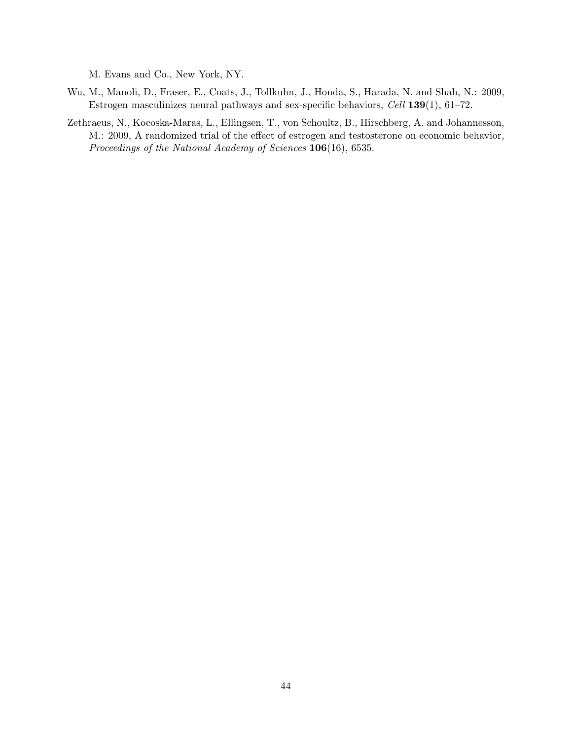M. Evans and Co., New York, NY.

- Wu, M., Manoli, D., Fraser, E., Coats, J., Tollkuhn, J., Honda, S., Harada, N. and Shah, N.: 2009, Estrogen masculinizes neural pathways and sex-specific behaviors, Cell 139(1), 61–72.
- Zethraeus, N., Kocoska-Maras, L., Ellingsen, T., von Schoultz, B., Hirschberg, A. and Johannesson, M.: 2009, A randomized trial of the effect of estrogen and testosterone on economic behavior, Proceedings of the National Academy of Sciences 106(16), 6535.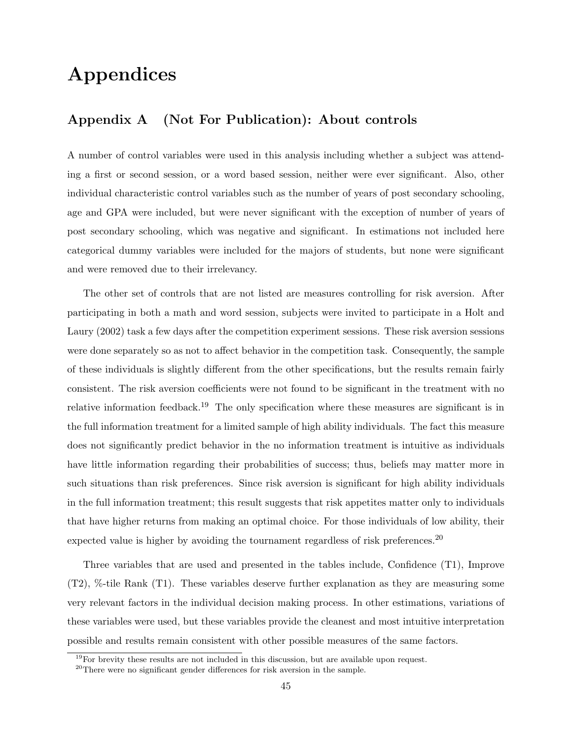## Appendices

## Appendix A (Not For Publication): About controls

A number of control variables were used in this analysis including whether a subject was attending a first or second session, or a word based session, neither were ever significant. Also, other individual characteristic control variables such as the number of years of post secondary schooling, age and GPA were included, but were never significant with the exception of number of years of post secondary schooling, which was negative and significant. In estimations not included here categorical dummy variables were included for the majors of students, but none were significant and were removed due to their irrelevancy.

The other set of controls that are not listed are measures controlling for risk aversion. After participating in both a math and word session, subjects were invited to participate in a Holt and Laury (2002) task a few days after the competition experiment sessions. These risk aversion sessions were done separately so as not to affect behavior in the competition task. Consequently, the sample of these individuals is slightly different from the other specifications, but the results remain fairly consistent. The risk aversion coefficients were not found to be significant in the treatment with no relative information feedback.<sup>19</sup> The only specification where these measures are significant is in the full information treatment for a limited sample of high ability individuals. The fact this measure does not significantly predict behavior in the no information treatment is intuitive as individuals have little information regarding their probabilities of success; thus, beliefs may matter more in such situations than risk preferences. Since risk aversion is significant for high ability individuals in the full information treatment; this result suggests that risk appetites matter only to individuals that have higher returns from making an optimal choice. For those individuals of low ability, their expected value is higher by avoiding the tournament regardless of risk preferences.<sup>20</sup>

Three variables that are used and presented in the tables include, Confidence (T1), Improve (T2), %-tile Rank (T1). These variables deserve further explanation as they are measuring some very relevant factors in the individual decision making process. In other estimations, variations of these variables were used, but these variables provide the cleanest and most intuitive interpretation possible and results remain consistent with other possible measures of the same factors.

 $19$ For brevity these results are not included in this discussion, but are available upon request.

<sup>20</sup>There were no significant gender differences for risk aversion in the sample.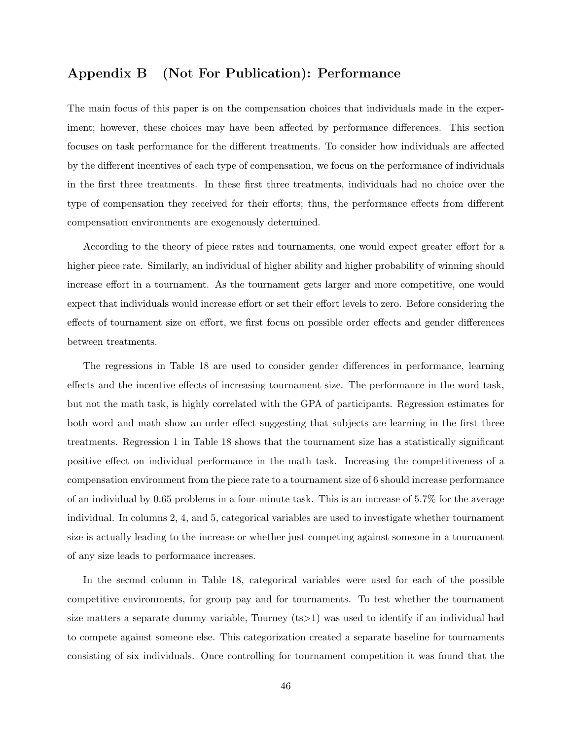## Appendix B (Not For Publication): Performance

The main focus of this paper is on the compensation choices that individuals made in the experiment; however, these choices may have been affected by performance differences. This section focuses on task performance for the different treatments. To consider how individuals are affected by the different incentives of each type of compensation, we focus on the performance of individuals in the first three treatments. In these first three treatments, individuals had no choice over the type of compensation they received for their efforts; thus, the performance effects from different compensation environments are exogenously determined.

According to the theory of piece rates and tournaments, one would expect greater effort for a higher piece rate. Similarly, an individual of higher ability and higher probability of winning should increase effort in a tournament. As the tournament gets larger and more competitive, one would expect that individuals would increase effort or set their effort levels to zero. Before considering the effects of tournament size on effort, we first focus on possible order effects and gender differences between treatments.

The regressions in Table 18 are used to consider gender differences in performance, learning effects and the incentive effects of increasing tournament size. The performance in the word task, but not the math task, is highly correlated with the GPA of participants. Regression estimates for both word and math show an order effect suggesting that subjects are learning in the first three treatments. Regression 1 in Table 18 shows that the tournament size has a statistically significant positive effect on individual performance in the math task. Increasing the competitiveness of a compensation environment from the piece rate to a tournament size of 6 should increase performance of an individual by 0.65 problems in a four-minute task. This is an increase of 5.7% for the average individual. In columns 2, 4, and 5, categorical variables are used to investigate whether tournament size is actually leading to the increase or whether just competing against someone in a tournament of any size leads to performance increases.

In the second column in Table 18, categorical variables were used for each of the possible competitive environments, for group pay and for tournaments. To test whether the tournament size matters a separate dummy variable, Tourney (ts>1) was used to identify if an individual had to compete against someone else. This categorization created a separate baseline for tournaments consisting of six individuals. Once controlling for tournament competition it was found that the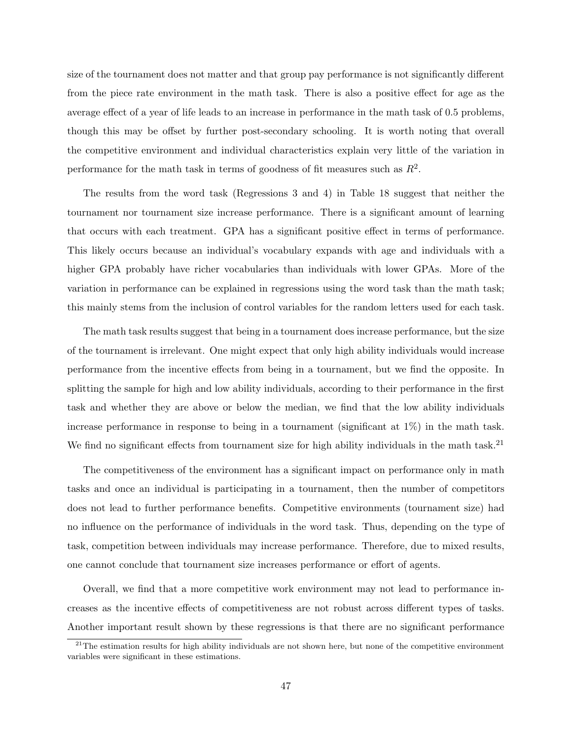size of the tournament does not matter and that group pay performance is not significantly different from the piece rate environment in the math task. There is also a positive effect for age as the average effect of a year of life leads to an increase in performance in the math task of 0.5 problems, though this may be offset by further post-secondary schooling. It is worth noting that overall the competitive environment and individual characteristics explain very little of the variation in performance for the math task in terms of goodness of fit measures such as  $R^2$ .

The results from the word task (Regressions 3 and 4) in Table 18 suggest that neither the tournament nor tournament size increase performance. There is a significant amount of learning that occurs with each treatment. GPA has a significant positive effect in terms of performance. This likely occurs because an individual's vocabulary expands with age and individuals with a higher GPA probably have richer vocabularies than individuals with lower GPAs. More of the variation in performance can be explained in regressions using the word task than the math task; this mainly stems from the inclusion of control variables for the random letters used for each task.

The math task results suggest that being in a tournament does increase performance, but the size of the tournament is irrelevant. One might expect that only high ability individuals would increase performance from the incentive effects from being in a tournament, but we find the opposite. In splitting the sample for high and low ability individuals, according to their performance in the first task and whether they are above or below the median, we find that the low ability individuals increase performance in response to being in a tournament (significant at 1%) in the math task. We find no significant effects from tournament size for high ability individuals in the math task.<sup>21</sup>

The competitiveness of the environment has a significant impact on performance only in math tasks and once an individual is participating in a tournament, then the number of competitors does not lead to further performance benefits. Competitive environments (tournament size) had no influence on the performance of individuals in the word task. Thus, depending on the type of task, competition between individuals may increase performance. Therefore, due to mixed results, one cannot conclude that tournament size increases performance or effort of agents.

Overall, we find that a more competitive work environment may not lead to performance increases as the incentive effects of competitiveness are not robust across different types of tasks. Another important result shown by these regressions is that there are no significant performance

 $21$ The estimation results for high ability individuals are not shown here, but none of the competitive environment variables were significant in these estimations.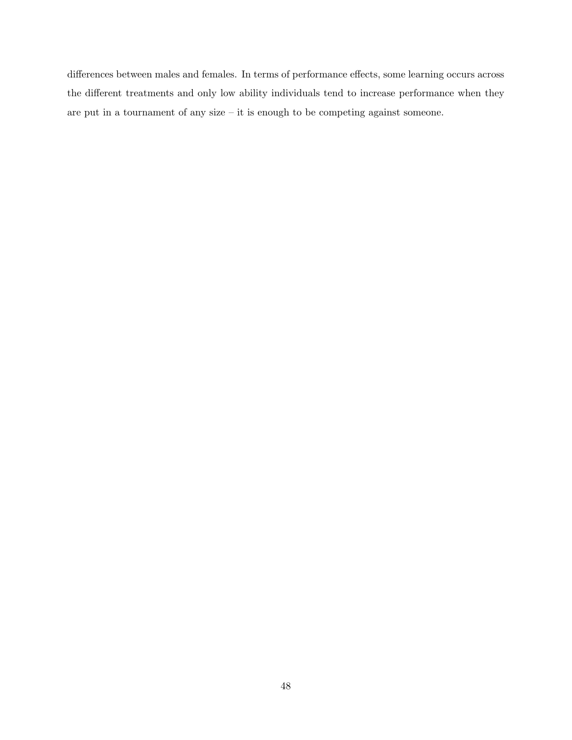differences between males and females. In terms of performance effects, some learning occurs across the different treatments and only low ability individuals tend to increase performance when they are put in a tournament of any size – it is enough to be competing against someone.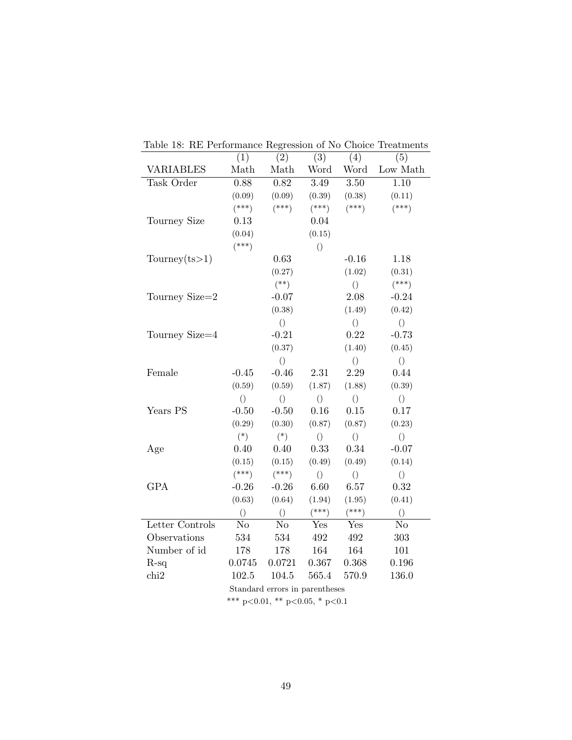|                                | (1)              | (2)              | $\overline{(3)}$ | (4)              | (5)              |
|--------------------------------|------------------|------------------|------------------|------------------|------------------|
| <b>VARIABLES</b>               | Math             | Math             | Word             | Word             | Low Math         |
| Task Order                     | 0.88             | 0.82             | 3.49             | 3.50             | 1.10             |
|                                | (0.09)           | (0.09)           | (0.39)           | (0.38)           | (0.11)           |
|                                | $(***)$          | $(***)$          | $(***)$          | $(***)$          | $(***)$          |
| Tourney Size                   | 0.13             |                  | 0.04             |                  |                  |
|                                | (0.04)           |                  | (0.15)           |                  |                  |
|                                | $(***)$          |                  | $\left(\right)$  |                  |                  |
| Tourney $(ts>1)$               |                  | 0.63             |                  | $-0.16$          | 1.18             |
|                                |                  | (0.27)           |                  | (1.02)           | (0.31)           |
|                                |                  | $(**)$           |                  | $\left( \right)$ | $(***)$          |
| Tourney Size=2                 |                  | $-0.07$          |                  | 2.08             | $-0.24$          |
|                                |                  | (0.38)           |                  | (1.49)           | (0.42)           |
|                                |                  | $\left( \right)$ |                  | $\left( \right)$ | $\left( \right)$ |
| Tourney Size=4                 |                  | $-0.21$          |                  | 0.22             | $-0.73$          |
|                                |                  | (0.37)           |                  | (1.40)           | (0.45)           |
|                                |                  | $\left( \right)$ |                  | $\left(\right)$  | $\left( \right)$ |
| Female                         | $-0.45$          | $-0.46$          | 2.31             | 2.29             | 0.44             |
|                                | (0.59)           | (0.59)           | (1.87)           | (1.88)           | (0.39)           |
|                                | $\left( \right)$ | $\left( \right)$ | $\left( \right)$ | $\left( \right)$ | $\left( \right)$ |
| Years PS                       | $-0.50$          | $-0.50$          | 0.16             | $0.15\,$         | 0.17             |
|                                | (0.29)           | (0.30)           | (0.87)           | (0.87)           | (0.23)           |
|                                | $(*)$            | $(*)$            | $\left( \right)$ | $\left( \right)$ | $\left( \right)$ |
| Age                            | 0.40             | 0.40             | 0.33             | 0.34             | $-0.07$          |
|                                | (0.15)           | (0.15)           | (0.49)           | (0.49)           | (0.14)           |
|                                | $(***)$          | $(***)$          | $\left( \right)$ | $\left( \right)$ | $\bigcirc$       |
| <b>GPA</b>                     | $-0.26$          | $-0.26$          | 6.60             | 6.57             | 0.32             |
|                                | (0.63)           | (0.64)           | (1.94)           | (1.95)           | (0.41)           |
|                                | $\left( \right)$ | $\left( \right)$ | $(***)$          | $(***)$          | $\left( \right)$ |
| Letter Controls                | N <sub>o</sub>   | No               | Yes              | Yes              | No               |
| Observations                   | 534              | 534              | 492              | 492              | 303              |
| Number of id                   | 178              | 178              | 164              | 164              | 101              |
| $R-sq$                         | 0.0745           | 0.0721           | 0.367            | 0.368            | 0.196            |
| chi2                           | 102.5            | $104.5\,$        | 565.4            | 570.9            | 136.0            |
| Standard errors in parentheses |                  |                  |                  |                  |                  |

Table 18: RE Performance Regression of No Choice Treatments

\*\*\* p<0.01, \*\* p<0.05, \* p<0.1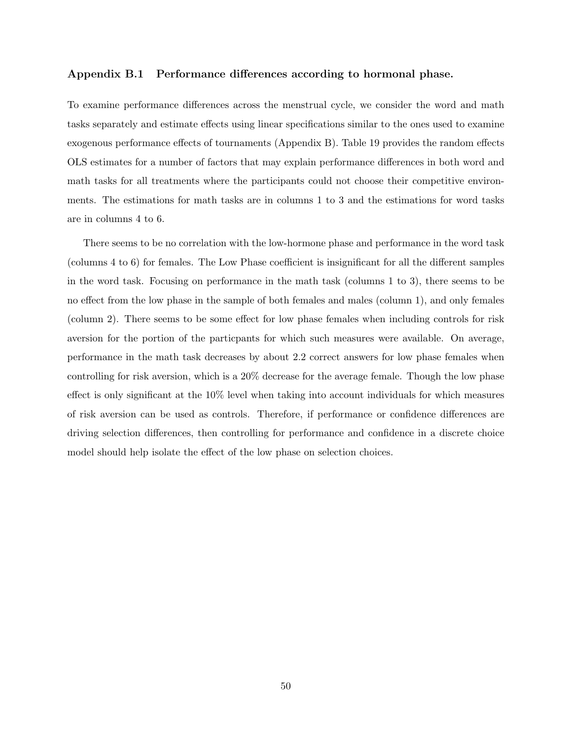#### Appendix B.1 Performance differences according to hormonal phase.

To examine performance differences across the menstrual cycle, we consider the word and math tasks separately and estimate effects using linear specifications similar to the ones used to examine exogenous performance effects of tournaments (Appendix B). Table 19 provides the random effects OLS estimates for a number of factors that may explain performance differences in both word and math tasks for all treatments where the participants could not choose their competitive environments. The estimations for math tasks are in columns 1 to 3 and the estimations for word tasks are in columns 4 to 6.

There seems to be no correlation with the low-hormone phase and performance in the word task (columns 4 to 6) for females. The Low Phase coefficient is insignificant for all the different samples in the word task. Focusing on performance in the math task (columns 1 to 3), there seems to be no effect from the low phase in the sample of both females and males (column 1), and only females (column 2). There seems to be some effect for low phase females when including controls for risk aversion for the portion of the particpants for which such measures were available. On average, performance in the math task decreases by about 2.2 correct answers for low phase females when controlling for risk aversion, which is a 20% decrease for the average female. Though the low phase effect is only significant at the 10% level when taking into account individuals for which measures of risk aversion can be used as controls. Therefore, if performance or confidence differences are driving selection differences, then controlling for performance and confidence in a discrete choice model should help isolate the effect of the low phase on selection choices.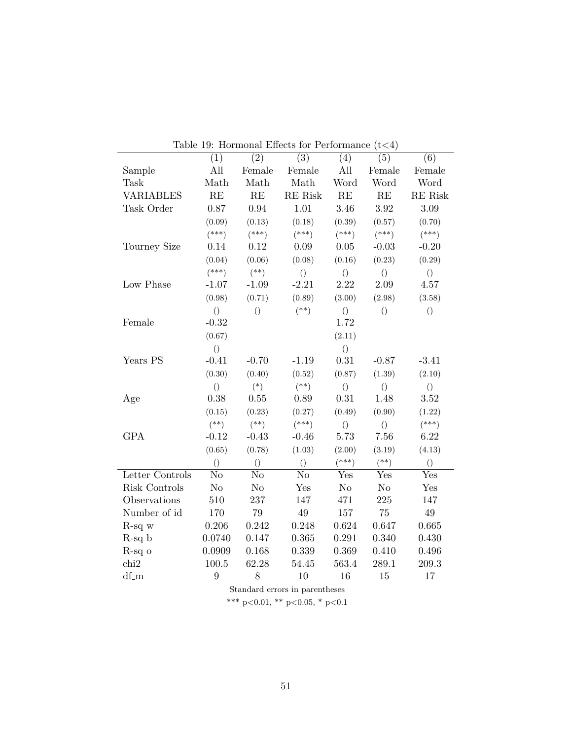|                  |                  |                 | Table 19: Hormonal Effects for Performance |                  | (t<4)            |                     |
|------------------|------------------|-----------------|--------------------------------------------|------------------|------------------|---------------------|
|                  | (1)              | (2)             | (3)                                        | (4)              | (5)              | (6)                 |
| Sample           | All              | Female          | Female                                     | All              | Female           | Female              |
| <b>Task</b>      | Math             | Math            | Math                                       | Word             | Word             | Word                |
| <b>VARIABLES</b> | RE               | RE              | RE Risk                                    | RE               | RE               | $\rm RE$ $\rm Risk$ |
| Task Order       | 0.87             | 0.94            | 1.01                                       | $3.46\,$         | $3.92\,$         | 3.09                |
|                  | (0.09)           | (0.13)          | (0.18)                                     | (0.39)           | (0.57)           | (0.70)              |
|                  | $(***)$          | $(***)$         | $(***)$                                    | $(***)$          | $(***)$          | $(***)$             |
| Tourney Size     | 0.14             | 0.12            | 0.09                                       | 0.05             | $-0.03$          | $-0.20$             |
|                  | (0.04)           | (0.06)          | (0.08)                                     | (0.16)           | (0.23)           | (0.29)              |
|                  | $(***)$          | $(**)$          | $\left( \right)$                           | $\left( \right)$ | $\left(\right)$  | $\left(\right)$     |
| Low Phase        | $-1.07$          | $-1.09$         | $-2.21$                                    | 2.22             | 2.09             | 4.57                |
|                  | (0.98)           | (0.71)          | (0.89)                                     | (3.00)           | (2.98)           | (3.58)              |
|                  | $\left(\right)$  | $\left(\right)$ | $(**)$                                     | $\left(\right)$  | $\left(\right)$  | $\left(\right)$     |
| Female           | $-0.32$          |                 |                                            | 1.72             |                  |                     |
|                  | (0.67)           |                 |                                            | (2.11)           |                  |                     |
|                  | $\left( \right)$ |                 |                                            | $\left( \right)$ |                  |                     |
| Years PS         | $-0.41$          | $-0.70$         | $-1.19$                                    | 0.31             | $-0.87$          | $-3.41$             |
|                  | (0.30)           | (0.40)          | (0.52)                                     | (0.87)           | (1.39)           | (2.10)              |
|                  | $\left( \right)$ | $(*)$           | $(**)$                                     | $\left( \right)$ | $\left( \right)$ | $\left( \right)$    |
| Age              | 0.38             | 0.55            | 0.89                                       | 0.31             | 1.48             | 3.52                |
|                  | (0.15)           | (0.23)          | (0.27)                                     | (0.49)           | (0.90)           | (1.22)              |
|                  | $(**)$           | $(**)$          | $(***)$                                    | $\left( \right)$ | $\left( \right)$ | $(***)$             |
| <b>GPA</b>       | $-0.12$          | $-0.43$         | $-0.46$                                    | $5.73\,$         | 7.56             | 6.22                |
|                  | (0.65)           | (0.78)          | (1.03)                                     | (2.00)           | (3.19)           | (4.13)              |
|                  | $\left( \right)$ | $\bigcirc$      | $\left( \right)$                           | $(***)$          | $(**)$           | $\left( \right)$    |
| Letter Controls  | N <sub>o</sub>   | N <sub>o</sub>  | N <sub>o</sub>                             | Yes              | Yes              | Yes                 |
| Risk Controls    | N <sub>o</sub>   | No              | Yes                                        | No               | N <sub>o</sub>   | Yes                 |
| Observations     | 510              | 237             | 147                                        | 471              | 225              | 147                 |
| Number of id     | 170              | 79              | 49                                         | 157              | 75               | 49                  |
| $R$ -sq $w$      | 0.206            | 0.242           | 0.248                                      | 0.624            | 0.647            | 0.665               |
| $R-sq b$         | 0.0740           | 0.147           | 0.365                                      | 0.291            | 0.340            | 0.430               |
| $R-sq$ o         | 0.0909           | 0.168           | 0.339                                      | 0.369            | 0.410            | 0.496               |
| chi2             | 100.5            | 62.28           | 54.45                                      | 563.4            | 289.1            | 209.3               |
| $df_m$           | $9\phantom{.0}$  | 8               | 10                                         | 16               | 15               | 17                  |

Table  $10:$  Hormonal Effects for Performance  $(t \ge 4)$ 

Standard errors in parentheses

\*\*\* p<0.01, \*\* p<0.05, \* p<0.1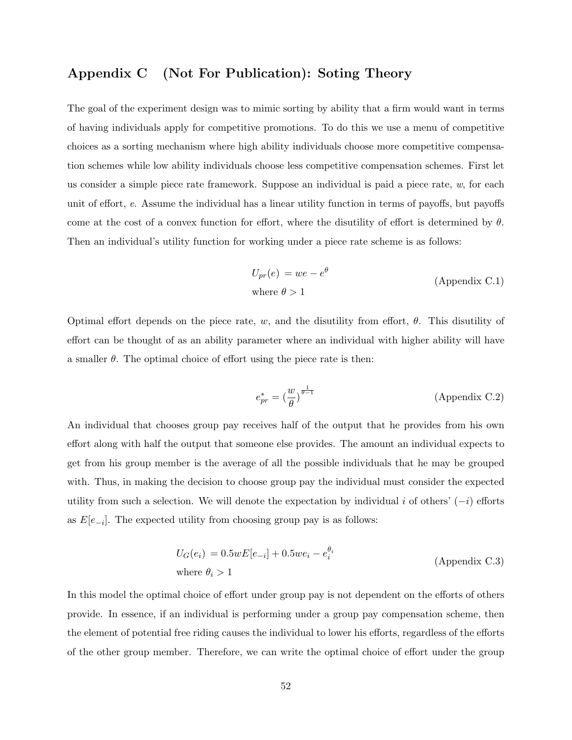## Appendix C (Not For Publication): Soting Theory

The goal of the experiment design was to mimic sorting by ability that a firm would want in terms of having individuals apply for competitive promotions. To do this we use a menu of competitive choices as a sorting mechanism where high ability individuals choose more competitive compensation schemes while low ability individuals choose less competitive compensation schemes. First let us consider a simple piece rate framework. Suppose an individual is paid a piece rate,  $w$ , for each unit of effort, e. Assume the individual has a linear utility function in terms of payoffs, but payoffs come at the cost of a convex function for effort, where the disutility of effort is determined by  $\theta$ . Then an individual's utility function for working under a piece rate scheme is as follows:

$$
U_{pr}(e) = we - e^{\theta}
$$
  
(Appendix C.1)  
where  $\theta > 1$ 

Optimal effort depends on the piece rate, w, and the disutility from effort,  $\theta$ . This disutility of effort can be thought of as an ability parameter where an individual with higher ability will have a smaller  $\theta$ . The optimal choice of effort using the piece rate is then:

$$
e_{pr}^* = \left(\frac{w}{\theta}\right)^{\frac{1}{\theta - 1}} \tag{Appendix C.2}
$$

An individual that chooses group pay receives half of the output that he provides from his own effort along with half the output that someone else provides. The amount an individual expects to get from his group member is the average of all the possible individuals that he may be grouped with. Thus, in making the decision to choose group pay the individual must consider the expected utility from such a selection. We will denote the expectation by individual i of others'  $(-i)$  efforts as  $E[e_{-i}]$ . The expected utility from choosing group pay is as follows:

$$
U_G(e_i) = 0.5wE[e_{-i}] + 0.5we_i - e_i^{\theta_i}
$$
  
where  $\theta_i > 1$  (Appendix C.3)

In this model the optimal choice of effort under group pay is not dependent on the efforts of others provide. In essence, if an individual is performing under a group pay compensation scheme, then the element of potential free riding causes the individual to lower his efforts, regardless of the efforts of the other group member. Therefore, we can write the optimal choice of effort under the group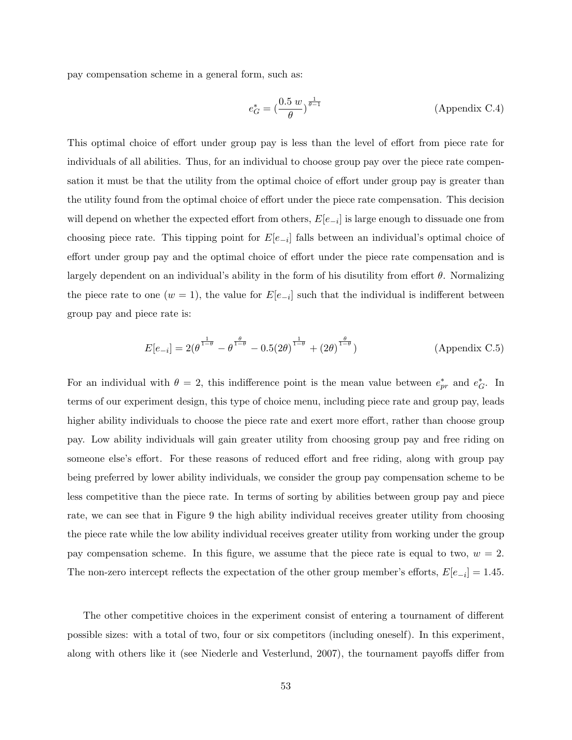pay compensation scheme in a general form, such as:

$$
e_G^* = \left(\frac{0.5 \ w}{\theta}\right)^{\frac{1}{\theta - 1}} \tag{Appendix C.4}
$$

This optimal choice of effort under group pay is less than the level of effort from piece rate for individuals of all abilities. Thus, for an individual to choose group pay over the piece rate compensation it must be that the utility from the optimal choice of effort under group pay is greater than the utility found from the optimal choice of effort under the piece rate compensation. This decision will depend on whether the expected effort from others,  $E[e_{-i}]$  is large enough to dissuade one from choosing piece rate. This tipping point for  $E[e_{-i}]$  falls between an individual's optimal choice of effort under group pay and the optimal choice of effort under the piece rate compensation and is largely dependent on an individual's ability in the form of his disutility from effort  $\theta$ . Normalizing the piece rate to one  $(w = 1)$ , the value for  $E[e_{-i}]$  such that the individual is indifferent between group pay and piece rate is:

$$
E[e_{-i}] = 2(\theta^{\frac{1}{1-\theta}} - \theta^{\frac{\theta}{1-\theta}} - 0.5(2\theta)^{\frac{1}{1-\theta}} + (2\theta)^{\frac{\theta}{1-\theta}})
$$
 (Appendix C.5)

For an individual with  $\theta = 2$ , this indifference point is the mean value between  $e^*_{pr}$  and  $e^*_{G}$ . In terms of our experiment design, this type of choice menu, including piece rate and group pay, leads higher ability individuals to choose the piece rate and exert more effort, rather than choose group pay. Low ability individuals will gain greater utility from choosing group pay and free riding on someone else's effort. For these reasons of reduced effort and free riding, along with group pay being preferred by lower ability individuals, we consider the group pay compensation scheme to be less competitive than the piece rate. In terms of sorting by abilities between group pay and piece rate, we can see that in Figure 9 the high ability individual receives greater utility from choosing the piece rate while the low ability individual receives greater utility from working under the group pay compensation scheme. In this figure, we assume that the piece rate is equal to two,  $w = 2$ . The non-zero intercept reflects the expectation of the other group member's efforts,  $E[e_{-i}] = 1.45$ .

The other competitive choices in the experiment consist of entering a tournament of different possible sizes: with a total of two, four or six competitors (including oneself). In this experiment, along with others like it (see Niederle and Vesterlund, 2007), the tournament payoffs differ from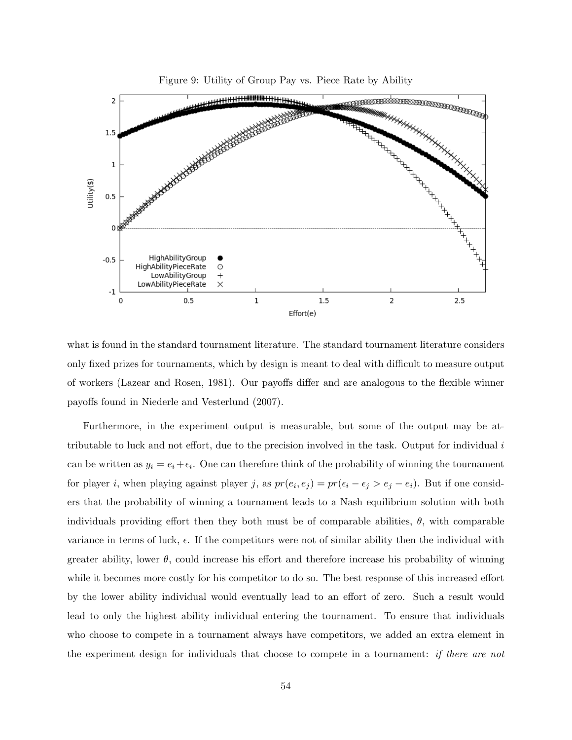

what is found in the standard tournament literature. The standard tournament literature considers only fixed prizes for tournaments, which by design is meant to deal with difficult to measure output of workers (Lazear and Rosen, 1981). Our payoffs differ and are analogous to the flexible winner payoffs found in Niederle and Vesterlund (2007).

Furthermore, in the experiment output is measurable, but some of the output may be attributable to luck and not effort, due to the precision involved in the task. Output for individual i can be written as  $y_i = e_i + \epsilon_i$ . One can therefore think of the probability of winning the tournament for player *i*, when playing against player *j*, as  $pr(e_i, e_j) = pr(\epsilon_i - \epsilon_j > e_j - e_i)$ . But if one considers that the probability of winning a tournament leads to a Nash equilibrium solution with both individuals providing effort then they both must be of comparable abilities,  $\theta$ , with comparable variance in terms of luck,  $\epsilon$ . If the competitors were not of similar ability then the individual with greater ability, lower  $\theta$ , could increase his effort and therefore increase his probability of winning while it becomes more costly for his competitor to do so. The best response of this increased effort by the lower ability individual would eventually lead to an effort of zero. Such a result would lead to only the highest ability individual entering the tournament. To ensure that individuals who choose to compete in a tournament always have competitors, we added an extra element in the experiment design for individuals that choose to compete in a tournament: if there are not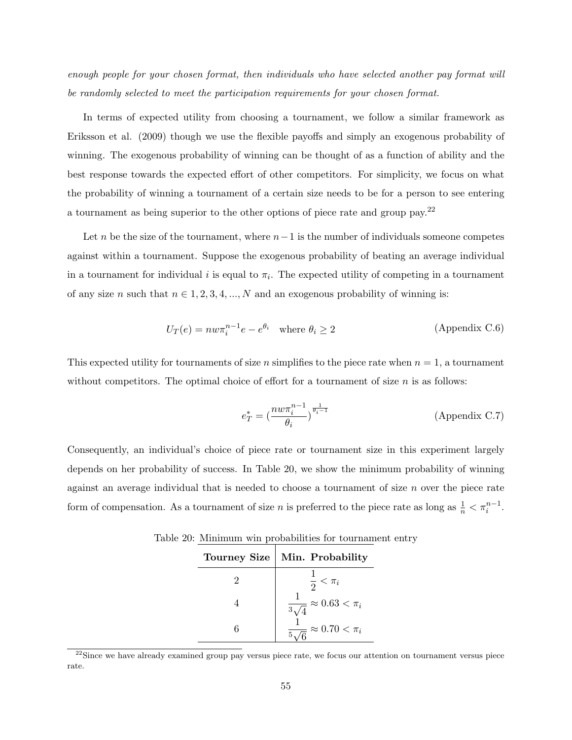enough people for your chosen format, then individuals who have selected another pay format will be randomly selected to meet the participation requirements for your chosen format.

In terms of expected utility from choosing a tournament, we follow a similar framework as Eriksson et al. (2009) though we use the flexible payoffs and simply an exogenous probability of winning. The exogenous probability of winning can be thought of as a function of ability and the best response towards the expected effort of other competitors. For simplicity, we focus on what the probability of winning a tournament of a certain size needs to be for a person to see entering a tournament as being superior to the other options of piece rate and group pay.<sup>22</sup>

Let n be the size of the tournament, where  $n-1$  is the number of individuals someone competes against within a tournament. Suppose the exogenous probability of beating an average individual in a tournament for individual i is equal to  $\pi_i$ . The expected utility of competing in a tournament of any size n such that  $n \in 1, 2, 3, 4, ..., N$  and an exogenous probability of winning is:

$$
U_T(e) = nw\pi_i^{n-1}e - e^{\theta_i} \quad \text{where } \theta_i \ge 2 \tag{Appendix C.6}
$$

This expected utility for tournaments of size n simplifies to the piece rate when  $n = 1$ , a tournament without competitors. The optimal choice of effort for a tournament of size  $n$  is as follows:

$$
e_T^* = \left(\frac{n w \pi_i^{n-1}}{\theta_i}\right)^{\frac{1}{\theta_i - 1}}
$$
 (Appendix C.7)

Consequently, an individual's choice of piece rate or tournament size in this experiment largely depends on her probability of success. In Table 20, we show the minimum probability of winning against an average individual that is needed to choose a tournament of size  $n$  over the piece rate form of compensation. As a tournament of size n is preferred to the piece rate as long as  $\frac{1}{n} < \pi_i^{n-1}$ .

| <b>Tourney Size</b> | Min. Probability                                |
|---------------------|-------------------------------------------------|
|                     | $\frac{1}{2} < \pi_i$                           |
|                     | $\approx 0.63 < \pi_i$<br>$\frac{1}{3\sqrt{2}}$ |
|                     | $\approx 0.70 < \pi_i$<br>$rac{1}{5}$           |
|                     |                                                 |

Table 20: Minimum win probabilities for tournament entry

<sup>&</sup>lt;sup>22</sup>Since we have already examined group pay versus piece rate, we focus our attention on tournament versus piece rate.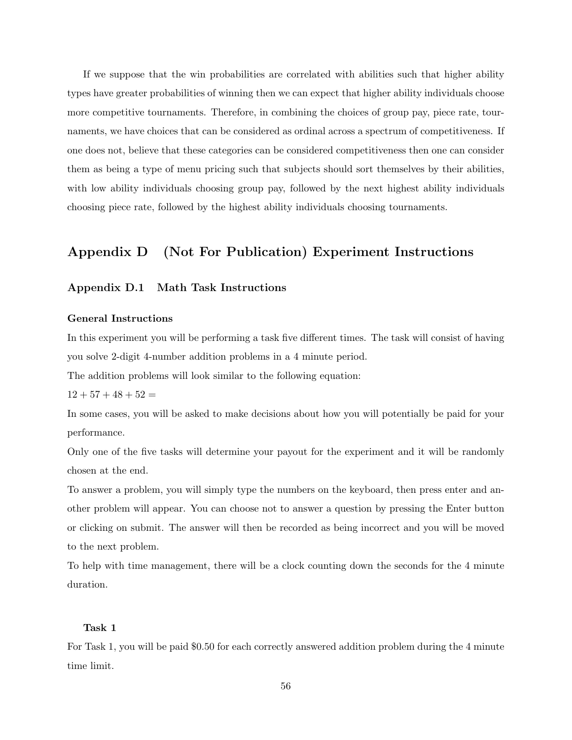If we suppose that the win probabilities are correlated with abilities such that higher ability types have greater probabilities of winning then we can expect that higher ability individuals choose more competitive tournaments. Therefore, in combining the choices of group pay, piece rate, tournaments, we have choices that can be considered as ordinal across a spectrum of competitiveness. If one does not, believe that these categories can be considered competitiveness then one can consider them as being a type of menu pricing such that subjects should sort themselves by their abilities, with low ability individuals choosing group pay, followed by the next highest ability individuals choosing piece rate, followed by the highest ability individuals choosing tournaments.

## Appendix D (Not For Publication) Experiment Instructions

## Appendix D.1 Math Task Instructions

#### General Instructions

In this experiment you will be performing a task five different times. The task will consist of having you solve 2-digit 4-number addition problems in a 4 minute period.

The addition problems will look similar to the following equation:

 $12 + 57 + 48 + 52 =$ 

In some cases, you will be asked to make decisions about how you will potentially be paid for your performance.

Only one of the five tasks will determine your payout for the experiment and it will be randomly chosen at the end.

To answer a problem, you will simply type the numbers on the keyboard, then press enter and another problem will appear. You can choose not to answer a question by pressing the Enter button or clicking on submit. The answer will then be recorded as being incorrect and you will be moved to the next problem.

To help with time management, there will be a clock counting down the seconds for the 4 minute duration.

#### Task 1

For Task 1, you will be paid \$0.50 for each correctly answered addition problem during the 4 minute time limit.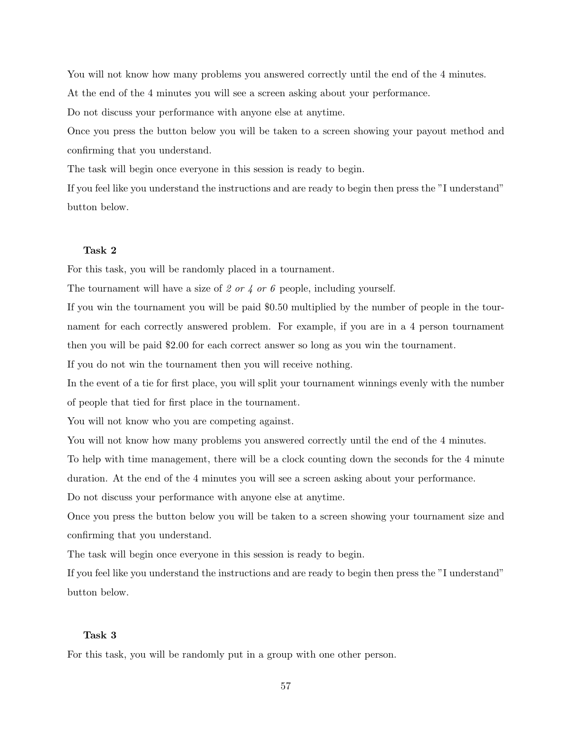You will not know how many problems you answered correctly until the end of the 4 minutes.

At the end of the 4 minutes you will see a screen asking about your performance.

Do not discuss your performance with anyone else at anytime.

Once you press the button below you will be taken to a screen showing your payout method and confirming that you understand.

The task will begin once everyone in this session is ready to begin.

If you feel like you understand the instructions and are ready to begin then press the "I understand" button below.

#### Task 2

For this task, you will be randomly placed in a tournament.

The tournament will have a size of 2 or 4 or 6 people, including yourself.

If you win the tournament you will be paid \$0.50 multiplied by the number of people in the tournament for each correctly answered problem. For example, if you are in a 4 person tournament then you will be paid \$2.00 for each correct answer so long as you win the tournament.

If you do not win the tournament then you will receive nothing.

In the event of a tie for first place, you will split your tournament winnings evenly with the number of people that tied for first place in the tournament.

You will not know who you are competing against.

You will not know how many problems you answered correctly until the end of the 4 minutes.

To help with time management, there will be a clock counting down the seconds for the 4 minute duration. At the end of the 4 minutes you will see a screen asking about your performance.

Do not discuss your performance with anyone else at anytime.

Once you press the button below you will be taken to a screen showing your tournament size and confirming that you understand.

The task will begin once everyone in this session is ready to begin.

If you feel like you understand the instructions and are ready to begin then press the "I understand" button below.

## Task 3

For this task, you will be randomly put in a group with one other person.

57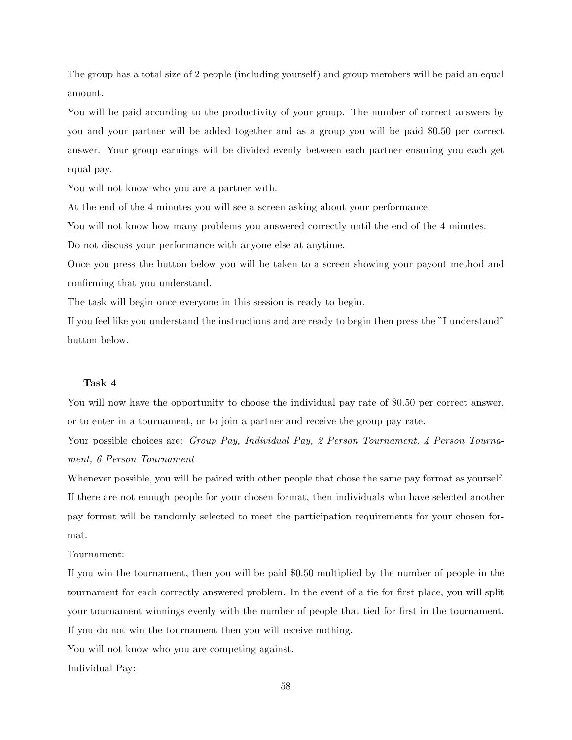The group has a total size of 2 people (including yourself) and group members will be paid an equal amount.

You will be paid according to the productivity of your group. The number of correct answers by you and your partner will be added together and as a group you will be paid \$0.50 per correct answer. Your group earnings will be divided evenly between each partner ensuring you each get equal pay.

You will not know who you are a partner with.

At the end of the 4 minutes you will see a screen asking about your performance.

You will not know how many problems you answered correctly until the end of the 4 minutes.

Do not discuss your performance with anyone else at anytime.

Once you press the button below you will be taken to a screen showing your payout method and confirming that you understand.

The task will begin once everyone in this session is ready to begin.

If you feel like you understand the instructions and are ready to begin then press the "I understand" button below.

#### Task 4

You will now have the opportunity to choose the individual pay rate of \$0.50 per correct answer, or to enter in a tournament, or to join a partner and receive the group pay rate.

Your possible choices are: Group Pay, Individual Pay, 2 Person Tournament, 4 Person Tournament, 6 Person Tournament

Whenever possible, you will be paired with other people that chose the same pay format as yourself. If there are not enough people for your chosen format, then individuals who have selected another pay format will be randomly selected to meet the participation requirements for your chosen format.

#### Tournament:

If you win the tournament, then you will be paid \$0.50 multiplied by the number of people in the tournament for each correctly answered problem. In the event of a tie for first place, you will split your tournament winnings evenly with the number of people that tied for first in the tournament. If you do not win the tournament then you will receive nothing.

You will not know who you are competing against.

Individual Pay: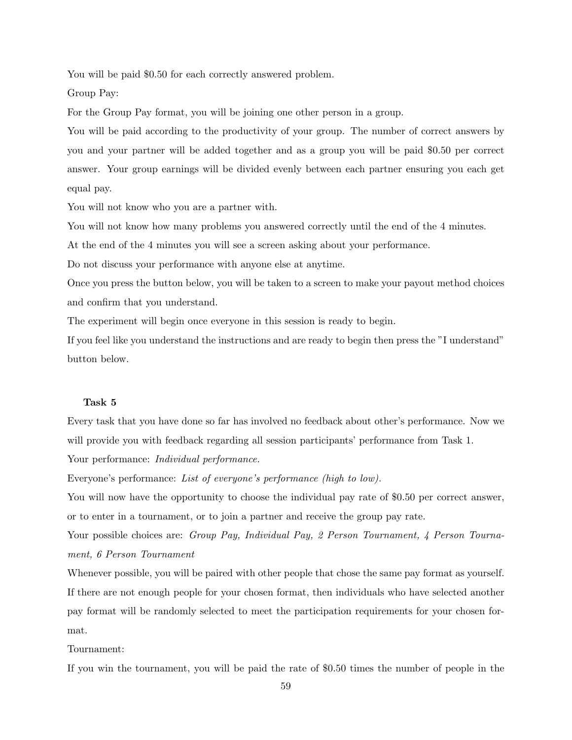You will be paid \$0.50 for each correctly answered problem.

Group Pay:

For the Group Pay format, you will be joining one other person in a group.

You will be paid according to the productivity of your group. The number of correct answers by you and your partner will be added together and as a group you will be paid \$0.50 per correct answer. Your group earnings will be divided evenly between each partner ensuring you each get equal pay.

You will not know who you are a partner with.

You will not know how many problems you answered correctly until the end of the 4 minutes.

At the end of the 4 minutes you will see a screen asking about your performance.

Do not discuss your performance with anyone else at anytime.

Once you press the button below, you will be taken to a screen to make your payout method choices and confirm that you understand.

The experiment will begin once everyone in this session is ready to begin.

If you feel like you understand the instructions and are ready to begin then press the "I understand" button below.

## Task 5

Every task that you have done so far has involved no feedback about other's performance. Now we will provide you with feedback regarding all session participants' performance from Task 1.

Your performance: Individual performance.

Everyone's performance: List of everyone's performance (high to low).

You will now have the opportunity to choose the individual pay rate of \$0.50 per correct answer, or to enter in a tournament, or to join a partner and receive the group pay rate.

Your possible choices are: Group Pay, Individual Pay, 2 Person Tournament, 4 Person Tournament, 6 Person Tournament

Whenever possible, you will be paired with other people that chose the same pay format as yourself. If there are not enough people for your chosen format, then individuals who have selected another pay format will be randomly selected to meet the participation requirements for your chosen format.

## Tournament:

If you win the tournament, you will be paid the rate of \$0.50 times the number of people in the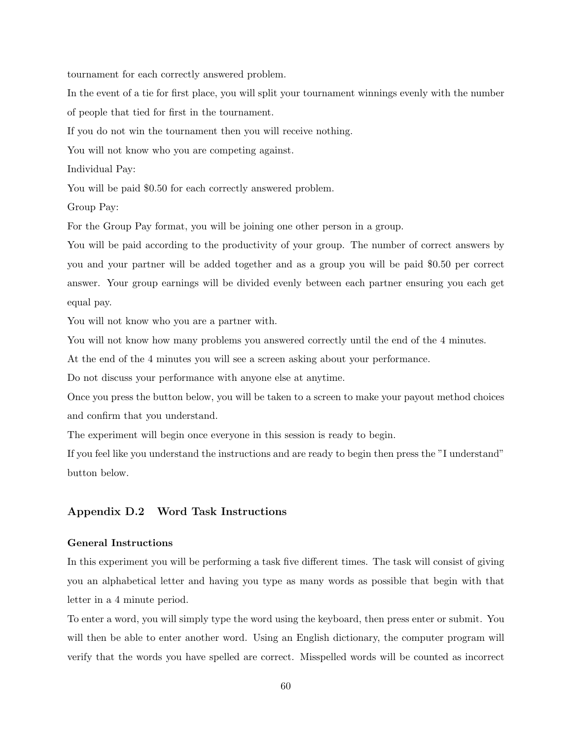tournament for each correctly answered problem.

In the event of a tie for first place, you will split your tournament winnings evenly with the number of people that tied for first in the tournament.

If you do not win the tournament then you will receive nothing.

You will not know who you are competing against.

Individual Pay:

You will be paid \$0.50 for each correctly answered problem.

Group Pay:

For the Group Pay format, you will be joining one other person in a group.

You will be paid according to the productivity of your group. The number of correct answers by you and your partner will be added together and as a group you will be paid \$0.50 per correct answer. Your group earnings will be divided evenly between each partner ensuring you each get equal pay.

You will not know who you are a partner with.

You will not know how many problems you answered correctly until the end of the 4 minutes.

At the end of the 4 minutes you will see a screen asking about your performance.

Do not discuss your performance with anyone else at anytime.

Once you press the button below, you will be taken to a screen to make your payout method choices and confirm that you understand.

The experiment will begin once everyone in this session is ready to begin.

If you feel like you understand the instructions and are ready to begin then press the "I understand" button below.

## Appendix D.2 Word Task Instructions

## General Instructions

In this experiment you will be performing a task five different times. The task will consist of giving you an alphabetical letter and having you type as many words as possible that begin with that letter in a 4 minute period.

To enter a word, you will simply type the word using the keyboard, then press enter or submit. You will then be able to enter another word. Using an English dictionary, the computer program will verify that the words you have spelled are correct. Misspelled words will be counted as incorrect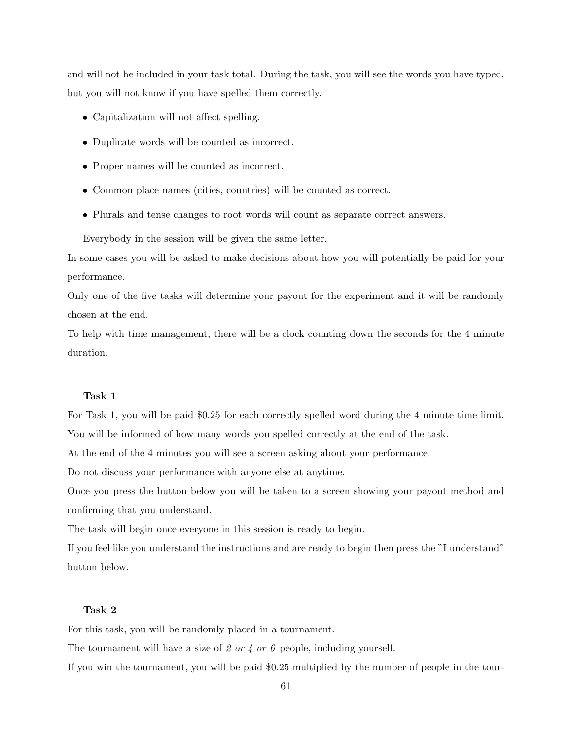and will not be included in your task total. During the task, you will see the words you have typed, but you will not know if you have spelled them correctly.

- Capitalization will not affect spelling.
- Duplicate words will be counted as incorrect.
- Proper names will be counted as incorrect.
- Common place names (cities, countries) will be counted as correct.
- Plurals and tense changes to root words will count as separate correct answers.

Everybody in the session will be given the same letter.

In some cases you will be asked to make decisions about how you will potentially be paid for your performance.

Only one of the five tasks will determine your payout for the experiment and it will be randomly chosen at the end.

To help with time management, there will be a clock counting down the seconds for the 4 minute duration.

#### Task 1

For Task 1, you will be paid \$0.25 for each correctly spelled word during the 4 minute time limit. You will be informed of how many words you spelled correctly at the end of the task.

At the end of the 4 minutes you will see a screen asking about your performance.

Do not discuss your performance with anyone else at anytime.

Once you press the button below you will be taken to a screen showing your payout method and confirming that you understand.

The task will begin once everyone in this session is ready to begin.

If you feel like you understand the instructions and are ready to begin then press the "I understand" button below.

## Task 2

For this task, you will be randomly placed in a tournament.

The tournament will have a size of 2 or 4 or 6 people, including yourself.

If you win the tournament, you will be paid \$0.25 multiplied by the number of people in the tour-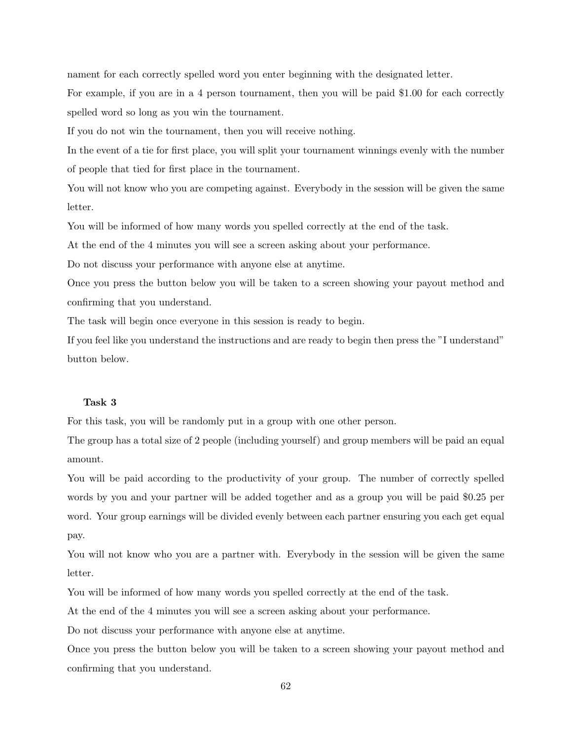nament for each correctly spelled word you enter beginning with the designated letter.

For example, if you are in a 4 person tournament, then you will be paid \$1.00 for each correctly spelled word so long as you win the tournament.

If you do not win the tournament, then you will receive nothing.

In the event of a tie for first place, you will split your tournament winnings evenly with the number of people that tied for first place in the tournament.

You will not know who you are competing against. Everybody in the session will be given the same letter.

You will be informed of how many words you spelled correctly at the end of the task.

At the end of the 4 minutes you will see a screen asking about your performance.

Do not discuss your performance with anyone else at anytime.

Once you press the button below you will be taken to a screen showing your payout method and confirming that you understand.

The task will begin once everyone in this session is ready to begin.

If you feel like you understand the instructions and are ready to begin then press the "I understand" button below.

## Task 3

For this task, you will be randomly put in a group with one other person.

The group has a total size of 2 people (including yourself) and group members will be paid an equal amount.

You will be paid according to the productivity of your group. The number of correctly spelled words by you and your partner will be added together and as a group you will be paid \$0.25 per word. Your group earnings will be divided evenly between each partner ensuring you each get equal pay.

You will not know who you are a partner with. Everybody in the session will be given the same letter.

You will be informed of how many words you spelled correctly at the end of the task.

At the end of the 4 minutes you will see a screen asking about your performance.

Do not discuss your performance with anyone else at anytime.

Once you press the button below you will be taken to a screen showing your payout method and confirming that you understand.

62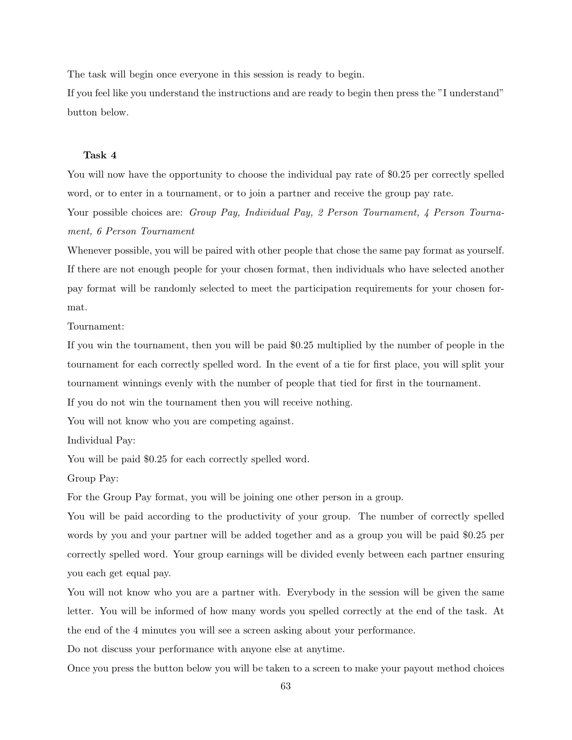The task will begin once everyone in this session is ready to begin.

If you feel like you understand the instructions and are ready to begin then press the "I understand" button below.

## Task 4

You will now have the opportunity to choose the individual pay rate of \$0.25 per correctly spelled word, or to enter in a tournament, or to join a partner and receive the group pay rate.

Your possible choices are: Group Pay, Individual Pay, 2 Person Tournament, 4 Person Tournament, 6 Person Tournament

Whenever possible, you will be paired with other people that chose the same pay format as yourself. If there are not enough people for your chosen format, then individuals who have selected another pay format will be randomly selected to meet the participation requirements for your chosen format.

Tournament:

If you win the tournament, then you will be paid \$0.25 multiplied by the number of people in the tournament for each correctly spelled word. In the event of a tie for first place, you will split your tournament winnings evenly with the number of people that tied for first in the tournament.

If you do not win the tournament then you will receive nothing.

You will not know who you are competing against.

Individual Pay:

You will be paid \$0.25 for each correctly spelled word.

Group Pay:

For the Group Pay format, you will be joining one other person in a group.

You will be paid according to the productivity of your group. The number of correctly spelled words by you and your partner will be added together and as a group you will be paid \$0.25 per correctly spelled word. Your group earnings will be divided evenly between each partner ensuring you each get equal pay.

You will not know who you are a partner with. Everybody in the session will be given the same letter. You will be informed of how many words you spelled correctly at the end of the task. At the end of the 4 minutes you will see a screen asking about your performance.

Do not discuss your performance with anyone else at anytime.

Once you press the button below you will be taken to a screen to make your payout method choices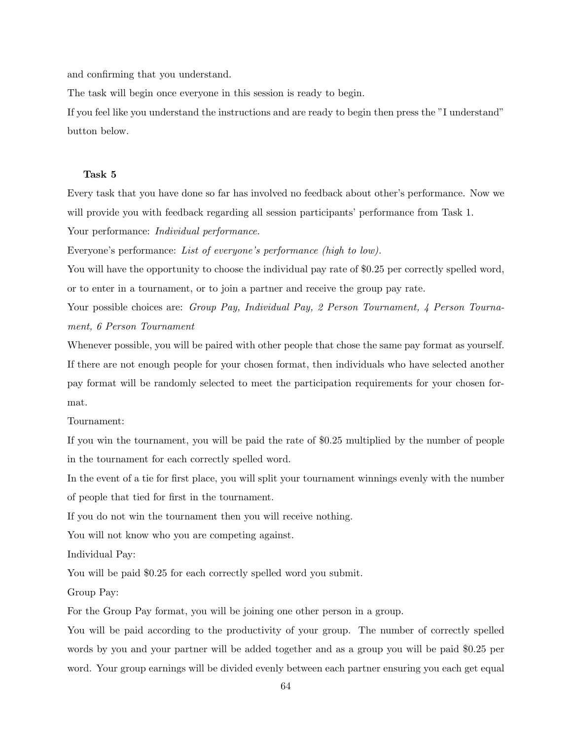and confirming that you understand.

The task will begin once everyone in this session is ready to begin.

If you feel like you understand the instructions and are ready to begin then press the "I understand" button below.

#### Task 5

Every task that you have done so far has involved no feedback about other's performance. Now we will provide you with feedback regarding all session participants' performance from Task 1.

Your performance: *Individual performance*.

Everyone's performance: List of everyone's performance (high to low).

You will have the opportunity to choose the individual pay rate of \$0.25 per correctly spelled word, or to enter in a tournament, or to join a partner and receive the group pay rate.

Your possible choices are: Group Pay, Individual Pay, 2 Person Tournament, 4 Person Tournament, 6 Person Tournament

Whenever possible, you will be paired with other people that chose the same pay format as yourself. If there are not enough people for your chosen format, then individuals who have selected another pay format will be randomly selected to meet the participation requirements for your chosen format.

Tournament:

If you win the tournament, you will be paid the rate of \$0.25 multiplied by the number of people in the tournament for each correctly spelled word.

In the event of a tie for first place, you will split your tournament winnings evenly with the number of people that tied for first in the tournament.

If you do not win the tournament then you will receive nothing.

You will not know who you are competing against.

Individual Pay:

You will be paid \$0.25 for each correctly spelled word you submit.

Group Pay:

For the Group Pay format, you will be joining one other person in a group.

You will be paid according to the productivity of your group. The number of correctly spelled words by you and your partner will be added together and as a group you will be paid \$0.25 per word. Your group earnings will be divided evenly between each partner ensuring you each get equal